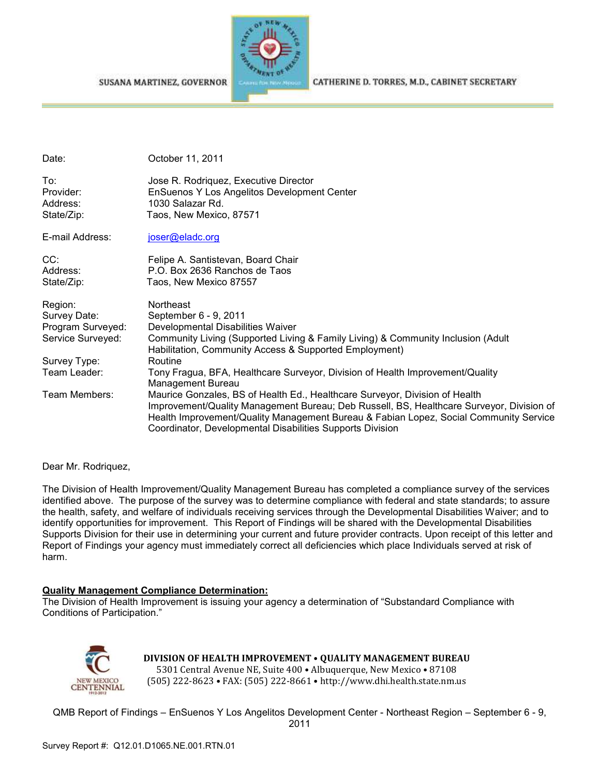SUSANA MARTINEZ, GOVERNOR



CATHERINE D. TORRES, M.D., CABINET SECRETARY

| Date:                                                             | October 11, 2011                                                                                                                                                                                                                                                                                                              |
|-------------------------------------------------------------------|-------------------------------------------------------------------------------------------------------------------------------------------------------------------------------------------------------------------------------------------------------------------------------------------------------------------------------|
| To:<br>Provider:<br>Address:<br>State/Zip:                        | Jose R. Rodriquez, Executive Director<br>EnSuenos Y Los Angelitos Development Center<br>1030 Salazar Rd.<br>Taos, New Mexico, 87571                                                                                                                                                                                           |
| E-mail Address:                                                   | joser@eladc.org                                                                                                                                                                                                                                                                                                               |
| CC:<br>Address:<br>State/Zip:                                     | Felipe A. Santistevan, Board Chair<br>P.O. Box 2636 Ranchos de Taos<br>Taos, New Mexico 87557                                                                                                                                                                                                                                 |
| Region:<br>Survey Date:<br>Program Surveyed:<br>Service Surveyed: | Northeast<br>September 6 - 9, 2011<br>Developmental Disabilities Waiver<br>Community Living (Supported Living & Family Living) & Community Inclusion (Adult<br>Habilitation, Community Access & Supported Employment)                                                                                                         |
| Survey Type:                                                      | Routine                                                                                                                                                                                                                                                                                                                       |
| Team Leader:                                                      | Tony Fragua, BFA, Healthcare Surveyor, Division of Health Improvement/Quality<br>Management Bureau                                                                                                                                                                                                                            |
| Team Members:                                                     | Maurice Gonzales, BS of Health Ed., Healthcare Surveyor, Division of Health<br>Improvement/Quality Management Bureau; Deb Russell, BS, Healthcare Surveyor, Division of<br>Health Improvement/Quality Management Bureau & Fabian Lopez, Social Community Service<br>Coordinator, Developmental Disabilities Supports Division |

Dear Mr. Rodriquez,

The Division of Health Improvement/Quality Management Bureau has completed a compliance survey of the services identified above. The purpose of the survey was to determine compliance with federal and state standards; to assure the health, safety, and welfare of individuals receiving services through the Developmental Disabilities Waiver; and to identify opportunities for improvement. This Report of Findings will be shared with the Developmental Disabilities Supports Division for their use in determining your current and future provider contracts. Upon receipt of this letter and Report of Findings your agency must immediately correct all deficiencies which place Individuals served at risk of harm.

#### **Quality Management Compliance Determination:**

The Division of Health Improvement is issuing your agency a determination of "Substandard Compliance with Conditions of Participation."



# **DIVISION OF HEALTH IMPROVEMENT** • **QUALITY MANAGEMENT BUREAU**

5301 Central Avenue NE, Suite 400 • Albuquerque, New Mexico • 87108 (505) 222-8623 • FAX: (505) 222-8661 • http://www.dhi.health.state.nm.us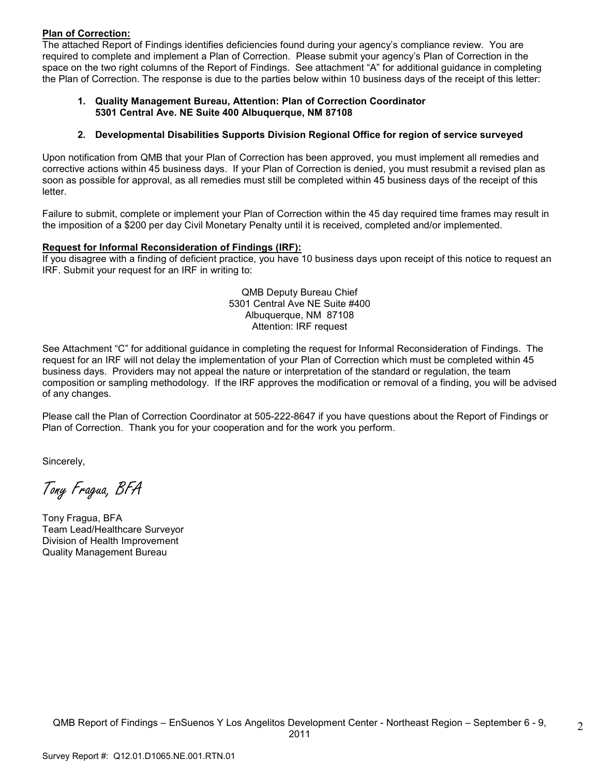#### **Plan of Correction:**

The attached Report of Findings identifies deficiencies found during your agency's compliance review. You are required to complete and implement a Plan of Correction. Please submit your agency's Plan of Correction in the space on the two right columns of the Report of Findings. See attachment "A" for additional guidance in completing the Plan of Correction. The response is due to the parties below within 10 business days of the receipt of this letter:

#### **1. Quality Management Bureau, Attention: Plan of Correction Coordinator 5301 Central Ave. NE Suite 400 Albuquerque, NM 87108**

#### **2. Developmental Disabilities Supports Division Regional Office for region of service surveyed**

Upon notification from QMB that your Plan of Correction has been approved, you must implement all remedies and corrective actions within 45 business days. If your Plan of Correction is denied, you must resubmit a revised plan as soon as possible for approval, as all remedies must still be completed within 45 business days of the receipt of this letter.

Failure to submit, complete or implement your Plan of Correction within the 45 day required time frames may result in the imposition of a \$200 per day Civil Monetary Penalty until it is received, completed and/or implemented.

#### **Request for Informal Reconsideration of Findings (IRF):**

If you disagree with a finding of deficient practice, you have 10 business days upon receipt of this notice to request an IRF. Submit your request for an IRF in writing to:

> QMB Deputy Bureau Chief 5301 Central Ave NE Suite #400 Albuquerque, NM 87108 Attention: IRF request

See Attachment "C" for additional guidance in completing the request for Informal Reconsideration of Findings. The request for an IRF will not delay the implementation of your Plan of Correction which must be completed within 45 business days. Providers may not appeal the nature or interpretation of the standard or regulation, the team composition or sampling methodology. If the IRF approves the modification or removal of a finding, you will be advised of any changes.

Please call the Plan of Correction Coordinator at 505-222-8647 if you have questions about the Report of Findings or Plan of Correction. Thank you for your cooperation and for the work you perform.

Sincerely,

Tony Fragua, BFA

Tony Fragua, BFA Team Lead/Healthcare Surveyor Division of Health Improvement Quality Management Bureau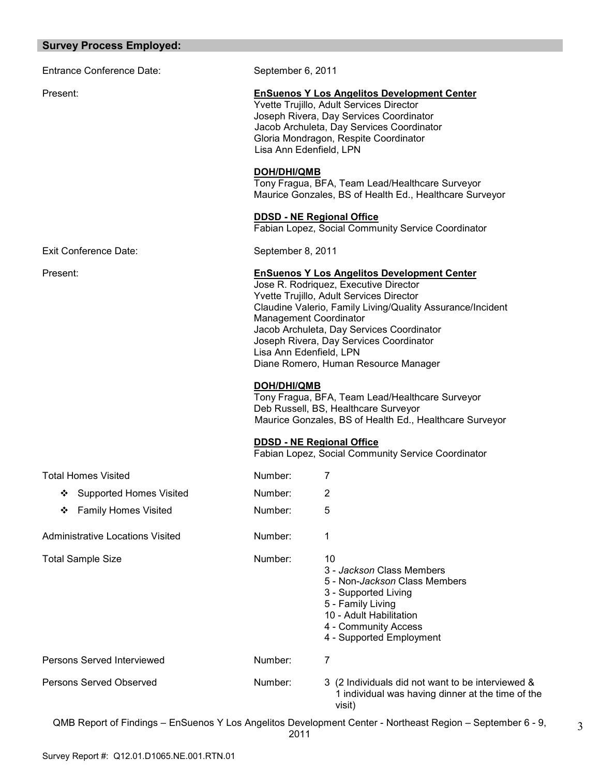#### **Survey Process Employed:**

Entrance Conference Date: September 6, 2011

Exit Conference Date: September 8, 2011

#### Present: **EnSuenos Y Los Angelitos Development Center**

Yvette Trujillo, Adult Services Director Joseph Rivera, Day Services Coordinator Jacob Archuleta, Day Services Coordinator Gloria Mondragon, Respite Coordinator Lisa Ann Edenfield, LPN

#### **DOH/DHI/QMB**

Tony Fragua, BFA, Team Lead/Healthcare Surveyor Maurice Gonzales, BS of Health Ed., Healthcare Surveyor

#### **DDSD - NE Regional Office**

Fabian Lopez, Social Community Service Coordinator

#### Present: **EnSuenos Y Los Angelitos Development Center**

Jose R. Rodriquez, Executive Director Yvette Trujillo, Adult Services Director Claudine Valerio, Family Living/Quality Assurance/Incident Management Coordinator Jacob Archuleta, Day Services Coordinator Joseph Rivera, Day Services Coordinator Lisa Ann Edenfield, LPN Diane Romero, Human Resource Manager

#### **DOH/DHI/QMB**

Tony Fragua, BFA, Team Lead/Healthcare Surveyor Deb Russell, BS, Healthcare Surveyor Maurice Gonzales, BS of Health Ed., Healthcare Surveyor

#### **DDSD - NE Regional Office**

Fabian Lopez, Social Community Service Coordinator

| <b>Total Homes Visited</b>          | Number: | 7                                                                                                                                                                                                    |
|-------------------------------------|---------|------------------------------------------------------------------------------------------------------------------------------------------------------------------------------------------------------|
| <b>Supported Homes Visited</b><br>❖ | Number: | 2                                                                                                                                                                                                    |
| <b>Family Homes Visited</b><br>❖    | Number: | 5                                                                                                                                                                                                    |
| Administrative Locations Visited    | Number: | 1                                                                                                                                                                                                    |
| <b>Total Sample Size</b>            | Number: | 10<br>3 - Jackson Class Members<br>5 - Non- <i>Jackson</i> Class Members<br>3 - Supported Living<br>5 - Family Living<br>10 - Adult Habilitation<br>4 - Community Access<br>4 - Supported Employment |
| Persons Served Interviewed          | Number: | 7                                                                                                                                                                                                    |
| Persons Served Observed             | Number: | 3 (2 Individuals did not want to be interviewed &<br>1 individual was having dinner at the time of the<br>visit)                                                                                     |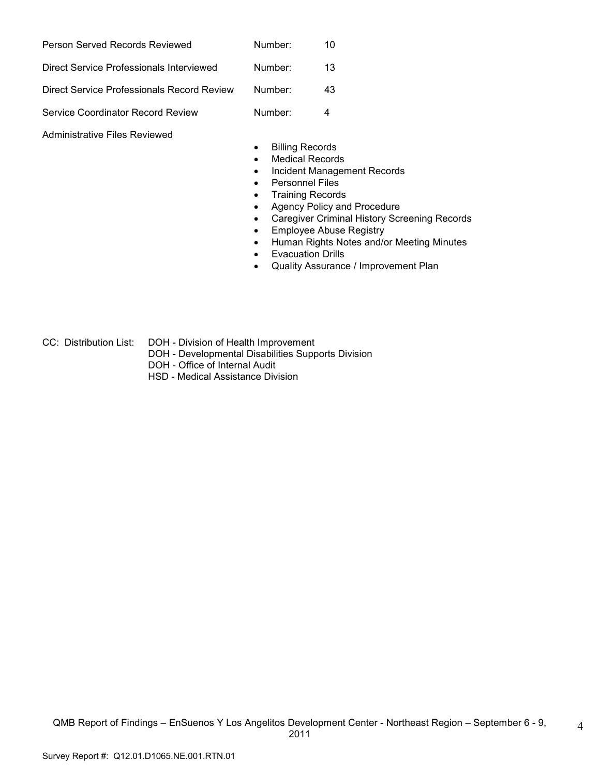| Person Served Records Reviewed             | Number: | 10 |
|--------------------------------------------|---------|----|
| Direct Service Professionals Interviewed   | Number: | 13 |
| Direct Service Professionals Record Review | Number: | 43 |
| Service Coordinator Record Review          | Number: | 4  |

Administrative Files Reviewed

- Billing Records
- Medical Records
- Incident Management Records
- Personnel Files
- Training Records
- Agency Policy and Procedure
- Caregiver Criminal History Screening Records
- Employee Abuse Registry
- Human Rights Notes and/or Meeting Minutes
- Evacuation Drills
- Quality Assurance / Improvement Plan
- CC: Distribution List: DOH Division of Health Improvement
	- DOH Developmental Disabilities Supports Division
	- DOH Office of Internal Audit
	- HSD Medical Assistance Division

4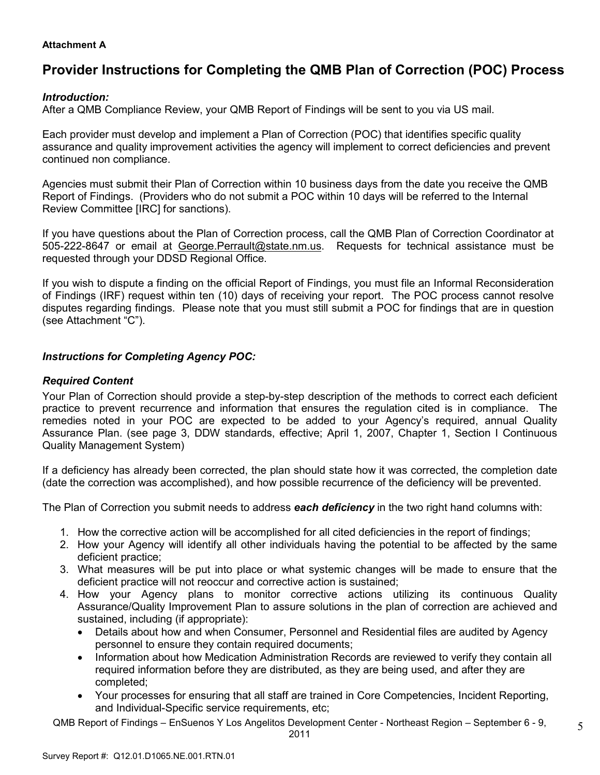## **Attachment A**

# **Provider Instructions for Completing the QMB Plan of Correction (POC) Process**

## *Introduction:*

After a QMB Compliance Review, your QMB Report of Findings will be sent to you via US mail.

Each provider must develop and implement a Plan of Correction (POC) that identifies specific quality assurance and quality improvement activities the agency will implement to correct deficiencies and prevent continued non compliance.

Agencies must submit their Plan of Correction within 10 business days from the date you receive the QMB Report of Findings. (Providers who do not submit a POC within 10 days will be referred to the Internal Review Committee [IRC] for sanctions).

If you have questions about the Plan of Correction process, call the QMB Plan of Correction Coordinator at 505-222-8647 or email at George. Perrault@state.nm.us. Requests for technical assistance must be requested through your DDSD Regional Office.

If you wish to dispute a finding on the official Report of Findings, you must file an Informal Reconsideration of Findings (IRF) request within ten (10) days of receiving your report. The POC process cannot resolve disputes regarding findings. Please note that you must still submit a POC for findings that are in question (see Attachment "C").

# *Instructions for Completing Agency POC:*

## *Required Content*

Your Plan of Correction should provide a step-by-step description of the methods to correct each deficient practice to prevent recurrence and information that ensures the regulation cited is in compliance. The remedies noted in your POC are expected to be added to your Agency's required, annual Quality Assurance Plan. (see page 3, DDW standards, effective; April 1, 2007, Chapter 1, Section I Continuous Quality Management System)

If a deficiency has already been corrected, the plan should state how it was corrected, the completion date (date the correction was accomplished), and how possible recurrence of the deficiency will be prevented.

The Plan of Correction you submit needs to address *each deficiency* in the two right hand columns with:

- 1. How the corrective action will be accomplished for all cited deficiencies in the report of findings;
- 2. How your Agency will identify all other individuals having the potential to be affected by the same deficient practice;
- 3. What measures will be put into place or what systemic changes will be made to ensure that the deficient practice will not reoccur and corrective action is sustained;
- 4. How your Agency plans to monitor corrective actions utilizing its continuous Quality Assurance/Quality Improvement Plan to assure solutions in the plan of correction are achieved and sustained, including (if appropriate):
	- Details about how and when Consumer, Personnel and Residential files are audited by Agency personnel to ensure they contain required documents;
	- Information about how Medication Administration Records are reviewed to verify they contain all required information before they are distributed, as they are being used, and after they are completed;
	- Your processes for ensuring that all staff are trained in Core Competencies, Incident Reporting, and Individual-Specific service requirements, etc;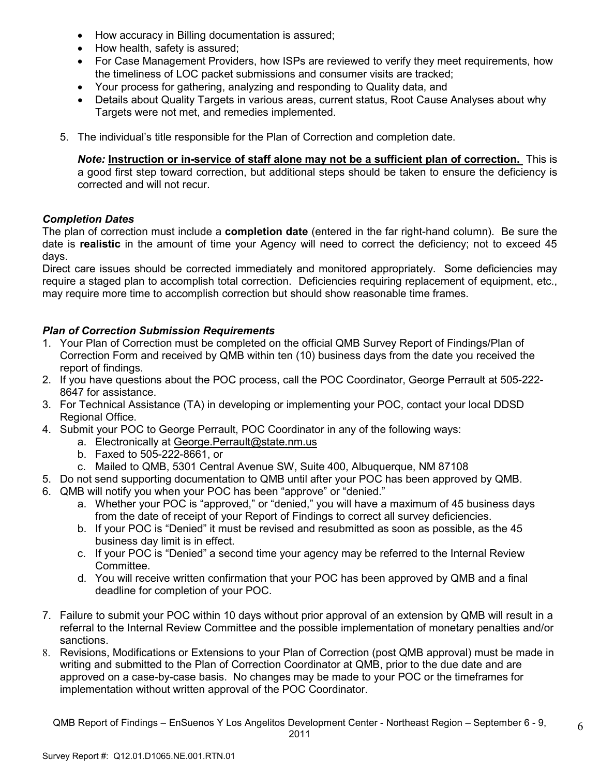- How accuracy in Billing documentation is assured;
- How health, safety is assured;
- For Case Management Providers, how ISPs are reviewed to verify they meet requirements, how the timeliness of LOC packet submissions and consumer visits are tracked;
- Your process for gathering, analyzing and responding to Quality data, and
- Details about Quality Targets in various areas, current status, Root Cause Analyses about why Targets were not met, and remedies implemented.
- 5. The individual's title responsible for the Plan of Correction and completion date.

*Note:* **Instruction or in-service of staff alone may not be a sufficient plan of correction.** This is a good first step toward correction, but additional steps should be taken to ensure the deficiency is corrected and will not recur.

# *Completion Dates*

The plan of correction must include a **completion date** (entered in the far right-hand column). Be sure the date is **realistic** in the amount of time your Agency will need to correct the deficiency; not to exceed 45 days.

Direct care issues should be corrected immediately and monitored appropriately. Some deficiencies may require a staged plan to accomplish total correction. Deficiencies requiring replacement of equipment, etc., may require more time to accomplish correction but should show reasonable time frames.

# *Plan of Correction Submission Requirements*

- 1. Your Plan of Correction must be completed on the official QMB Survey Report of Findings/Plan of Correction Form and received by QMB within ten (10) business days from the date you received the report of findings.
- 2. If you have questions about the POC process, call the POC Coordinator, George Perrault at 505-222- 8647 for assistance.
- 3. For Technical Assistance (TA) in developing or implementing your POC, contact your local DDSD Regional Office.
- 4. Submit your POC to George Perrault, POC Coordinator in any of the following ways:
	- a. Electronically at George.Perrault@state.nm.us
	- b. Faxed to 505-222-8661, or
	- c. Mailed to QMB, 5301 Central Avenue SW, Suite 400, Albuquerque, NM 87108
- 5. Do not send supporting documentation to QMB until after your POC has been approved by QMB.
- 6. QMB will notify you when your POC has been "approve" or "denied."
	- a. Whether your POC is "approved," or "denied," you will have a maximum of 45 business days from the date of receipt of your Report of Findings to correct all survey deficiencies.
	- b. If your POC is "Denied" it must be revised and resubmitted as soon as possible, as the 45 business day limit is in effect.
	- c. If your POC is "Denied" a second time your agency may be referred to the Internal Review Committee.
	- d. You will receive written confirmation that your POC has been approved by QMB and a final deadline for completion of your POC.
- 7. Failure to submit your POC within 10 days without prior approval of an extension by QMB will result in a referral to the Internal Review Committee and the possible implementation of monetary penalties and/or sanctions.
- 8. Revisions, Modifications or Extensions to your Plan of Correction (post QMB approval) must be made in writing and submitted to the Plan of Correction Coordinator at QMB, prior to the due date and are approved on a case-by-case basis. No changes may be made to your POC or the timeframes for implementation without written approval of the POC Coordinator.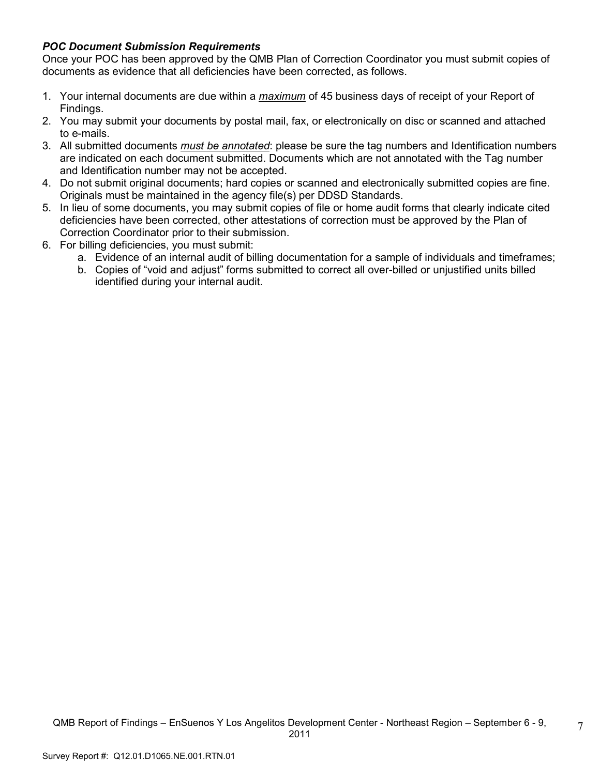# *POC Document Submission Requirements*

Once your POC has been approved by the QMB Plan of Correction Coordinator you must submit copies of documents as evidence that all deficiencies have been corrected, as follows.

- 1. Your internal documents are due within a *maximum* of 45 business days of receipt of your Report of Findings.
- 2. You may submit your documents by postal mail, fax, or electronically on disc or scanned and attached to e-mails.
- 3. All submitted documents *must be annotated*: please be sure the tag numbers and Identification numbers are indicated on each document submitted. Documents which are not annotated with the Tag number and Identification number may not be accepted.
- 4. Do not submit original documents; hard copies or scanned and electronically submitted copies are fine. Originals must be maintained in the agency file(s) per DDSD Standards.
- 5. In lieu of some documents, you may submit copies of file or home audit forms that clearly indicate cited deficiencies have been corrected, other attestations of correction must be approved by the Plan of Correction Coordinator prior to their submission.
- 6. For billing deficiencies, you must submit:
	- a. Evidence of an internal audit of billing documentation for a sample of individuals and timeframes;
	- b. Copies of "void and adjust" forms submitted to correct all over-billed or unjustified units billed identified during your internal audit.

7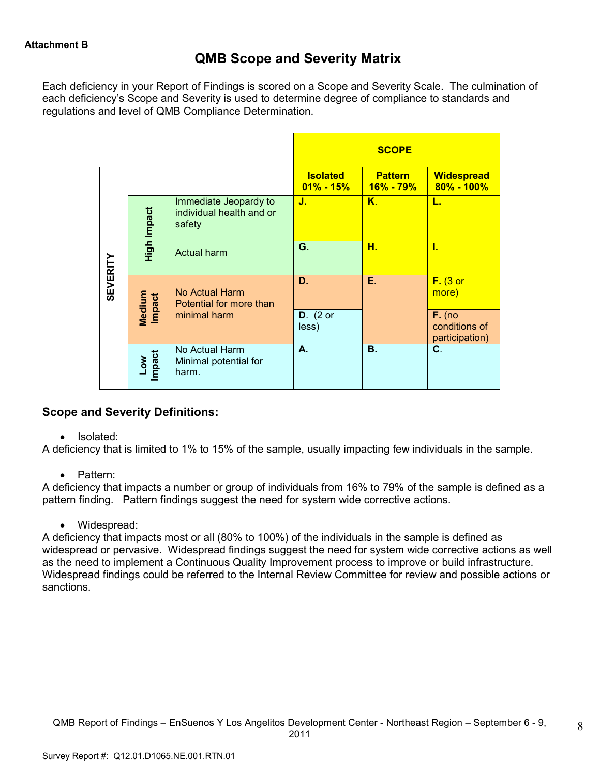# **QMB Scope and Severity Matrix**

Each deficiency in your Report of Findings is scored on a Scope and Severity Scale. The culmination of each deficiency's Scope and Severity is used to determine degree of compliance to standards and regulations and level of QMB Compliance Determination.

|                 |                  |                                                             |                                  | <b>SCOPE</b>                    |                                             |
|-----------------|------------------|-------------------------------------------------------------|----------------------------------|---------------------------------|---------------------------------------------|
|                 |                  |                                                             | <b>Isolated</b><br>$01\% - 15\%$ | <b>Pattern</b><br>$16\% - 79\%$ | <b>Widespread</b><br>$80\% - 100\%$         |
|                 | High Impact      | Immediate Jeopardy to<br>individual health and or<br>safety | J.                               | Κ.                              | L.                                          |
|                 |                  | <b>Actual harm</b>                                          | G.                               | н.                              | T.                                          |
| <b>SEVERITY</b> | Medium<br>Impact | No Actual Harm<br>Potential for more than                   | D.                               | Е.                              | $F.$ (3 or<br>more)                         |
|                 |                  | minimal harm                                                | $D.$ (2 or<br>less)              |                                 | $F.$ (no<br>conditions of<br>participation) |
|                 | Low<br>Impact    | No Actual Harm<br>Minimal potential for<br>harm.            | А.                               | В.                              | $\mathbf{C}$ .                              |

# **Scope and Severity Definitions:**

• Isolated:

A deficiency that is limited to 1% to 15% of the sample, usually impacting few individuals in the sample.

• Pattern:

A deficiency that impacts a number or group of individuals from 16% to 79% of the sample is defined as a pattern finding. Pattern findings suggest the need for system wide corrective actions.

• Widespread:

A deficiency that impacts most or all (80% to 100%) of the individuals in the sample is defined as widespread or pervasive. Widespread findings suggest the need for system wide corrective actions as well as the need to implement a Continuous Quality Improvement process to improve or build infrastructure. Widespread findings could be referred to the Internal Review Committee for review and possible actions or sanctions.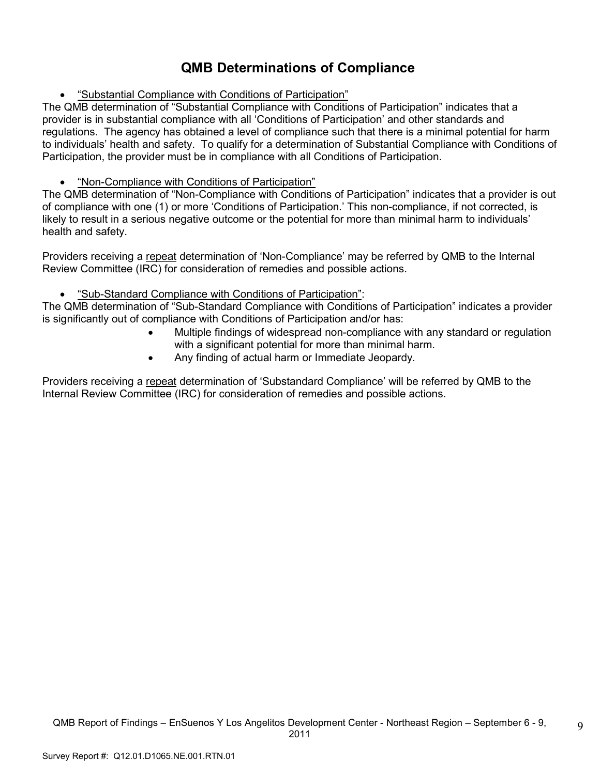# **QMB Determinations of Compliance**

• "Substantial Compliance with Conditions of Participation"

The QMB determination of "Substantial Compliance with Conditions of Participation" indicates that a provider is in substantial compliance with all 'Conditions of Participation' and other standards and regulations. The agency has obtained a level of compliance such that there is a minimal potential for harm to individuals' health and safety. To qualify for a determination of Substantial Compliance with Conditions of Participation, the provider must be in compliance with all Conditions of Participation.

# • "Non-Compliance with Conditions of Participation"

The QMB determination of "Non-Compliance with Conditions of Participation" indicates that a provider is out of compliance with one (1) or more 'Conditions of Participation.' This non-compliance, if not corrected, is likely to result in a serious negative outcome or the potential for more than minimal harm to individuals' health and safety.

Providers receiving a repeat determination of 'Non-Compliance' may be referred by QMB to the Internal Review Committee (IRC) for consideration of remedies and possible actions.

# • "Sub-Standard Compliance with Conditions of Participation":

The QMB determination of "Sub-Standard Compliance with Conditions of Participation" indicates a provider is significantly out of compliance with Conditions of Participation and/or has:

- Multiple findings of widespread non-compliance with any standard or regulation with a significant potential for more than minimal harm.
- Any finding of actual harm or Immediate Jeopardy.

Providers receiving a repeat determination of 'Substandard Compliance' will be referred by QMB to the Internal Review Committee (IRC) for consideration of remedies and possible actions.

9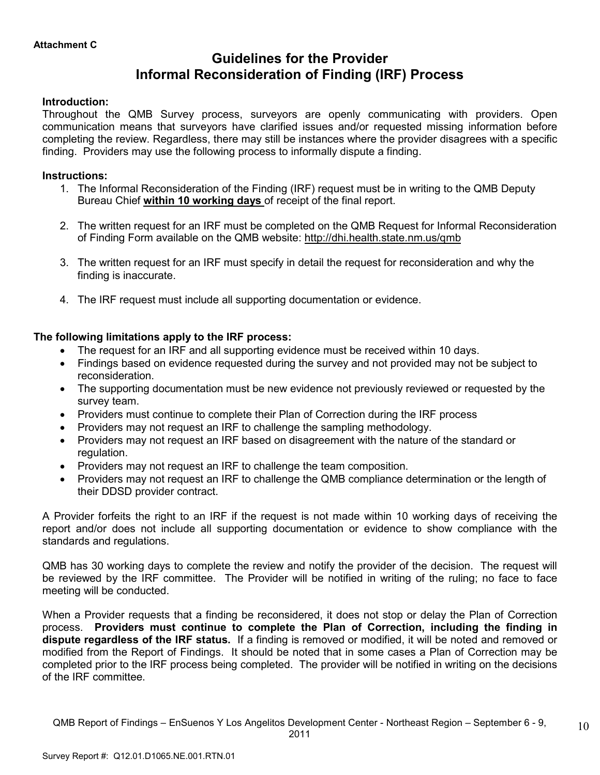# **Guidelines for the Provider Informal Reconsideration of Finding (IRF) Process**

## **Introduction:**

Throughout the QMB Survey process, surveyors are openly communicating with providers. Open communication means that surveyors have clarified issues and/or requested missing information before completing the review. Regardless, there may still be instances where the provider disagrees with a specific finding. Providers may use the following process to informally dispute a finding.

## **Instructions:**

- 1. The Informal Reconsideration of the Finding (IRF) request must be in writing to the QMB Deputy Bureau Chief **within 10 working days** of receipt of the final report.
- 2. The written request for an IRF must be completed on the QMB Request for Informal Reconsideration of Finding Form available on the QMB website: http://dhi.health.state.nm.us/qmb
- 3. The written request for an IRF must specify in detail the request for reconsideration and why the finding is inaccurate.
- 4. The IRF request must include all supporting documentation or evidence.

# **The following limitations apply to the IRF process:**

- The request for an IRF and all supporting evidence must be received within 10 days.
- Findings based on evidence requested during the survey and not provided may not be subject to reconsideration.
- The supporting documentation must be new evidence not previously reviewed or requested by the survey team.
- Providers must continue to complete their Plan of Correction during the IRF process
- Providers may not request an IRF to challenge the sampling methodology.
- Providers may not request an IRF based on disagreement with the nature of the standard or regulation.
- Providers may not request an IRF to challenge the team composition.
- Providers may not request an IRF to challenge the QMB compliance determination or the length of their DDSD provider contract.

A Provider forfeits the right to an IRF if the request is not made within 10 working days of receiving the report and/or does not include all supporting documentation or evidence to show compliance with the standards and regulations.

QMB has 30 working days to complete the review and notify the provider of the decision. The request will be reviewed by the IRF committee. The Provider will be notified in writing of the ruling; no face to face meeting will be conducted.

When a Provider requests that a finding be reconsidered, it does not stop or delay the Plan of Correction process. **Providers must continue to complete the Plan of Correction, including the finding in dispute regardless of the IRF status.** If a finding is removed or modified, it will be noted and removed or modified from the Report of Findings. It should be noted that in some cases a Plan of Correction may be completed prior to the IRF process being completed. The provider will be notified in writing on the decisions of the IRF committee.

10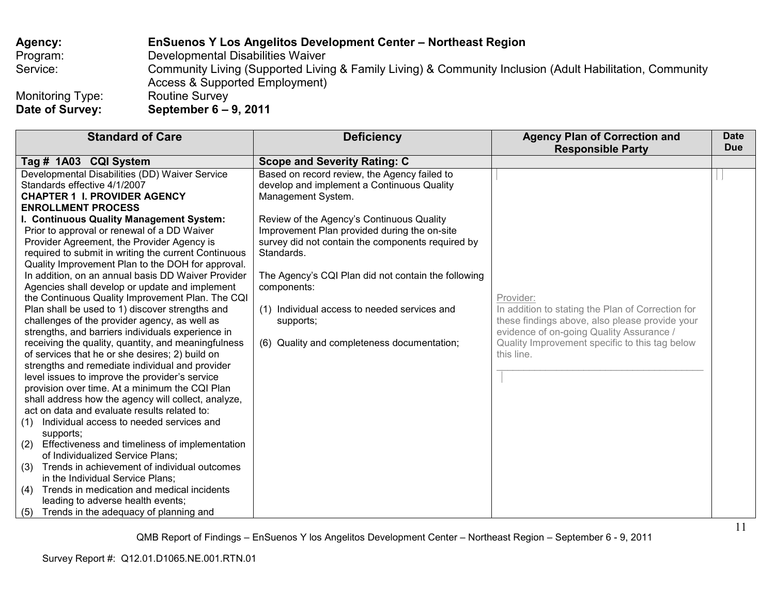# **Agency: EnSuenos Y Los Angelitos Development Center – Northeast Region** Program: Developmental Disabilities Waiver<br>Service: Community Living (Supported Livin Service: Community Living (Supported Living & Family Living) & Community Inclusion (Adult Habilitation, Community Access & Supported Employment)<br>Routine Survey Monitoring Type:<br>Date of Survey: **Date of Survey: September 6 – 9, 2011**

| <b>Standard of Care</b>                                                                                                                                                                                                                                                                                                                                                                                                                                                                                                                                                                                                                                                                                                                                                                                                                                                                                                                                                                                                                                                                                                                                                                                                                                                                                                                                                                | <b>Deficiency</b>                                                                                                                                                                                                                                                                                                                                                                                                                                                                                         | <b>Agency Plan of Correction and</b>                                                                                                                                                                                                                     | <b>Date</b> |
|----------------------------------------------------------------------------------------------------------------------------------------------------------------------------------------------------------------------------------------------------------------------------------------------------------------------------------------------------------------------------------------------------------------------------------------------------------------------------------------------------------------------------------------------------------------------------------------------------------------------------------------------------------------------------------------------------------------------------------------------------------------------------------------------------------------------------------------------------------------------------------------------------------------------------------------------------------------------------------------------------------------------------------------------------------------------------------------------------------------------------------------------------------------------------------------------------------------------------------------------------------------------------------------------------------------------------------------------------------------------------------------|-----------------------------------------------------------------------------------------------------------------------------------------------------------------------------------------------------------------------------------------------------------------------------------------------------------------------------------------------------------------------------------------------------------------------------------------------------------------------------------------------------------|----------------------------------------------------------------------------------------------------------------------------------------------------------------------------------------------------------------------------------------------------------|-------------|
|                                                                                                                                                                                                                                                                                                                                                                                                                                                                                                                                                                                                                                                                                                                                                                                                                                                                                                                                                                                                                                                                                                                                                                                                                                                                                                                                                                                        |                                                                                                                                                                                                                                                                                                                                                                                                                                                                                                           |                                                                                                                                                                                                                                                          |             |
| Tag # 1A03 CQI System<br>Developmental Disabilities (DD) Waiver Service<br>Standards effective 4/1/2007<br><b>CHAPTER 1 I. PROVIDER AGENCY</b><br><b>ENROLLMENT PROCESS</b><br>I. Continuous Quality Management System:<br>Prior to approval or renewal of a DD Waiver<br>Provider Agreement, the Provider Agency is<br>required to submit in writing the current Continuous<br>Quality Improvement Plan to the DOH for approval.<br>In addition, on an annual basis DD Waiver Provider<br>Agencies shall develop or update and implement<br>the Continuous Quality Improvement Plan. The CQI<br>Plan shall be used to 1) discover strengths and<br>challenges of the provider agency, as well as<br>strengths, and barriers individuals experience in<br>receiving the quality, quantity, and meaningfulness<br>of services that he or she desires; 2) build on<br>strengths and remediate individual and provider<br>level issues to improve the provider's service<br>provision over time. At a minimum the CQI Plan<br>shall address how the agency will collect, analyze,<br>act on data and evaluate results related to:<br>Individual access to needed services and<br>(1)<br>supports;<br>Effectiveness and timeliness of implementation<br>(2)<br>of Individualized Service Plans;<br>Trends in achievement of individual outcomes<br>(3)<br>in the Individual Service Plans; | <b>Scope and Severity Rating: C</b><br>Based on record review, the Agency failed to<br>develop and implement a Continuous Quality<br>Management System.<br>Review of the Agency's Continuous Quality<br>Improvement Plan provided during the on-site<br>survey did not contain the components required by<br>Standards.<br>The Agency's CQI Plan did not contain the following<br>components:<br>(1) Individual access to needed services and<br>supports;<br>(6) Quality and completeness documentation; | <b>Responsible Party</b><br>Provider:<br>In addition to stating the Plan of Correction for<br>these findings above, also please provide your<br>evidence of on-going Quality Assurance /<br>Quality Improvement specific to this tag below<br>this line. | <b>Due</b>  |
| Trends in medication and medical incidents<br>(4)<br>leading to adverse health events;                                                                                                                                                                                                                                                                                                                                                                                                                                                                                                                                                                                                                                                                                                                                                                                                                                                                                                                                                                                                                                                                                                                                                                                                                                                                                                 |                                                                                                                                                                                                                                                                                                                                                                                                                                                                                                           |                                                                                                                                                                                                                                                          |             |
| (5)<br>Trends in the adequacy of planning and                                                                                                                                                                                                                                                                                                                                                                                                                                                                                                                                                                                                                                                                                                                                                                                                                                                                                                                                                                                                                                                                                                                                                                                                                                                                                                                                          |                                                                                                                                                                                                                                                                                                                                                                                                                                                                                                           |                                                                                                                                                                                                                                                          |             |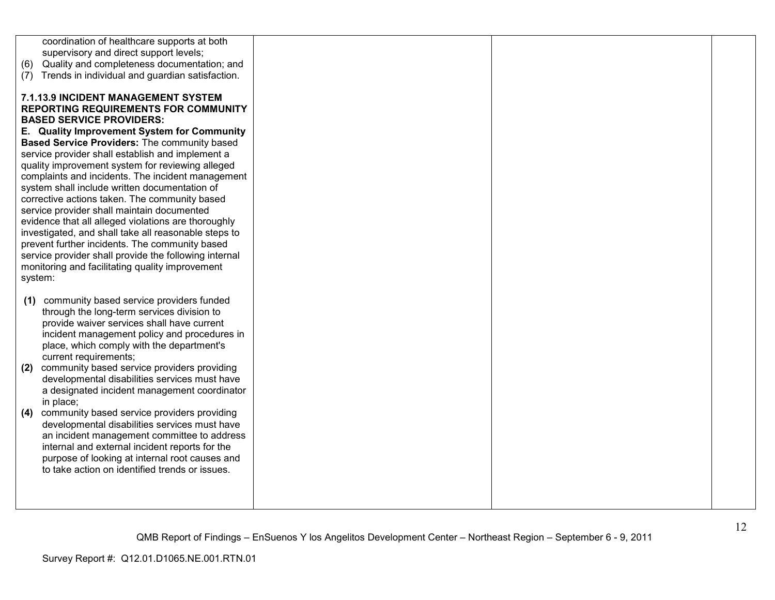| coordination of healthcare supports at both<br>supervisory and direct support levels;<br>Quality and completeness documentation; and<br>(6)<br>Trends in individual and guardian satisfaction.<br>(7) |  |
|-------------------------------------------------------------------------------------------------------------------------------------------------------------------------------------------------------|--|
|                                                                                                                                                                                                       |  |
|                                                                                                                                                                                                       |  |
|                                                                                                                                                                                                       |  |
|                                                                                                                                                                                                       |  |
|                                                                                                                                                                                                       |  |
| 7.1.13.9 INCIDENT MANAGEMENT SYSTEM                                                                                                                                                                   |  |
| <b>REPORTING REQUIREMENTS FOR COMMUNITY</b>                                                                                                                                                           |  |
|                                                                                                                                                                                                       |  |
| <b>BASED SERVICE PROVIDERS:</b>                                                                                                                                                                       |  |
| E. Quality Improvement System for Community                                                                                                                                                           |  |
| Based Service Providers: The community based                                                                                                                                                          |  |
| service provider shall establish and implement a                                                                                                                                                      |  |
| quality improvement system for reviewing alleged                                                                                                                                                      |  |
| complaints and incidents. The incident management                                                                                                                                                     |  |
| system shall include written documentation of                                                                                                                                                         |  |
| corrective actions taken. The community based                                                                                                                                                         |  |
| service provider shall maintain documented                                                                                                                                                            |  |
| evidence that all alleged violations are thoroughly                                                                                                                                                   |  |
| investigated, and shall take all reasonable steps to                                                                                                                                                  |  |
| prevent further incidents. The community based                                                                                                                                                        |  |
|                                                                                                                                                                                                       |  |
| service provider shall provide the following internal                                                                                                                                                 |  |
| monitoring and facilitating quality improvement                                                                                                                                                       |  |
| system:                                                                                                                                                                                               |  |
|                                                                                                                                                                                                       |  |
| community based service providers funded<br>(1)                                                                                                                                                       |  |
| through the long-term services division to                                                                                                                                                            |  |
| provide waiver services shall have current                                                                                                                                                            |  |
| incident management policy and procedures in                                                                                                                                                          |  |
| place, which comply with the department's                                                                                                                                                             |  |
| current requirements;                                                                                                                                                                                 |  |
| community based service providers providing<br>(2)                                                                                                                                                    |  |
| developmental disabilities services must have                                                                                                                                                         |  |
| a designated incident management coordinator                                                                                                                                                          |  |
| in place;                                                                                                                                                                                             |  |
| community based service providers providing<br>(4)                                                                                                                                                    |  |
| developmental disabilities services must have                                                                                                                                                         |  |
|                                                                                                                                                                                                       |  |
| an incident management committee to address                                                                                                                                                           |  |
| internal and external incident reports for the                                                                                                                                                        |  |
| purpose of looking at internal root causes and                                                                                                                                                        |  |
| to take action on identified trends or issues.                                                                                                                                                        |  |
|                                                                                                                                                                                                       |  |
|                                                                                                                                                                                                       |  |
|                                                                                                                                                                                                       |  |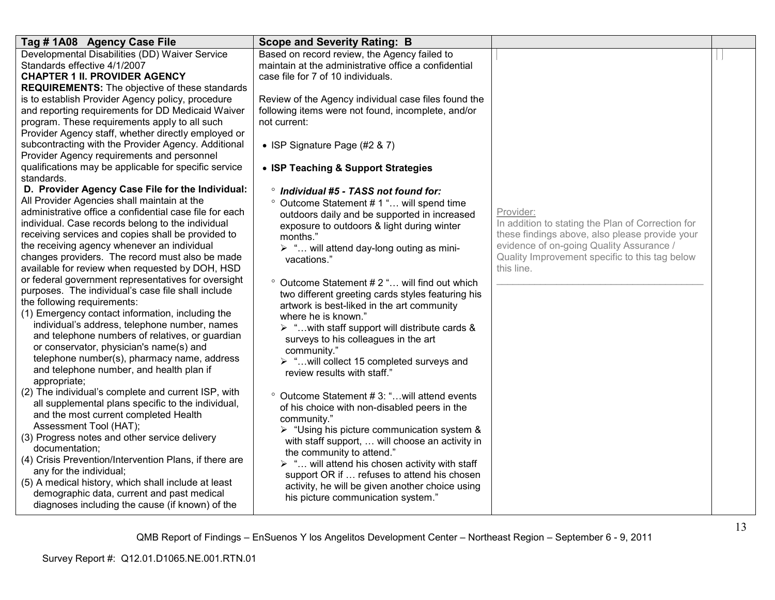| Tag #1A08 Agency Case File                                                                         | <b>Scope and Severity Rating: B</b>                                                                           |                                                   |  |
|----------------------------------------------------------------------------------------------------|---------------------------------------------------------------------------------------------------------------|---------------------------------------------------|--|
| Developmental Disabilities (DD) Waiver Service                                                     | Based on record review, the Agency failed to                                                                  |                                                   |  |
| Standards effective 4/1/2007                                                                       | maintain at the administrative office a confidential                                                          |                                                   |  |
| <b>CHAPTER 1 II. PROVIDER AGENCY</b>                                                               | case file for 7 of 10 individuals.                                                                            |                                                   |  |
| <b>REQUIREMENTS:</b> The objective of these standards                                              |                                                                                                               |                                                   |  |
| is to establish Provider Agency policy, procedure                                                  | Review of the Agency individual case files found the                                                          |                                                   |  |
| and reporting requirements for DD Medicaid Waiver<br>program. These requirements apply to all such | following items were not found, incomplete, and/or<br>not current:                                            |                                                   |  |
| Provider Agency staff, whether directly employed or                                                |                                                                                                               |                                                   |  |
| subcontracting with the Provider Agency. Additional                                                | • ISP Signature Page (#2 & 7)                                                                                 |                                                   |  |
| Provider Agency requirements and personnel                                                         |                                                                                                               |                                                   |  |
| qualifications may be applicable for specific service                                              | • ISP Teaching & Support Strategies                                                                           |                                                   |  |
| standards.                                                                                         |                                                                                                               |                                                   |  |
| D. Provider Agency Case File for the Individual:                                                   | ° Individual #5 - TASS not found for:                                                                         |                                                   |  |
| All Provider Agencies shall maintain at the                                                        | ° Outcome Statement # 1 " will spend time                                                                     |                                                   |  |
| administrative office a confidential case file for each                                            | outdoors daily and be supported in increased                                                                  | Provider:                                         |  |
| individual. Case records belong to the individual                                                  | exposure to outdoors & light during winter                                                                    | In addition to stating the Plan of Correction for |  |
| receiving services and copies shall be provided to                                                 | months."                                                                                                      | these findings above, also please provide your    |  |
| the receiving agency whenever an individual                                                        | $\triangleright$ " will attend day-long outing as mini-                                                       | evidence of on-going Quality Assurance /          |  |
| changes providers. The record must also be made                                                    | vacations."                                                                                                   | Quality Improvement specific to this tag below    |  |
| available for review when requested by DOH, HSD                                                    |                                                                                                               | this line.                                        |  |
| or federal government representatives for oversight                                                | ° Outcome Statement # 2 " will find out which                                                                 |                                                   |  |
| purposes. The individual's case file shall include                                                 | two different greeting cards styles featuring his                                                             |                                                   |  |
| the following requirements:                                                                        | artwork is best-liked in the art community                                                                    |                                                   |  |
| (1) Emergency contact information, including the                                                   | where he is known."                                                                                           |                                                   |  |
| individual's address, telephone number, names                                                      | $\triangleright$ " with staff support will distribute cards &                                                 |                                                   |  |
| and telephone numbers of relatives, or guardian                                                    | surveys to his colleagues in the art                                                                          |                                                   |  |
| or conservator, physician's name(s) and                                                            | community."                                                                                                   |                                                   |  |
| telephone number(s), pharmacy name, address                                                        | > " will collect 15 completed surveys and                                                                     |                                                   |  |
| and telephone number, and health plan if<br>appropriate;                                           | review results with staff."                                                                                   |                                                   |  |
| (2) The individual's complete and current ISP, with                                                |                                                                                                               |                                                   |  |
| all supplemental plans specific to the individual,                                                 | <sup>o</sup> Outcome Statement #3: " will attend events                                                       |                                                   |  |
| and the most current completed Health                                                              | of his choice with non-disabled peers in the                                                                  |                                                   |  |
| Assessment Tool (HAT);                                                                             | community."                                                                                                   |                                                   |  |
| (3) Progress notes and other service delivery                                                      | $\triangleright$ "Using his picture communication system &<br>with staff support,  will choose an activity in |                                                   |  |
| documentation;                                                                                     | the community to attend."                                                                                     |                                                   |  |
| (4) Crisis Prevention/Intervention Plans, if there are                                             | $\triangleright$ " will attend his chosen activity with staff                                                 |                                                   |  |
| any for the individual;                                                                            | support OR if  refuses to attend his chosen                                                                   |                                                   |  |
| (5) A medical history, which shall include at least                                                | activity, he will be given another choice using                                                               |                                                   |  |
| demographic data, current and past medical                                                         | his picture communication system."                                                                            |                                                   |  |
| diagnoses including the cause (if known) of the                                                    |                                                                                                               |                                                   |  |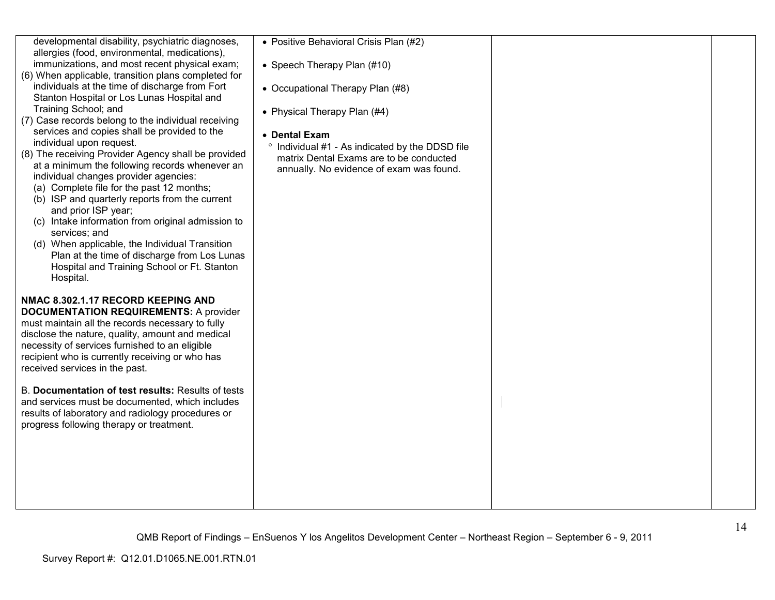| developmental disability, psychiatric diagnoses,<br>allergies (food, environmental, medications),<br>immunizations, and most recent physical exam;<br>(6) When applicable, transition plans completed for<br>individuals at the time of discharge from Fort<br>Stanton Hospital or Los Lunas Hospital and<br>Training School; and<br>(7) Case records belong to the individual receiving<br>services and copies shall be provided to the<br>individual upon request.<br>(8) The receiving Provider Agency shall be provided<br>at a minimum the following records whenever an<br>individual changes provider agencies:<br>(a) Complete file for the past 12 months;<br>(b) ISP and quarterly reports from the current<br>and prior ISP year;<br>(c) Intake information from original admission to<br>services; and<br>(d) When applicable, the Individual Transition<br>Plan at the time of discharge from Los Lunas<br>Hospital and Training School or Ft. Stanton<br>Hospital. | • Positive Behavioral Crisis Plan (#2)<br>• Speech Therapy Plan (#10)<br>• Occupational Therapy Plan (#8)<br>• Physical Therapy Plan (#4)<br>• Dental Exam<br>° Individual #1 - As indicated by the DDSD file<br>matrix Dental Exams are to be conducted<br>annually. No evidence of exam was found. |  |
|----------------------------------------------------------------------------------------------------------------------------------------------------------------------------------------------------------------------------------------------------------------------------------------------------------------------------------------------------------------------------------------------------------------------------------------------------------------------------------------------------------------------------------------------------------------------------------------------------------------------------------------------------------------------------------------------------------------------------------------------------------------------------------------------------------------------------------------------------------------------------------------------------------------------------------------------------------------------------------|------------------------------------------------------------------------------------------------------------------------------------------------------------------------------------------------------------------------------------------------------------------------------------------------------|--|
| NMAC 8.302.1.17 RECORD KEEPING AND<br><b>DOCUMENTATION REQUIREMENTS: A provider</b><br>must maintain all the records necessary to fully<br>disclose the nature, quality, amount and medical<br>necessity of services furnished to an eligible<br>recipient who is currently receiving or who has<br>received services in the past.                                                                                                                                                                                                                                                                                                                                                                                                                                                                                                                                                                                                                                               |                                                                                                                                                                                                                                                                                                      |  |
| B. Documentation of test results: Results of tests<br>and services must be documented, which includes<br>results of laboratory and radiology procedures or<br>progress following therapy or treatment.                                                                                                                                                                                                                                                                                                                                                                                                                                                                                                                                                                                                                                                                                                                                                                           |                                                                                                                                                                                                                                                                                                      |  |
|                                                                                                                                                                                                                                                                                                                                                                                                                                                                                                                                                                                                                                                                                                                                                                                                                                                                                                                                                                                  |                                                                                                                                                                                                                                                                                                      |  |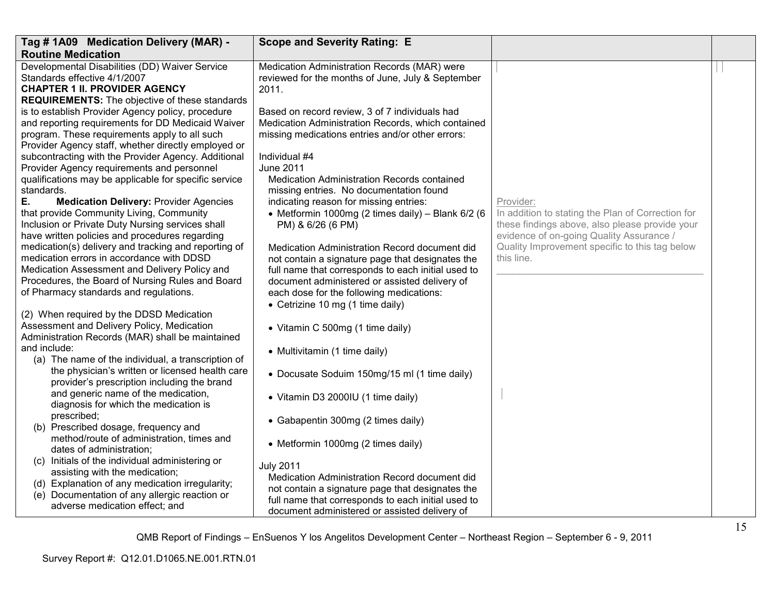| Tag # 1A09 Medication Delivery (MAR) -                                                                                                                                                                                                                                                                                                                                                                                                                                                                                                                                                                                                                                                                                                                                                                                                                  | <b>Scope and Severity Rating: E</b>                                                                                                                                                                                                                                                                                                                                                                                                                                                                                                                                                                                                                                 |                                                                                                                                                                                                                              |  |
|---------------------------------------------------------------------------------------------------------------------------------------------------------------------------------------------------------------------------------------------------------------------------------------------------------------------------------------------------------------------------------------------------------------------------------------------------------------------------------------------------------------------------------------------------------------------------------------------------------------------------------------------------------------------------------------------------------------------------------------------------------------------------------------------------------------------------------------------------------|---------------------------------------------------------------------------------------------------------------------------------------------------------------------------------------------------------------------------------------------------------------------------------------------------------------------------------------------------------------------------------------------------------------------------------------------------------------------------------------------------------------------------------------------------------------------------------------------------------------------------------------------------------------------|------------------------------------------------------------------------------------------------------------------------------------------------------------------------------------------------------------------------------|--|
| <b>Routine Medication</b>                                                                                                                                                                                                                                                                                                                                                                                                                                                                                                                                                                                                                                                                                                                                                                                                                               |                                                                                                                                                                                                                                                                                                                                                                                                                                                                                                                                                                                                                                                                     |                                                                                                                                                                                                                              |  |
| Developmental Disabilities (DD) Waiver Service<br>Standards effective 4/1/2007<br><b>CHAPTER 1 II. PROVIDER AGENCY</b><br><b>REQUIREMENTS:</b> The objective of these standards                                                                                                                                                                                                                                                                                                                                                                                                                                                                                                                                                                                                                                                                         | Medication Administration Records (MAR) were<br>reviewed for the months of June, July & September<br>2011.                                                                                                                                                                                                                                                                                                                                                                                                                                                                                                                                                          |                                                                                                                                                                                                                              |  |
| is to establish Provider Agency policy, procedure<br>and reporting requirements for DD Medicaid Waiver<br>program. These requirements apply to all such<br>Provider Agency staff, whether directly employed or<br>subcontracting with the Provider Agency. Additional<br>Provider Agency requirements and personnel<br>qualifications may be applicable for specific service<br>standards.<br>Е.<br><b>Medication Delivery: Provider Agencies</b><br>that provide Community Living, Community<br>Inclusion or Private Duty Nursing services shall<br>have written policies and procedures regarding<br>medication(s) delivery and tracking and reporting of<br>medication errors in accordance with DDSD<br>Medication Assessment and Delivery Policy and<br>Procedures, the Board of Nursing Rules and Board<br>of Pharmacy standards and regulations. | Based on record review, 3 of 7 individuals had<br>Medication Administration Records, which contained<br>missing medications entries and/or other errors:<br>Individual #4<br><b>June 2011</b><br>Medication Administration Records contained<br>missing entries. No documentation found<br>indicating reason for missing entries:<br>• Metformin 1000mg (2 times daily) - Blank 6/2 (6<br>PM) & 6/26 (6 PM)<br>Medication Administration Record document did<br>not contain a signature page that designates the<br>full name that corresponds to each initial used to<br>document administered or assisted delivery of<br>each dose for the following medications: | Provider:<br>In addition to stating the Plan of Correction for<br>these findings above, also please provide your<br>evidence of on-going Quality Assurance /<br>Quality Improvement specific to this tag below<br>this line. |  |
| (2) When required by the DDSD Medication<br>Assessment and Delivery Policy, Medication<br>Administration Records (MAR) shall be maintained                                                                                                                                                                                                                                                                                                                                                                                                                                                                                                                                                                                                                                                                                                              | • Cetrizine 10 mg (1 time daily)<br>• Vitamin C 500mg (1 time daily)                                                                                                                                                                                                                                                                                                                                                                                                                                                                                                                                                                                                |                                                                                                                                                                                                                              |  |
| and include:<br>(a) The name of the individual, a transcription of                                                                                                                                                                                                                                                                                                                                                                                                                                                                                                                                                                                                                                                                                                                                                                                      | • Multivitamin (1 time daily)                                                                                                                                                                                                                                                                                                                                                                                                                                                                                                                                                                                                                                       |                                                                                                                                                                                                                              |  |
| the physician's written or licensed health care<br>provider's prescription including the brand                                                                                                                                                                                                                                                                                                                                                                                                                                                                                                                                                                                                                                                                                                                                                          | • Docusate Soduim 150mg/15 ml (1 time daily)                                                                                                                                                                                                                                                                                                                                                                                                                                                                                                                                                                                                                        |                                                                                                                                                                                                                              |  |
| and generic name of the medication,<br>diagnosis for which the medication is                                                                                                                                                                                                                                                                                                                                                                                                                                                                                                                                                                                                                                                                                                                                                                            | • Vitamin D3 2000IU (1 time daily)                                                                                                                                                                                                                                                                                                                                                                                                                                                                                                                                                                                                                                  |                                                                                                                                                                                                                              |  |
| prescribed;<br>(b) Prescribed dosage, frequency and                                                                                                                                                                                                                                                                                                                                                                                                                                                                                                                                                                                                                                                                                                                                                                                                     | • Gabapentin 300mg (2 times daily)                                                                                                                                                                                                                                                                                                                                                                                                                                                                                                                                                                                                                                  |                                                                                                                                                                                                                              |  |
| method/route of administration, times and<br>dates of administration;                                                                                                                                                                                                                                                                                                                                                                                                                                                                                                                                                                                                                                                                                                                                                                                   | • Metformin 1000mg (2 times daily)                                                                                                                                                                                                                                                                                                                                                                                                                                                                                                                                                                                                                                  |                                                                                                                                                                                                                              |  |
| Initials of the individual administering or<br>(C)<br>assisting with the medication;<br>(d) Explanation of any medication irregularity;<br>(e) Documentation of any allergic reaction or<br>adverse medication effect; and                                                                                                                                                                                                                                                                                                                                                                                                                                                                                                                                                                                                                              | <b>July 2011</b><br>Medication Administration Record document did<br>not contain a signature page that designates the<br>full name that corresponds to each initial used to<br>document administered or assisted delivery of                                                                                                                                                                                                                                                                                                                                                                                                                                        |                                                                                                                                                                                                                              |  |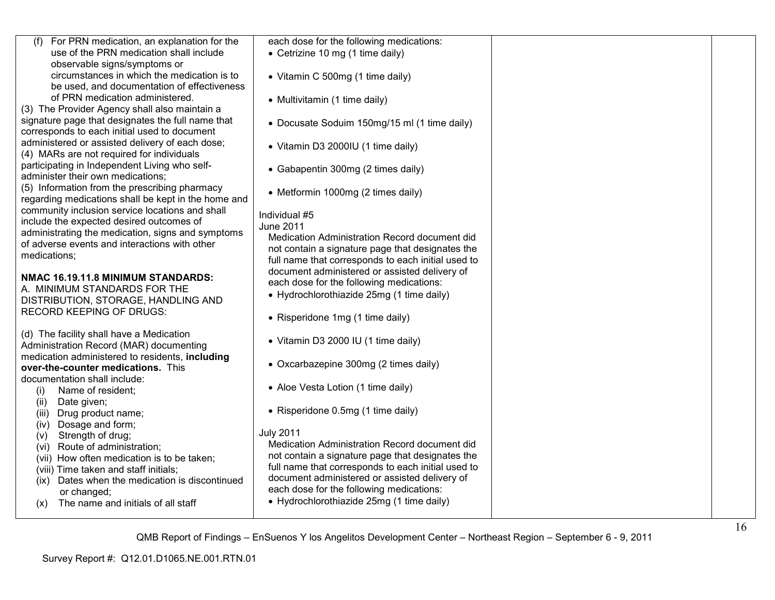| (f) For PRN medication, an explanation for the                                                       | each dose for the following medications:                                                          |  |
|------------------------------------------------------------------------------------------------------|---------------------------------------------------------------------------------------------------|--|
| use of the PRN medication shall include<br>observable signs/symptoms or                              | • Cetrizine 10 mg (1 time daily)                                                                  |  |
| circumstances in which the medication is to                                                          | • Vitamin C 500mg (1 time daily)                                                                  |  |
| be used, and documentation of effectiveness                                                          |                                                                                                   |  |
| of PRN medication administered.                                                                      | • Multivitamin (1 time daily)                                                                     |  |
| (3) The Provider Agency shall also maintain a                                                        |                                                                                                   |  |
| signature page that designates the full name that<br>corresponds to each initial used to document    | • Docusate Soduim 150mg/15 ml (1 time daily)                                                      |  |
| administered or assisted delivery of each dose;<br>(4) MARs are not required for individuals         | • Vitamin D3 2000IU (1 time daily)                                                                |  |
| participating in Independent Living who self-<br>administer their own medications;                   | • Gabapentin 300mg (2 times daily)                                                                |  |
| (5) Information from the prescribing pharmacy<br>regarding medications shall be kept in the home and | • Metformin 1000mg (2 times daily)                                                                |  |
| community inclusion service locations and shall                                                      | Individual #5                                                                                     |  |
| include the expected desired outcomes of                                                             | <b>June 2011</b>                                                                                  |  |
| administrating the medication, signs and symptoms                                                    | Medication Administration Record document did                                                     |  |
| of adverse events and interactions with other<br>medications;                                        | not contain a signature page that designates the                                                  |  |
|                                                                                                      | full name that corresponds to each initial used to                                                |  |
| NMAC 16.19.11.8 MINIMUM STANDARDS:                                                                   | document administered or assisted delivery of                                                     |  |
| A. MINIMUM STANDARDS FOR THE                                                                         | each dose for the following medications:<br>• Hydrochlorothiazide 25mg (1 time daily)             |  |
| DISTRIBUTION, STORAGE, HANDLING AND                                                                  |                                                                                                   |  |
| <b>RECORD KEEPING OF DRUGS:</b>                                                                      | • Risperidone 1mg (1 time daily)                                                                  |  |
| (d) The facility shall have a Medication<br>Administration Record (MAR) documenting                  | • Vitamin D3 2000 IU (1 time daily)                                                               |  |
| medication administered to residents, including                                                      | • Oxcarbazepine 300mg (2 times daily)                                                             |  |
| over-the-counter medications. This<br>documentation shall include:                                   |                                                                                                   |  |
| Name of resident;<br>(i)                                                                             | • Aloe Vesta Lotion (1 time daily)                                                                |  |
| Date given;<br>(ii)<br>Drug product name;<br>(iii)                                                   | • Risperidone 0.5mg (1 time daily)                                                                |  |
| Dosage and form;<br>(iv)                                                                             |                                                                                                   |  |
| Strength of drug;<br>(v)                                                                             | <b>July 2011</b>                                                                                  |  |
| Route of administration;<br>(vi)                                                                     | Medication Administration Record document did<br>not contain a signature page that designates the |  |
| (vii) How often medication is to be taken;<br>(viii) Time taken and staff initials;                  | full name that corresponds to each initial used to                                                |  |
| Dates when the medication is discontinued<br>(ix)                                                    | document administered or assisted delivery of                                                     |  |
| or changed;                                                                                          | each dose for the following medications:                                                          |  |
| The name and initials of all staff<br>(X)                                                            | • Hydrochlorothiazide 25mg (1 time daily)                                                         |  |
|                                                                                                      |                                                                                                   |  |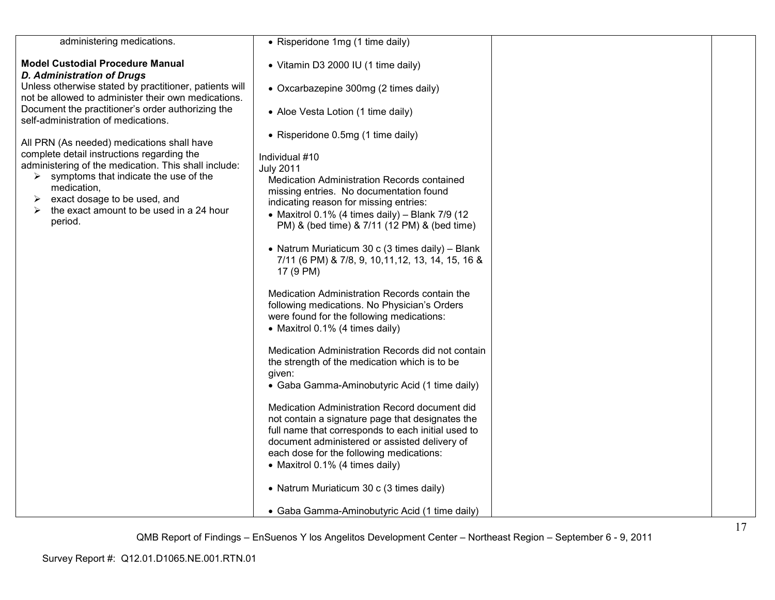| administering medications.                                                                                                                                                                                                                                       | • Risperidone 1mg (1 time daily)                                                                                                                                                                                                                                                        |  |
|------------------------------------------------------------------------------------------------------------------------------------------------------------------------------------------------------------------------------------------------------------------|-----------------------------------------------------------------------------------------------------------------------------------------------------------------------------------------------------------------------------------------------------------------------------------------|--|
| <b>Model Custodial Procedure Manual</b><br><b>D. Administration of Drugs</b>                                                                                                                                                                                     | • Vitamin D3 2000 IU (1 time daily)                                                                                                                                                                                                                                                     |  |
| Unless otherwise stated by practitioner, patients will<br>not be allowed to administer their own medications.                                                                                                                                                    | • Oxcarbazepine 300mg (2 times daily)                                                                                                                                                                                                                                                   |  |
| Document the practitioner's order authorizing the<br>self-administration of medications.                                                                                                                                                                         | • Aloe Vesta Lotion (1 time daily)                                                                                                                                                                                                                                                      |  |
| All PRN (As needed) medications shall have                                                                                                                                                                                                                       | • Risperidone 0.5mg (1 time daily)                                                                                                                                                                                                                                                      |  |
| complete detail instructions regarding the<br>administering of the medication. This shall include:<br>symptoms that indicate the use of the<br>➤<br>medication,<br>exact dosage to be used, and<br>➤<br>the exact amount to be used in a 24 hour<br>➤<br>period. | Individual #10<br><b>July 2011</b><br>Medication Administration Records contained<br>missing entries. No documentation found<br>indicating reason for missing entries:<br>• Maxitrol 0.1% (4 times daily) - Blank $7/9$ (12<br>PM) & (bed time) & 7/11 (12 PM) & (bed time)             |  |
|                                                                                                                                                                                                                                                                  | • Natrum Muriaticum 30 c (3 times daily) - Blank<br>7/11 (6 PM) & 7/8, 9, 10, 11, 12, 13, 14, 15, 16 &<br>17 (9 PM)                                                                                                                                                                     |  |
|                                                                                                                                                                                                                                                                  | Medication Administration Records contain the<br>following medications. No Physician's Orders<br>were found for the following medications:<br>• Maxitrol 0.1% (4 times daily)                                                                                                           |  |
|                                                                                                                                                                                                                                                                  | Medication Administration Records did not contain<br>the strength of the medication which is to be<br>given:<br>• Gaba Gamma-Aminobutyric Acid (1 time daily)                                                                                                                           |  |
|                                                                                                                                                                                                                                                                  | Medication Administration Record document did<br>not contain a signature page that designates the<br>full name that corresponds to each initial used to<br>document administered or assisted delivery of<br>each dose for the following medications:<br>• Maxitrol 0.1% (4 times daily) |  |
|                                                                                                                                                                                                                                                                  | • Natrum Muriaticum 30 c (3 times daily)                                                                                                                                                                                                                                                |  |
|                                                                                                                                                                                                                                                                  | • Gaba Gamma-Aminobutyric Acid (1 time daily)                                                                                                                                                                                                                                           |  |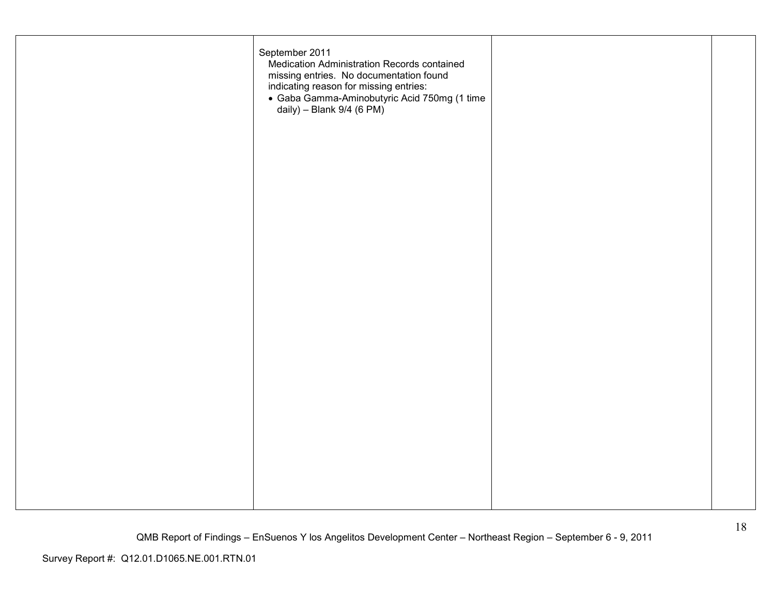| September 2011<br>Medication Administration Records contained<br>missing entries. No documentation found<br>indicating reason for missing entries:<br>· Gaba Gamma-Aminobutyric Acid 750mg (1 time<br>daily) - Blank $9/4$ (6 PM) |  |
|-----------------------------------------------------------------------------------------------------------------------------------------------------------------------------------------------------------------------------------|--|
|                                                                                                                                                                                                                                   |  |
|                                                                                                                                                                                                                                   |  |
|                                                                                                                                                                                                                                   |  |
|                                                                                                                                                                                                                                   |  |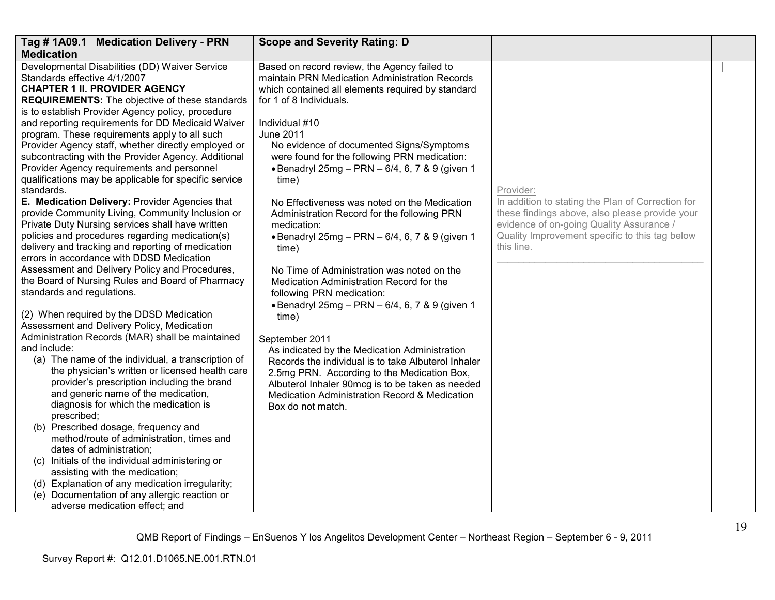| Tag # 1A09.1 Medication Delivery - PRN                                      | <b>Scope and Severity Rating: D</b>                        |                                                                |  |
|-----------------------------------------------------------------------------|------------------------------------------------------------|----------------------------------------------------------------|--|
| <b>Medication</b>                                                           |                                                            |                                                                |  |
| Developmental Disabilities (DD) Waiver Service                              | Based on record review, the Agency failed to               |                                                                |  |
| Standards effective 4/1/2007                                                | maintain PRN Medication Administration Records             |                                                                |  |
| <b>CHAPTER 1 II. PROVIDER AGENCY</b>                                        | which contained all elements required by standard          |                                                                |  |
| <b>REQUIREMENTS:</b> The objective of these standards                       | for 1 of 8 Individuals.                                    |                                                                |  |
| is to establish Provider Agency policy, procedure                           |                                                            |                                                                |  |
| and reporting requirements for DD Medicaid Waiver                           | Individual #10                                             |                                                                |  |
| program. These requirements apply to all such                               | <b>June 2011</b>                                           |                                                                |  |
| Provider Agency staff, whether directly employed or                         | No evidence of documented Signs/Symptoms                   |                                                                |  |
| subcontracting with the Provider Agency. Additional                         | were found for the following PRN medication:               |                                                                |  |
| Provider Agency requirements and personnel                                  | • Benadryl 25mg - PRN - 6/4, 6, 7 & 9 (given 1             |                                                                |  |
| qualifications may be applicable for specific service<br>standards.         | time)                                                      |                                                                |  |
| E. Medication Delivery: Provider Agencies that                              |                                                            | Provider:<br>In addition to stating the Plan of Correction for |  |
| provide Community Living, Community Inclusion or                            | No Effectiveness was noted on the Medication               | these findings above, also please provide your                 |  |
| Private Duty Nursing services shall have written                            | Administration Record for the following PRN<br>medication: | evidence of on-going Quality Assurance /                       |  |
| policies and procedures regarding medication(s)                             | • Benadryl 25mg - PRN - 6/4, 6, 7 & 9 (given 1             | Quality Improvement specific to this tag below                 |  |
| delivery and tracking and reporting of medication                           | time)                                                      | this line.                                                     |  |
| errors in accordance with DDSD Medication                                   |                                                            |                                                                |  |
| Assessment and Delivery Policy and Procedures,                              | No Time of Administration was noted on the                 |                                                                |  |
| the Board of Nursing Rules and Board of Pharmacy                            | Medication Administration Record for the                   |                                                                |  |
| standards and regulations.                                                  | following PRN medication:                                  |                                                                |  |
|                                                                             | · Benadryl 25mg - PRN - 6/4, 6, 7 & 9 (given 1             |                                                                |  |
| (2) When required by the DDSD Medication                                    | time)                                                      |                                                                |  |
| Assessment and Delivery Policy, Medication                                  |                                                            |                                                                |  |
| Administration Records (MAR) shall be maintained                            | September 2011                                             |                                                                |  |
| and include:                                                                | As indicated by the Medication Administration              |                                                                |  |
| (a) The name of the individual, a transcription of                          | Records the individual is to take Albuterol Inhaler        |                                                                |  |
| the physician's written or licensed health care                             | 2.5mg PRN. According to the Medication Box,                |                                                                |  |
| provider's prescription including the brand                                 | Albuterol Inhaler 90mcg is to be taken as needed           |                                                                |  |
| and generic name of the medication,                                         | Medication Administration Record & Medication              |                                                                |  |
| diagnosis for which the medication is                                       | Box do not match.                                          |                                                                |  |
| prescribed;                                                                 |                                                            |                                                                |  |
| (b) Prescribed dosage, frequency and                                        |                                                            |                                                                |  |
| method/route of administration, times and                                   |                                                            |                                                                |  |
| dates of administration;<br>(c) Initials of the individual administering or |                                                            |                                                                |  |
| assisting with the medication;                                              |                                                            |                                                                |  |
| (d) Explanation of any medication irregularity;                             |                                                            |                                                                |  |
| (e) Documentation of any allergic reaction or                               |                                                            |                                                                |  |
| adverse medication effect; and                                              |                                                            |                                                                |  |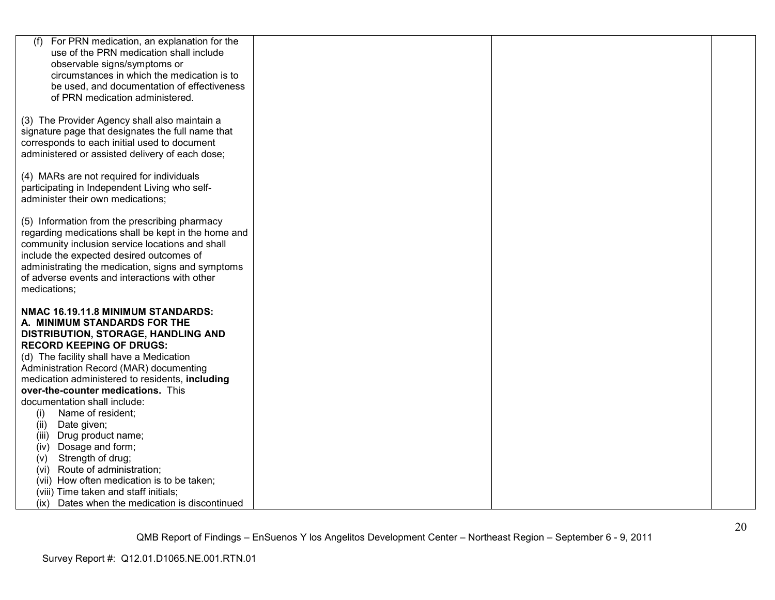| (f)<br>For PRN medication, an explanation for the                                                 |  |  |
|---------------------------------------------------------------------------------------------------|--|--|
| use of the PRN medication shall include                                                           |  |  |
| observable signs/symptoms or                                                                      |  |  |
| circumstances in which the medication is to                                                       |  |  |
| be used, and documentation of effectiveness                                                       |  |  |
| of PRN medication administered.                                                                   |  |  |
|                                                                                                   |  |  |
| (3) The Provider Agency shall also maintain a                                                     |  |  |
| signature page that designates the full name that<br>corresponds to each initial used to document |  |  |
| administered or assisted delivery of each dose;                                                   |  |  |
|                                                                                                   |  |  |
| (4) MARs are not required for individuals                                                         |  |  |
| participating in Independent Living who self-                                                     |  |  |
| administer their own medications;                                                                 |  |  |
|                                                                                                   |  |  |
| (5) Information from the prescribing pharmacy                                                     |  |  |
| regarding medications shall be kept in the home and                                               |  |  |
| community inclusion service locations and shall                                                   |  |  |
| include the expected desired outcomes of                                                          |  |  |
| administrating the medication, signs and symptoms                                                 |  |  |
| of adverse events and interactions with other                                                     |  |  |
| medications;                                                                                      |  |  |
| NMAC 16.19.11.8 MINIMUM STANDARDS:                                                                |  |  |
| A. MINIMUM STANDARDS FOR THE                                                                      |  |  |
| DISTRIBUTION, STORAGE, HANDLING AND                                                               |  |  |
| <b>RECORD KEEPING OF DRUGS:</b>                                                                   |  |  |
| (d) The facility shall have a Medication                                                          |  |  |
| Administration Record (MAR) documenting                                                           |  |  |
| medication administered to residents, including                                                   |  |  |
| over-the-counter medications. This                                                                |  |  |
| documentation shall include:                                                                      |  |  |
| Name of resident;<br>(i)                                                                          |  |  |
| Date given;<br>(ii)                                                                               |  |  |
| (iii) Drug product name;                                                                          |  |  |
| Dosage and form;<br>(iv)                                                                          |  |  |
| Strength of drug;<br>(V)                                                                          |  |  |
| (vi) Route of administration;                                                                     |  |  |
| (vii) How often medication is to be taken;                                                        |  |  |
| (viii) Time taken and staff initials;                                                             |  |  |
| (ix) Dates when the medication is discontinued                                                    |  |  |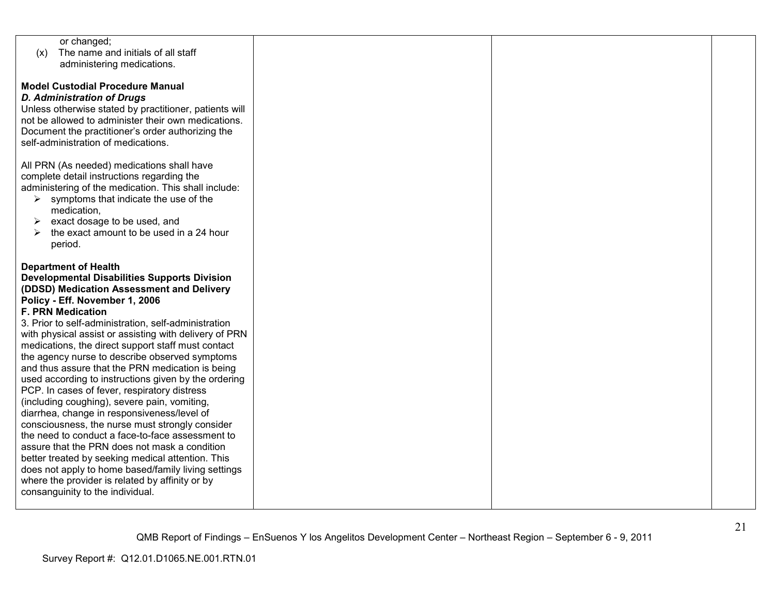| or changed;                                            |  |  |
|--------------------------------------------------------|--|--|
| The name and initials of all staff<br>(x)              |  |  |
| administering medications.                             |  |  |
|                                                        |  |  |
|                                                        |  |  |
| <b>Model Custodial Procedure Manual</b>                |  |  |
| <b>D. Administration of Drugs</b>                      |  |  |
| Unless otherwise stated by practitioner, patients will |  |  |
| not be allowed to administer their own medications.    |  |  |
|                                                        |  |  |
| Document the practitioner's order authorizing the      |  |  |
| self-administration of medications.                    |  |  |
|                                                        |  |  |
| All PRN (As needed) medications shall have             |  |  |
| complete detail instructions regarding the             |  |  |
| administering of the medication. This shall include:   |  |  |
| symptoms that indicate the use of the<br>➤             |  |  |
|                                                        |  |  |
| medication,                                            |  |  |
| exact dosage to be used, and<br>$\blacktriangleright$  |  |  |
| the exact amount to be used in a 24 hour<br>↘          |  |  |
| period.                                                |  |  |
|                                                        |  |  |
| <b>Department of Health</b>                            |  |  |
| <b>Developmental Disabilities Supports Division</b>    |  |  |
|                                                        |  |  |
| (DDSD) Medication Assessment and Delivery              |  |  |
| Policy - Eff. November 1, 2006                         |  |  |
| <b>F. PRN Medication</b>                               |  |  |
| 3. Prior to self-administration, self-administration   |  |  |
| with physical assist or assisting with delivery of PRN |  |  |
| medications, the direct support staff must contact     |  |  |
| the agency nurse to describe observed symptoms         |  |  |
|                                                        |  |  |
| and thus assure that the PRN medication is being       |  |  |
| used according to instructions given by the ordering   |  |  |
| PCP. In cases of fever, respiratory distress           |  |  |
| (including coughing), severe pain, vomiting,           |  |  |
| diarrhea, change in responsiveness/level of            |  |  |
| consciousness, the nurse must strongly consider        |  |  |
| the need to conduct a face-to-face assessment to       |  |  |
|                                                        |  |  |
| assure that the PRN does not mask a condition          |  |  |
| better treated by seeking medical attention. This      |  |  |
| does not apply to home based/family living settings    |  |  |
| where the provider is related by affinity or by        |  |  |
| consanguinity to the individual.                       |  |  |
|                                                        |  |  |
|                                                        |  |  |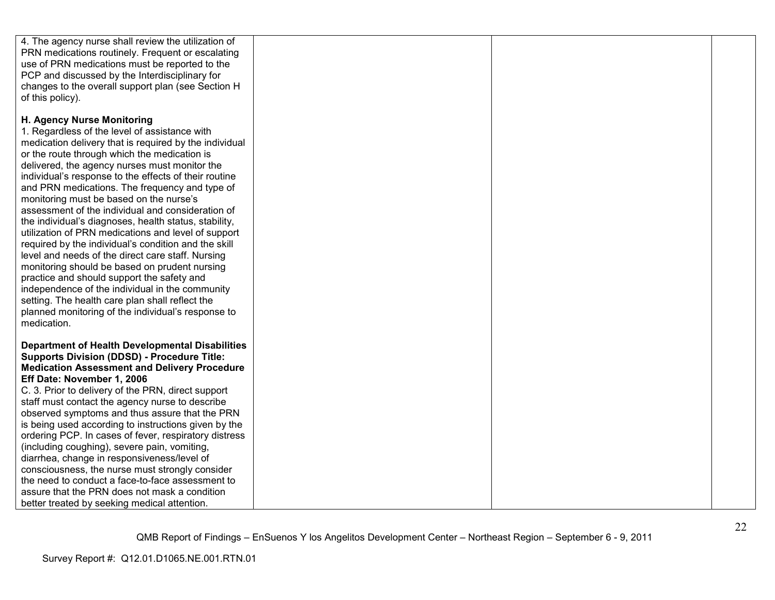| 4. The agency nurse shall review the utilization of    |  |  |
|--------------------------------------------------------|--|--|
|                                                        |  |  |
| PRN medications routinely. Frequent or escalating      |  |  |
| use of PRN medications must be reported to the         |  |  |
| PCP and discussed by the Interdisciplinary for         |  |  |
| changes to the overall support plan (see Section H     |  |  |
| of this policy).                                       |  |  |
|                                                        |  |  |
| H. Agency Nurse Monitoring                             |  |  |
| 1. Regardless of the level of assistance with          |  |  |
|                                                        |  |  |
| medication delivery that is required by the individual |  |  |
| or the route through which the medication is           |  |  |
| delivered, the agency nurses must monitor the          |  |  |
| individual's response to the effects of their routine  |  |  |
| and PRN medications. The frequency and type of         |  |  |
| monitoring must be based on the nurse's                |  |  |
| assessment of the individual and consideration of      |  |  |
| the individual's diagnoses, health status, stability,  |  |  |
| utilization of PRN medications and level of support    |  |  |
| required by the individual's condition and the skill   |  |  |
|                                                        |  |  |
| level and needs of the direct care staff. Nursing      |  |  |
| monitoring should be based on prudent nursing          |  |  |
| practice and should support the safety and             |  |  |
| independence of the individual in the community        |  |  |
| setting. The health care plan shall reflect the        |  |  |
| planned monitoring of the individual's response to     |  |  |
| medication.                                            |  |  |
|                                                        |  |  |
| <b>Department of Health Developmental Disabilities</b> |  |  |
| <b>Supports Division (DDSD) - Procedure Title:</b>     |  |  |
| <b>Medication Assessment and Delivery Procedure</b>    |  |  |
| Eff Date: November 1, 2006                             |  |  |
| C. 3. Prior to delivery of the PRN, direct support     |  |  |
| staff must contact the agency nurse to describe        |  |  |
| observed symptoms and thus assure that the PRN         |  |  |
| is being used according to instructions given by the   |  |  |
| ordering PCP. In cases of fever, respiratory distress  |  |  |
|                                                        |  |  |
| (including coughing), severe pain, vomiting,           |  |  |
| diarrhea, change in responsiveness/level of            |  |  |
| consciousness, the nurse must strongly consider        |  |  |
| the need to conduct a face-to-face assessment to       |  |  |
| assure that the PRN does not mask a condition          |  |  |
| better treated by seeking medical attention.           |  |  |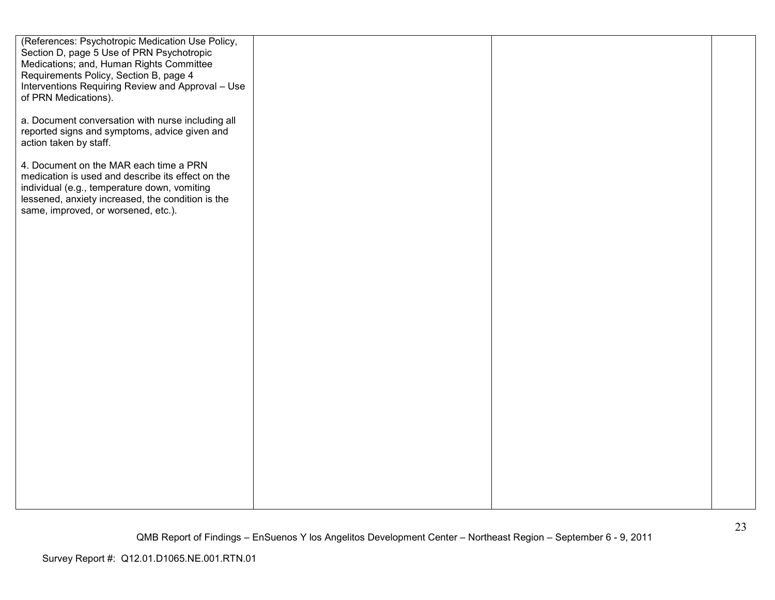| (References: Psychotropic Medication Use Policy,<br>Section D, page 5 Use of PRN Psychotropic<br>Medications; and, Human Rights Committee<br>Requirements Policy, Section B, page 4                                                     |  |  |
|-----------------------------------------------------------------------------------------------------------------------------------------------------------------------------------------------------------------------------------------|--|--|
| Interventions Requiring Review and Approval - Use<br>of PRN Medications).                                                                                                                                                               |  |  |
| a. Document conversation with nurse including all<br>reported signs and symptoms, advice given and<br>action taken by staff.                                                                                                            |  |  |
| 4. Document on the MAR each time a PRN<br>medication is used and describe its effect on the<br>individual (e.g., temperature down, vomiting<br>lessened, anxiety increased, the condition is the<br>same, improved, or worsened, etc.). |  |  |
|                                                                                                                                                                                                                                         |  |  |
|                                                                                                                                                                                                                                         |  |  |
|                                                                                                                                                                                                                                         |  |  |
|                                                                                                                                                                                                                                         |  |  |
|                                                                                                                                                                                                                                         |  |  |
|                                                                                                                                                                                                                                         |  |  |
|                                                                                                                                                                                                                                         |  |  |
|                                                                                                                                                                                                                                         |  |  |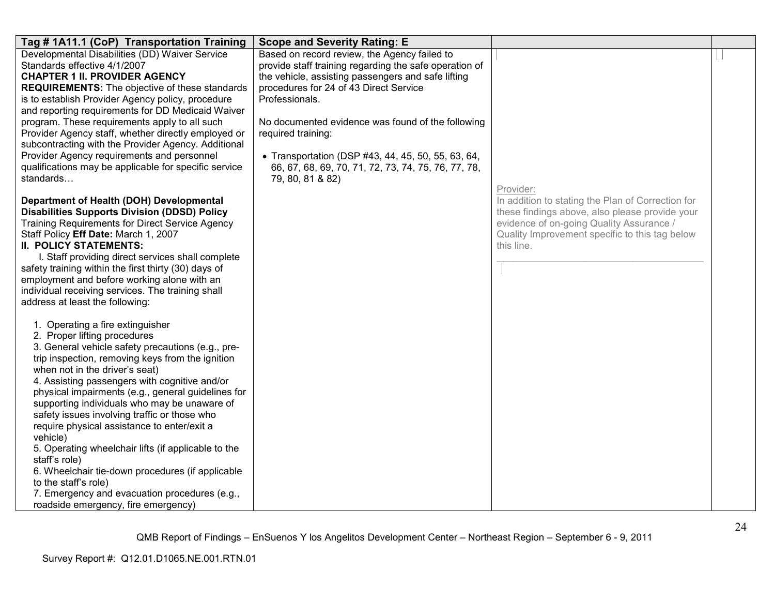| Tag #1A11.1 (CoP) Transportation Training                                                                                                                                                                                                                                                                                                                                                                                                                                                                                                                                                                                                                                                                                 | <b>Scope and Severity Rating: E</b>                                                                                                                                                                                                                                                                                                                                                                                                  |                                                                                                                                                                                                                              |  |
|---------------------------------------------------------------------------------------------------------------------------------------------------------------------------------------------------------------------------------------------------------------------------------------------------------------------------------------------------------------------------------------------------------------------------------------------------------------------------------------------------------------------------------------------------------------------------------------------------------------------------------------------------------------------------------------------------------------------------|--------------------------------------------------------------------------------------------------------------------------------------------------------------------------------------------------------------------------------------------------------------------------------------------------------------------------------------------------------------------------------------------------------------------------------------|------------------------------------------------------------------------------------------------------------------------------------------------------------------------------------------------------------------------------|--|
| Developmental Disabilities (DD) Waiver Service<br>Standards effective 4/1/2007<br><b>CHAPTER 1 II. PROVIDER AGENCY</b><br><b>REQUIREMENTS:</b> The objective of these standards<br>is to establish Provider Agency policy, procedure<br>and reporting requirements for DD Medicaid Waiver<br>program. These requirements apply to all such<br>Provider Agency staff, whether directly employed or<br>subcontracting with the Provider Agency. Additional<br>Provider Agency requirements and personnel<br>qualifications may be applicable for specific service<br>standards                                                                                                                                              | Based on record review, the Agency failed to<br>provide staff training regarding the safe operation of<br>the vehicle, assisting passengers and safe lifting<br>procedures for 24 of 43 Direct Service<br>Professionals.<br>No documented evidence was found of the following<br>required training:<br>• Transportation (DSP #43, 44, 45, 50, 55, 63, 64,<br>66, 67, 68, 69, 70, 71, 72, 73, 74, 75, 76, 77, 78,<br>79, 80, 81 & 82) |                                                                                                                                                                                                                              |  |
| Department of Health (DOH) Developmental<br><b>Disabilities Supports Division (DDSD) Policy</b><br><b>Training Requirements for Direct Service Agency</b><br>Staff Policy Eff Date: March 1, 2007<br><b>II. POLICY STATEMENTS:</b><br>I. Staff providing direct services shall complete<br>safety training within the first thirty (30) days of<br>employment and before working alone with an<br>individual receiving services. The training shall<br>address at least the following:                                                                                                                                                                                                                                    |                                                                                                                                                                                                                                                                                                                                                                                                                                      | Provider:<br>In addition to stating the Plan of Correction for<br>these findings above, also please provide your<br>evidence of on-going Quality Assurance /<br>Quality Improvement specific to this tag below<br>this line. |  |
| 1. Operating a fire extinguisher<br>2. Proper lifting procedures<br>3. General vehicle safety precautions (e.g., pre-<br>trip inspection, removing keys from the ignition<br>when not in the driver's seat)<br>4. Assisting passengers with cognitive and/or<br>physical impairments (e.g., general guidelines for<br>supporting individuals who may be unaware of<br>safety issues involving traffic or those who<br>require physical assistance to enter/exit a<br>vehicle)<br>5. Operating wheelchair lifts (if applicable to the<br>staff's role)<br>6. Wheelchair tie-down procedures (if applicable<br>to the staff's role)<br>7. Emergency and evacuation procedures (e.g.,<br>roadside emergency, fire emergency) |                                                                                                                                                                                                                                                                                                                                                                                                                                      |                                                                                                                                                                                                                              |  |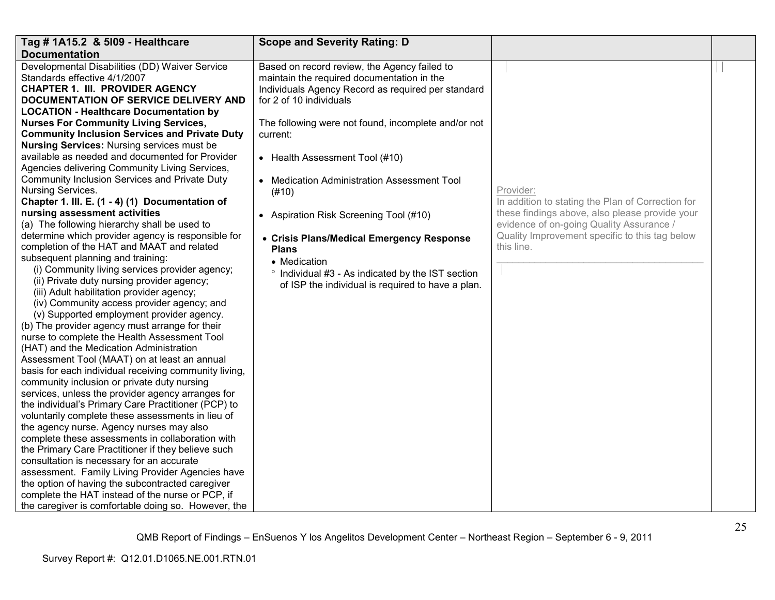| Tag # 1A15.2 & 5109 - Healthcare                                                             | <b>Scope and Severity Rating: D</b>                 |                                                   |  |
|----------------------------------------------------------------------------------------------|-----------------------------------------------------|---------------------------------------------------|--|
| <b>Documentation</b>                                                                         |                                                     |                                                   |  |
| Developmental Disabilities (DD) Waiver Service                                               | Based on record review, the Agency failed to        |                                                   |  |
| Standards effective 4/1/2007                                                                 | maintain the required documentation in the          |                                                   |  |
| <b>CHAPTER 1. III. PROVIDER AGENCY</b>                                                       | Individuals Agency Record as required per standard  |                                                   |  |
| DOCUMENTATION OF SERVICE DELIVERY AND                                                        | for 2 of 10 individuals                             |                                                   |  |
| <b>LOCATION - Healthcare Documentation by</b>                                                |                                                     |                                                   |  |
| <b>Nurses For Community Living Services,</b>                                                 | The following were not found, incomplete and/or not |                                                   |  |
| <b>Community Inclusion Services and Private Duty</b>                                         | current:                                            |                                                   |  |
| <b>Nursing Services: Nursing services must be</b>                                            |                                                     |                                                   |  |
| available as needed and documented for Provider                                              | • Health Assessment Tool (#10)                      |                                                   |  |
| Agencies delivering Community Living Services,                                               |                                                     |                                                   |  |
| Community Inclusion Services and Private Duty                                                | • Medication Administration Assessment Tool         |                                                   |  |
| Nursing Services.                                                                            | (#10)                                               | Provider:                                         |  |
| Chapter 1. III. E. (1 - 4) (1) Documentation of                                              |                                                     | In addition to stating the Plan of Correction for |  |
| nursing assessment activities                                                                | • Aspiration Risk Screening Tool (#10)              | these findings above, also please provide your    |  |
| (a) The following hierarchy shall be used to                                                 |                                                     | evidence of on-going Quality Assurance /          |  |
| determine which provider agency is responsible for                                           | • Crisis Plans/Medical Emergency Response           | Quality Improvement specific to this tag below    |  |
| completion of the HAT and MAAT and related                                                   | <b>Plans</b>                                        | this line.                                        |  |
| subsequent planning and training:                                                            | • Medication                                        |                                                   |  |
| (i) Community living services provider agency;<br>(ii) Private duty nursing provider agency; | ° Individual #3 - As indicated by the IST section   |                                                   |  |
| (iii) Adult habilitation provider agency;                                                    | of ISP the individual is required to have a plan.   |                                                   |  |
| (iv) Community access provider agency; and                                                   |                                                     |                                                   |  |
| (v) Supported employment provider agency.                                                    |                                                     |                                                   |  |
| (b) The provider agency must arrange for their                                               |                                                     |                                                   |  |
| nurse to complete the Health Assessment Tool                                                 |                                                     |                                                   |  |
| (HAT) and the Medication Administration                                                      |                                                     |                                                   |  |
| Assessment Tool (MAAT) on at least an annual                                                 |                                                     |                                                   |  |
| basis for each individual receiving community living,                                        |                                                     |                                                   |  |
| community inclusion or private duty nursing                                                  |                                                     |                                                   |  |
| services, unless the provider agency arranges for                                            |                                                     |                                                   |  |
| the individual's Primary Care Practitioner (PCP) to                                          |                                                     |                                                   |  |
| voluntarily complete these assessments in lieu of                                            |                                                     |                                                   |  |
| the agency nurse. Agency nurses may also                                                     |                                                     |                                                   |  |
| complete these assessments in collaboration with                                             |                                                     |                                                   |  |
| the Primary Care Practitioner if they believe such                                           |                                                     |                                                   |  |
| consultation is necessary for an accurate                                                    |                                                     |                                                   |  |
| assessment. Family Living Provider Agencies have                                             |                                                     |                                                   |  |
| the option of having the subcontracted caregiver                                             |                                                     |                                                   |  |
| complete the HAT instead of the nurse or PCP, if                                             |                                                     |                                                   |  |
| the caregiver is comfortable doing so. However, the                                          |                                                     |                                                   |  |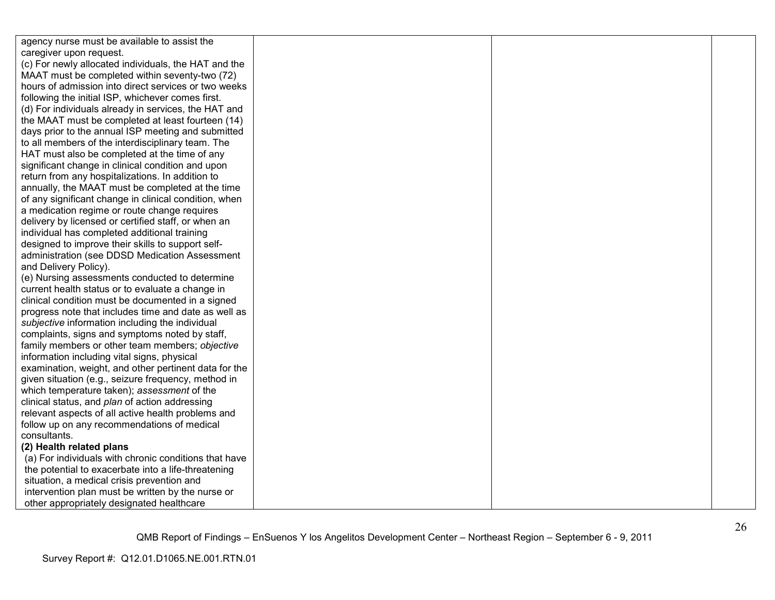| agency nurse must be available to assist the          |  |  |
|-------------------------------------------------------|--|--|
| caregiver upon request.                               |  |  |
| (c) For newly allocated individuals, the HAT and the  |  |  |
| MAAT must be completed within seventy-two (72)        |  |  |
| hours of admission into direct services or two weeks  |  |  |
| following the initial ISP, whichever comes first.     |  |  |
| (d) For individuals already in services, the HAT and  |  |  |
| the MAAT must be completed at least fourteen (14)     |  |  |
| days prior to the annual ISP meeting and submitted    |  |  |
| to all members of the interdisciplinary team. The     |  |  |
| HAT must also be completed at the time of any         |  |  |
| significant change in clinical condition and upon     |  |  |
| return from any hospitalizations. In addition to      |  |  |
| annually, the MAAT must be completed at the time      |  |  |
| of any significant change in clinical condition, when |  |  |
| a medication regime or route change requires          |  |  |
| delivery by licensed or certified staff, or when an   |  |  |
| individual has completed additional training          |  |  |
| designed to improve their skills to support self-     |  |  |
| administration (see DDSD Medication Assessment        |  |  |
| and Delivery Policy).                                 |  |  |
| (e) Nursing assessments conducted to determine        |  |  |
| current health status or to evaluate a change in      |  |  |
| clinical condition must be documented in a signed     |  |  |
| progress note that includes time and date as well as  |  |  |
| subjective information including the individual       |  |  |
| complaints, signs and symptoms noted by staff,        |  |  |
| family members or other team members; objective       |  |  |
| information including vital signs, physical           |  |  |
| examination, weight, and other pertinent data for the |  |  |
| given situation (e.g., seizure frequency, method in   |  |  |
| which temperature taken); assessment of the           |  |  |
| clinical status, and plan of action addressing        |  |  |
| relevant aspects of all active health problems and    |  |  |
| follow up on any recommendations of medical           |  |  |
| consultants.                                          |  |  |
| (2) Health related plans                              |  |  |
| (a) For individuals with chronic conditions that have |  |  |
| the potential to exacerbate into a life-threatening   |  |  |
| situation, a medical crisis prevention and            |  |  |
| intervention plan must be written by the nurse or     |  |  |
| other appropriately designated healthcare             |  |  |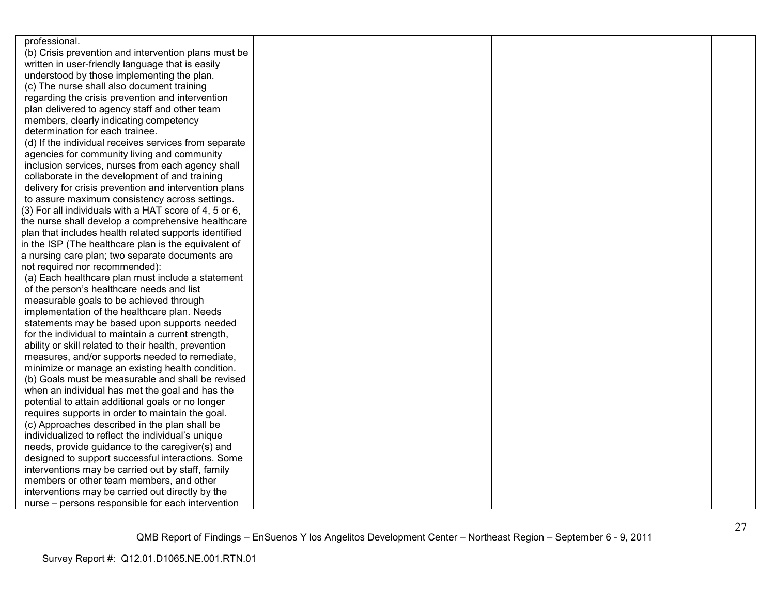| professional.                                          |  |  |
|--------------------------------------------------------|--|--|
| (b) Crisis prevention and intervention plans must be   |  |  |
| written in user-friendly language that is easily       |  |  |
| understood by those implementing the plan.             |  |  |
| (c) The nurse shall also document training             |  |  |
| regarding the crisis prevention and intervention       |  |  |
| plan delivered to agency staff and other team          |  |  |
| members, clearly indicating competency                 |  |  |
| determination for each trainee.                        |  |  |
| (d) If the individual receives services from separate  |  |  |
| agencies for community living and community            |  |  |
| inclusion services, nurses from each agency shall      |  |  |
| collaborate in the development of and training         |  |  |
| delivery for crisis prevention and intervention plans  |  |  |
| to assure maximum consistency across settings.         |  |  |
| (3) For all individuals with a HAT score of 4, 5 or 6, |  |  |
| the nurse shall develop a comprehensive healthcare     |  |  |
| plan that includes health related supports identified  |  |  |
| in the ISP (The healthcare plan is the equivalent of   |  |  |
| a nursing care plan; two separate documents are        |  |  |
| not required nor recommended):                         |  |  |
| (a) Each healthcare plan must include a statement      |  |  |
| of the person's healthcare needs and list              |  |  |
| measurable goals to be achieved through                |  |  |
| implementation of the healthcare plan. Needs           |  |  |
| statements may be based upon supports needed           |  |  |
| for the individual to maintain a current strength,     |  |  |
| ability or skill related to their health, prevention   |  |  |
| measures, and/or supports needed to remediate,         |  |  |
| minimize or manage an existing health condition.       |  |  |
| (b) Goals must be measurable and shall be revised      |  |  |
| when an individual has met the goal and has the        |  |  |
| potential to attain additional goals or no longer      |  |  |
| requires supports in order to maintain the goal.       |  |  |
| (c) Approaches described in the plan shall be          |  |  |
| individualized to reflect the individual's unique      |  |  |
| needs, provide guidance to the caregiver(s) and        |  |  |
| designed to support successful interactions. Some      |  |  |
| interventions may be carried out by staff, family      |  |  |
| members or other team members, and other               |  |  |
| interventions may be carried out directly by the       |  |  |
| nurse – persons responsible for each intervention      |  |  |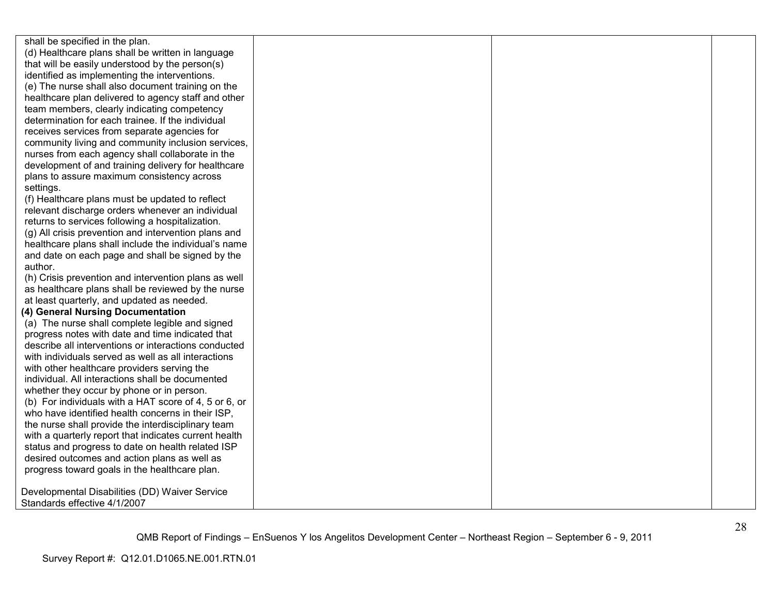shall be specified in the plan. (d) Healthcare plans shall be written in language that will be easily understood by the person(s) identified as implementing the interventions. (e) The nurse shall also document training on the healthcare plan delivered to agency staff and otherteam members, clearly indicating competency determination for each trainee. If the individual receives services from separate agencies for community living and community inclusion services, nurses from each agency shall collaborate in the development of and training delivery for healthcareplans to assure maximum consistency across settings. (f) Healthcare plans must be updated to reflect relevant discharge orders whenever an individual returns to services following a hospitalization. (g) All crisis prevention and intervention plans and healthcare plans shall include the individual's name and date on each page and shall be signed by the author. (h) Crisis prevention and intervention plans as well as healthcare plans shall be reviewed by the nurse at least quarterly, and updated as needed. **(4) General Nursing Documentation**  (a) The nurse shall complete legible and signed progress notes with date and time indicated that describe all interventions or interactions conducted with individuals served as well as all interactionswith other healthcare providers serving the individual. All interactions shall be documented whether they occur by phone or in person. (b) For individuals with a HAT score of 4, 5 or 6, or who have identified health concerns in their ISP. the nurse shall provide the interdisciplinary team with a quarterly report that indicates current health status and progress to date on health related ISP desired outcomes and action plans as well as progress toward goals in the healthcare plan. Developmental Disabilities (DD) Waiver Service Standards effective 4/1/2007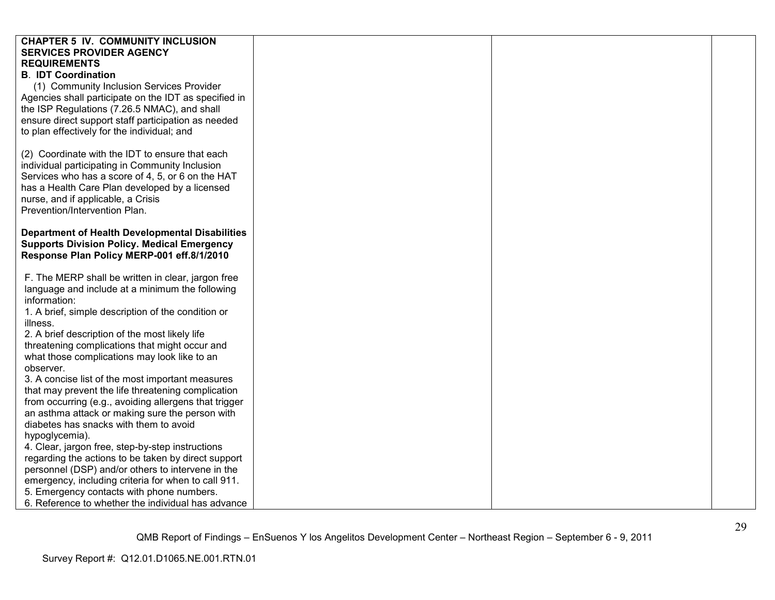| <b>CHAPTER 5 IV. COMMUNITY INCLUSION</b>               |  |  |
|--------------------------------------------------------|--|--|
| <b>SERVICES PROVIDER AGENCY</b>                        |  |  |
| <b>REQUIREMENTS</b>                                    |  |  |
| <b>B. IDT Coordination</b>                             |  |  |
| (1) Community Inclusion Services Provider              |  |  |
| Agencies shall participate on the IDT as specified in  |  |  |
| the ISP Regulations (7.26.5 NMAC), and shall           |  |  |
| ensure direct support staff participation as needed    |  |  |
| to plan effectively for the individual; and            |  |  |
|                                                        |  |  |
| (2) Coordinate with the IDT to ensure that each        |  |  |
| individual participating in Community Inclusion        |  |  |
| Services who has a score of 4, 5, or 6 on the HAT      |  |  |
| has a Health Care Plan developed by a licensed         |  |  |
| nurse, and if applicable, a Crisis                     |  |  |
| Prevention/Intervention Plan.                          |  |  |
|                                                        |  |  |
| <b>Department of Health Developmental Disabilities</b> |  |  |
| <b>Supports Division Policy. Medical Emergency</b>     |  |  |
| Response Plan Policy MERP-001 eff.8/1/2010             |  |  |
|                                                        |  |  |
| F. The MERP shall be written in clear, jargon free     |  |  |
| language and include at a minimum the following        |  |  |
| information:                                           |  |  |
| 1. A brief, simple description of the condition or     |  |  |
| illness.                                               |  |  |
| 2. A brief description of the most likely life         |  |  |
| threatening complications that might occur and         |  |  |
| what those complications may look like to an           |  |  |
| observer.                                              |  |  |
| 3. A concise list of the most important measures       |  |  |
| that may prevent the life threatening complication     |  |  |
| from occurring (e.g., avoiding allergens that trigger  |  |  |
| an asthma attack or making sure the person with        |  |  |
| diabetes has snacks with them to avoid                 |  |  |
| hypoglycemia).                                         |  |  |
| 4. Clear, jargon free, step-by-step instructions       |  |  |
| regarding the actions to be taken by direct support    |  |  |
| personnel (DSP) and/or others to intervene in the      |  |  |
| emergency, including criteria for when to call 911.    |  |  |
| 5. Emergency contacts with phone numbers.              |  |  |
| 6. Reference to whether the individual has advance     |  |  |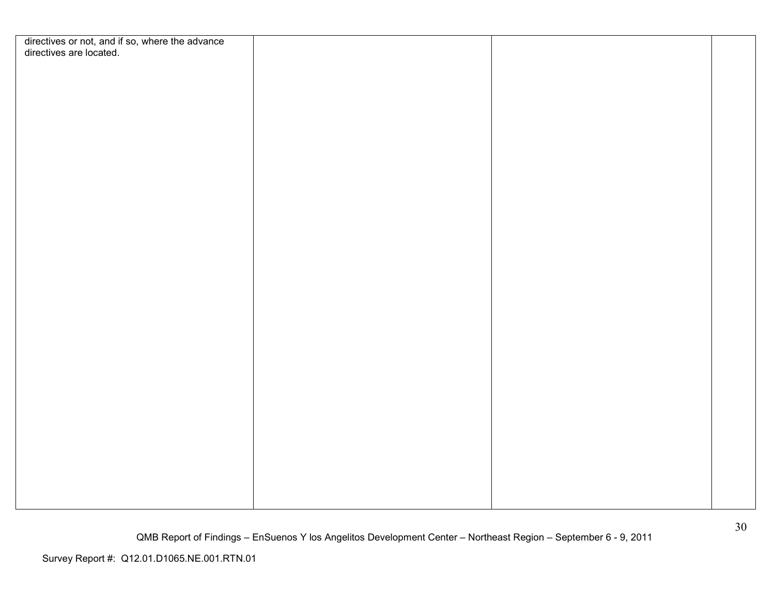| directives or not, and if so, where the advance<br>directives are located. |  |  |
|----------------------------------------------------------------------------|--|--|
|                                                                            |  |  |
|                                                                            |  |  |
|                                                                            |  |  |
|                                                                            |  |  |
|                                                                            |  |  |
|                                                                            |  |  |
|                                                                            |  |  |
|                                                                            |  |  |
|                                                                            |  |  |
|                                                                            |  |  |
|                                                                            |  |  |
|                                                                            |  |  |
|                                                                            |  |  |
|                                                                            |  |  |
|                                                                            |  |  |
|                                                                            |  |  |
|                                                                            |  |  |
|                                                                            |  |  |
|                                                                            |  |  |
|                                                                            |  |  |
|                                                                            |  |  |
|                                                                            |  |  |
|                                                                            |  |  |
|                                                                            |  |  |
|                                                                            |  |  |
|                                                                            |  |  |
|                                                                            |  |  |
|                                                                            |  |  |
|                                                                            |  |  |
|                                                                            |  |  |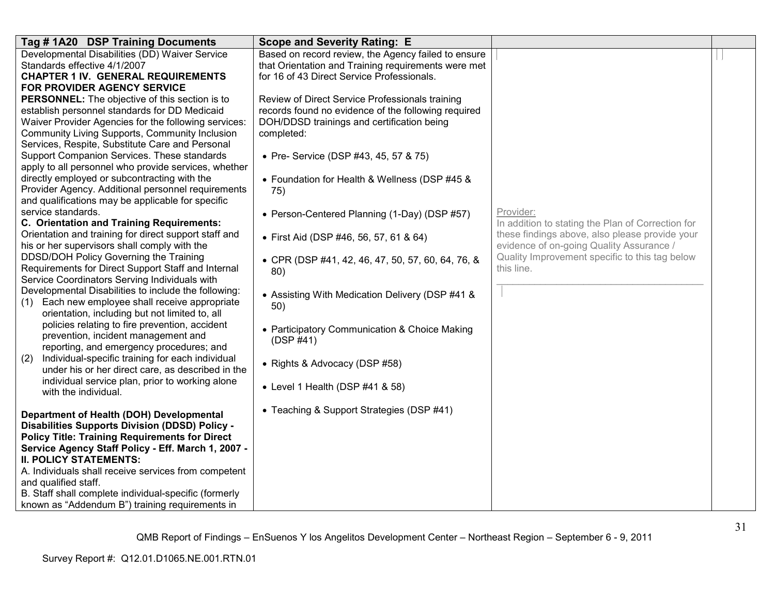| Tag # 1A20 DSP Training Documents                                                                    | <b>Scope and Severity Rating: E</b>                 |                                                   |  |
|------------------------------------------------------------------------------------------------------|-----------------------------------------------------|---------------------------------------------------|--|
| Developmental Disabilities (DD) Waiver Service                                                       | Based on record review, the Agency failed to ensure |                                                   |  |
| Standards effective 4/1/2007                                                                         | that Orientation and Training requirements were met |                                                   |  |
| <b>CHAPTER 1 IV. GENERAL REQUIREMENTS</b>                                                            | for 16 of 43 Direct Service Professionals.          |                                                   |  |
| FOR PROVIDER AGENCY SERVICE                                                                          |                                                     |                                                   |  |
| <b>PERSONNEL:</b> The objective of this section is to                                                | Review of Direct Service Professionals training     |                                                   |  |
| establish personnel standards for DD Medicaid                                                        | records found no evidence of the following required |                                                   |  |
| Waiver Provider Agencies for the following services:                                                 | DOH/DDSD trainings and certification being          |                                                   |  |
| Community Living Supports, Community Inclusion                                                       | completed:                                          |                                                   |  |
| Services, Respite, Substitute Care and Personal                                                      |                                                     |                                                   |  |
| Support Companion Services. These standards                                                          | • Pre- Service (DSP #43, 45, 57 & 75)               |                                                   |  |
| apply to all personnel who provide services, whether                                                 |                                                     |                                                   |  |
| directly employed or subcontracting with the                                                         | • Foundation for Health & Wellness (DSP #45 &       |                                                   |  |
| Provider Agency. Additional personnel requirements                                                   | 75)                                                 |                                                   |  |
| and qualifications may be applicable for specific                                                    |                                                     |                                                   |  |
| service standards.                                                                                   | • Person-Centered Planning (1-Day) (DSP #57)        | Provider:                                         |  |
| C. Orientation and Training Requirements:                                                            |                                                     | In addition to stating the Plan of Correction for |  |
| Orientation and training for direct support staff and                                                | • First Aid (DSP #46, 56, 57, 61 & 64)              | these findings above, also please provide your    |  |
| his or her supervisors shall comply with the                                                         |                                                     | evidence of on-going Quality Assurance /          |  |
| DDSD/DOH Policy Governing the Training                                                               | • CPR (DSP #41, 42, 46, 47, 50, 57, 60, 64, 76, &   | Quality Improvement specific to this tag below    |  |
| Requirements for Direct Support Staff and Internal                                                   | 80)                                                 | this line.                                        |  |
| Service Coordinators Serving Individuals with                                                        |                                                     |                                                   |  |
| Developmental Disabilities to include the following:                                                 | • Assisting With Medication Delivery (DSP #41 &     |                                                   |  |
| Each new employee shall receive appropriate<br>(1)<br>orientation, including but not limited to, all | 50)                                                 |                                                   |  |
| policies relating to fire prevention, accident                                                       |                                                     |                                                   |  |
| prevention, incident management and                                                                  | • Participatory Communication & Choice Making       |                                                   |  |
| reporting, and emergency procedures; and                                                             | (DSP #41)                                           |                                                   |  |
| Individual-specific training for each individual<br>(2)                                              |                                                     |                                                   |  |
| under his or her direct care, as described in the                                                    | • Rights & Advocacy (DSP #58)                       |                                                   |  |
| individual service plan, prior to working alone                                                      |                                                     |                                                   |  |
| with the individual.                                                                                 | • Level 1 Health (DSP #41 & 58)                     |                                                   |  |
|                                                                                                      |                                                     |                                                   |  |
| Department of Health (DOH) Developmental                                                             | • Teaching & Support Strategies (DSP #41)           |                                                   |  |
| Disabilities Supports Division (DDSD) Policy -                                                       |                                                     |                                                   |  |
| <b>Policy Title: Training Requirements for Direct</b>                                                |                                                     |                                                   |  |
| Service Agency Staff Policy - Eff. March 1, 2007 -                                                   |                                                     |                                                   |  |
| <b>II. POLICY STATEMENTS:</b>                                                                        |                                                     |                                                   |  |
| A. Individuals shall receive services from competent                                                 |                                                     |                                                   |  |
| and qualified staff.                                                                                 |                                                     |                                                   |  |
| B. Staff shall complete individual-specific (formerly                                                |                                                     |                                                   |  |
| known as "Addendum B") training requirements in                                                      |                                                     |                                                   |  |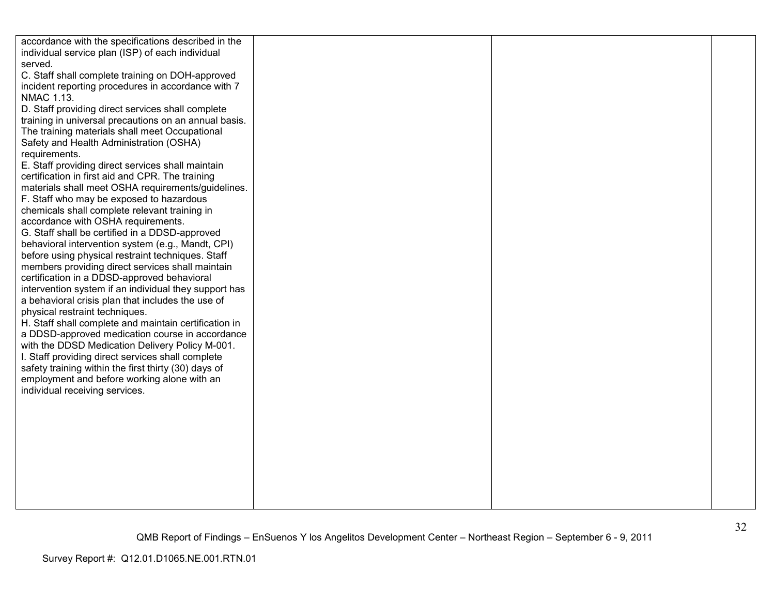| accordance with the specifications described in the                           |  |  |
|-------------------------------------------------------------------------------|--|--|
| individual service plan (ISP) of each individual                              |  |  |
| served.                                                                       |  |  |
| C. Staff shall complete training on DOH-approved                              |  |  |
| incident reporting procedures in accordance with 7                            |  |  |
| <b>NMAC 1.13.</b>                                                             |  |  |
| D. Staff providing direct services shall complete                             |  |  |
| training in universal precautions on an annual basis.                         |  |  |
| The training materials shall meet Occupational                                |  |  |
| Safety and Health Administration (OSHA)                                       |  |  |
| requirements.                                                                 |  |  |
| E. Staff providing direct services shall maintain                             |  |  |
| certification in first aid and CPR. The training                              |  |  |
| materials shall meet OSHA requirements/guidelines.                            |  |  |
| F. Staff who may be exposed to hazardous                                      |  |  |
| chemicals shall complete relevant training in                                 |  |  |
| accordance with OSHA requirements.                                            |  |  |
| G. Staff shall be certified in a DDSD-approved                                |  |  |
| behavioral intervention system (e.g., Mandt, CPI)                             |  |  |
| before using physical restraint techniques. Staff                             |  |  |
| members providing direct services shall maintain                              |  |  |
| certification in a DDSD-approved behavioral                                   |  |  |
| intervention system if an individual they support has                         |  |  |
| a behavioral crisis plan that includes the use of                             |  |  |
| physical restraint techniques.                                                |  |  |
| H. Staff shall complete and maintain certification in                         |  |  |
| a DDSD-approved medication course in accordance                               |  |  |
| with the DDSD Medication Delivery Policy M-001.                               |  |  |
| I. Staff providing direct services shall complete                             |  |  |
| safety training within the first thirty (30) days of                          |  |  |
| employment and before working alone with an<br>individual receiving services. |  |  |
|                                                                               |  |  |
|                                                                               |  |  |
|                                                                               |  |  |
|                                                                               |  |  |
|                                                                               |  |  |
|                                                                               |  |  |
|                                                                               |  |  |
|                                                                               |  |  |
|                                                                               |  |  |
|                                                                               |  |  |
|                                                                               |  |  |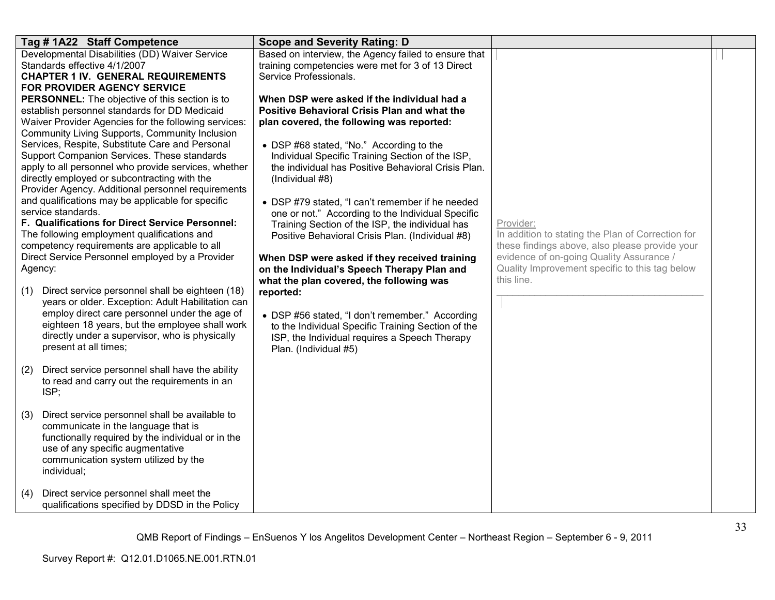|     | Tag #1A22 Staff Competence                                                                                                                                                                                                                                                                                                                                                                                                                                                                                                                                                                                                                                                                                                                                                                                                                                                                                                                                                                                                                                                                          | <b>Scope and Severity Rating: D</b>                                                                                                                                                                                                                                                                                                                                                                                                                                                                                                                                                                                                                                                                                                                                                                                                                                                   |                                                                                                                                                                                                                              |  |
|-----|-----------------------------------------------------------------------------------------------------------------------------------------------------------------------------------------------------------------------------------------------------------------------------------------------------------------------------------------------------------------------------------------------------------------------------------------------------------------------------------------------------------------------------------------------------------------------------------------------------------------------------------------------------------------------------------------------------------------------------------------------------------------------------------------------------------------------------------------------------------------------------------------------------------------------------------------------------------------------------------------------------------------------------------------------------------------------------------------------------|---------------------------------------------------------------------------------------------------------------------------------------------------------------------------------------------------------------------------------------------------------------------------------------------------------------------------------------------------------------------------------------------------------------------------------------------------------------------------------------------------------------------------------------------------------------------------------------------------------------------------------------------------------------------------------------------------------------------------------------------------------------------------------------------------------------------------------------------------------------------------------------|------------------------------------------------------------------------------------------------------------------------------------------------------------------------------------------------------------------------------|--|
| (1) | Developmental Disabilities (DD) Waiver Service<br>Standards effective 4/1/2007<br><b>CHAPTER 1 IV. GENERAL REQUIREMENTS</b><br><b>FOR PROVIDER AGENCY SERVICE</b><br>PERSONNEL: The objective of this section is to<br>establish personnel standards for DD Medicaid<br>Waiver Provider Agencies for the following services:<br>Community Living Supports, Community Inclusion<br>Services, Respite, Substitute Care and Personal<br>Support Companion Services. These standards<br>apply to all personnel who provide services, whether<br>directly employed or subcontracting with the<br>Provider Agency. Additional personnel requirements<br>and qualifications may be applicable for specific<br>service standards.<br>F. Qualifications for Direct Service Personnel:<br>The following employment qualifications and<br>competency requirements are applicable to all<br>Direct Service Personnel employed by a Provider<br>Agency:<br>Direct service personnel shall be eighteen (18)<br>years or older. Exception: Adult Habilitation can<br>employ direct care personnel under the age of | Based on interview, the Agency failed to ensure that<br>training competencies were met for 3 of 13 Direct<br>Service Professionals.<br>When DSP were asked if the individual had a<br>Positive Behavioral Crisis Plan and what the<br>plan covered, the following was reported:<br>• DSP #68 stated, "No." According to the<br>Individual Specific Training Section of the ISP,<br>the individual has Positive Behavioral Crisis Plan.<br>(Individual #8)<br>• DSP #79 stated, "I can't remember if he needed<br>one or not." According to the Individual Specific<br>Training Section of the ISP, the individual has<br>Positive Behavioral Crisis Plan. (Individual #8)<br>When DSP were asked if they received training<br>on the Individual's Speech Therapy Plan and<br>what the plan covered, the following was<br>reported:<br>• DSP #56 stated, "I don't remember." According | Provider:<br>In addition to stating the Plan of Correction for<br>these findings above, also please provide your<br>evidence of on-going Quality Assurance /<br>Quality Improvement specific to this tag below<br>this line. |  |
|     | eighteen 18 years, but the employee shall work<br>directly under a supervisor, who is physically<br>present at all times;                                                                                                                                                                                                                                                                                                                                                                                                                                                                                                                                                                                                                                                                                                                                                                                                                                                                                                                                                                           | to the Individual Specific Training Section of the<br>ISP, the Individual requires a Speech Therapy<br>Plan. (Individual #5)                                                                                                                                                                                                                                                                                                                                                                                                                                                                                                                                                                                                                                                                                                                                                          |                                                                                                                                                                                                                              |  |
| (2) | Direct service personnel shall have the ability<br>to read and carry out the requirements in an<br>ISP;                                                                                                                                                                                                                                                                                                                                                                                                                                                                                                                                                                                                                                                                                                                                                                                                                                                                                                                                                                                             |                                                                                                                                                                                                                                                                                                                                                                                                                                                                                                                                                                                                                                                                                                                                                                                                                                                                                       |                                                                                                                                                                                                                              |  |
| (3) | Direct service personnel shall be available to<br>communicate in the language that is<br>functionally required by the individual or in the<br>use of any specific augmentative<br>communication system utilized by the<br>individual;                                                                                                                                                                                                                                                                                                                                                                                                                                                                                                                                                                                                                                                                                                                                                                                                                                                               |                                                                                                                                                                                                                                                                                                                                                                                                                                                                                                                                                                                                                                                                                                                                                                                                                                                                                       |                                                                                                                                                                                                                              |  |
| (4) | Direct service personnel shall meet the<br>qualifications specified by DDSD in the Policy                                                                                                                                                                                                                                                                                                                                                                                                                                                                                                                                                                                                                                                                                                                                                                                                                                                                                                                                                                                                           |                                                                                                                                                                                                                                                                                                                                                                                                                                                                                                                                                                                                                                                                                                                                                                                                                                                                                       |                                                                                                                                                                                                                              |  |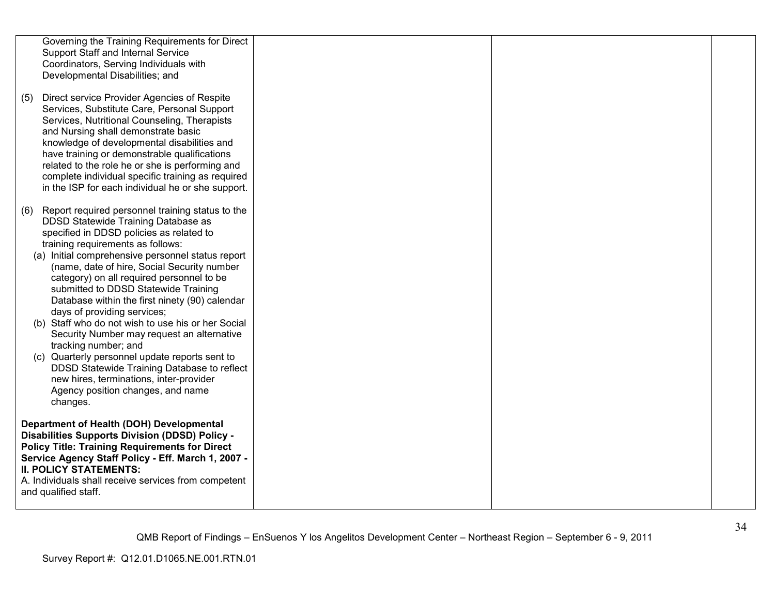| Support Staff and Internal Service<br>Developmental Disabilities; and                                       | Governing the Training Requirements for Direct<br>Coordinators, Serving Individuals with                                                                                                                                                                                                                                                                                                                                                                                                                                                                                                                                                                            |  |  |
|-------------------------------------------------------------------------------------------------------------|---------------------------------------------------------------------------------------------------------------------------------------------------------------------------------------------------------------------------------------------------------------------------------------------------------------------------------------------------------------------------------------------------------------------------------------------------------------------------------------------------------------------------------------------------------------------------------------------------------------------------------------------------------------------|--|--|
| (5)<br>and Nursing shall demonstrate basic                                                                  | Direct service Provider Agencies of Respite<br>Services, Substitute Care, Personal Support<br>Services, Nutritional Counseling, Therapists<br>knowledge of developmental disabilities and<br>have training or demonstrable qualifications<br>related to the role he or she is performing and<br>complete individual specific training as required<br>in the ISP for each individual he or she support.                                                                                                                                                                                                                                                              |  |  |
| (6)<br>training requirements as follows:<br>days of providing services;<br>tracking number; and<br>changes. | Report required personnel training status to the<br>DDSD Statewide Training Database as<br>specified in DDSD policies as related to<br>(a) Initial comprehensive personnel status report<br>(name, date of hire, Social Security number<br>category) on all required personnel to be<br>submitted to DDSD Statewide Training<br>Database within the first ninety (90) calendar<br>(b) Staff who do not wish to use his or her Social<br>Security Number may request an alternative<br>(c) Quarterly personnel update reports sent to<br>DDSD Statewide Training Database to reflect<br>new hires, terminations, inter-provider<br>Agency position changes, and name |  |  |
| <b>II. POLICY STATEMENTS:</b><br>and qualified staff.                                                       | Department of Health (DOH) Developmental<br><b>Disabilities Supports Division (DDSD) Policy -</b><br><b>Policy Title: Training Requirements for Direct</b><br>Service Agency Staff Policy - Eff. March 1, 2007 -<br>A. Individuals shall receive services from competent                                                                                                                                                                                                                                                                                                                                                                                            |  |  |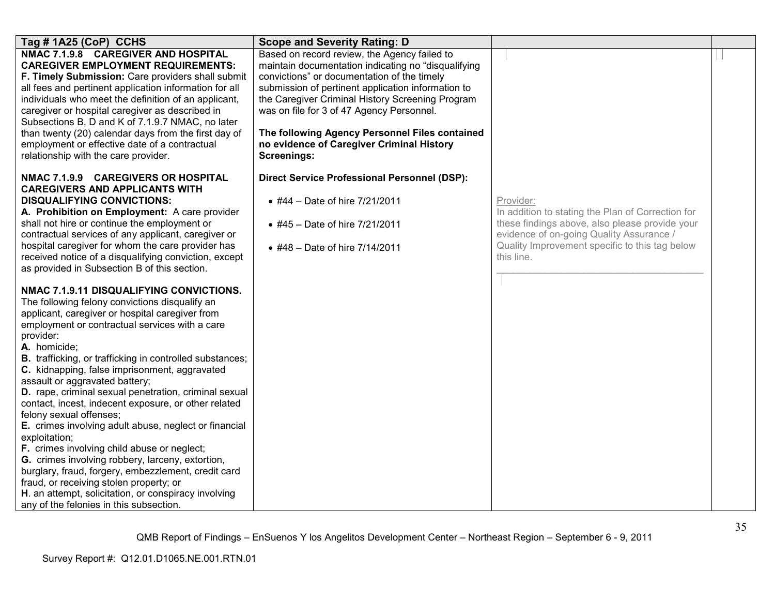| Tag #1A25 (CoP) CCHS                                                                                                                                                                                                                                                                                                                                                                                                                                                                                                                                                                                                                                                                                                                                                                                                                                                                                                                                                                                                                                                                                                                                                                                                                                                                                                                                        | <b>Scope and Severity Rating: D</b>                                                                                                                                                                                                                                                                                                                                                                                            |                                                                                                                                                                                                                              |  |
|-------------------------------------------------------------------------------------------------------------------------------------------------------------------------------------------------------------------------------------------------------------------------------------------------------------------------------------------------------------------------------------------------------------------------------------------------------------------------------------------------------------------------------------------------------------------------------------------------------------------------------------------------------------------------------------------------------------------------------------------------------------------------------------------------------------------------------------------------------------------------------------------------------------------------------------------------------------------------------------------------------------------------------------------------------------------------------------------------------------------------------------------------------------------------------------------------------------------------------------------------------------------------------------------------------------------------------------------------------------|--------------------------------------------------------------------------------------------------------------------------------------------------------------------------------------------------------------------------------------------------------------------------------------------------------------------------------------------------------------------------------------------------------------------------------|------------------------------------------------------------------------------------------------------------------------------------------------------------------------------------------------------------------------------|--|
| NMAC 7.1.9.8 CAREGIVER AND HOSPITAL<br><b>CAREGIVER EMPLOYMENT REQUIREMENTS:</b><br>F. Timely Submission: Care providers shall submit<br>all fees and pertinent application information for all<br>individuals who meet the definition of an applicant,<br>caregiver or hospital caregiver as described in<br>Subsections B, D and K of 7.1.9.7 NMAC, no later<br>than twenty (20) calendar days from the first day of<br>employment or effective date of a contractual<br>relationship with the care provider.                                                                                                                                                                                                                                                                                                                                                                                                                                                                                                                                                                                                                                                                                                                                                                                                                                             | Based on record review, the Agency failed to<br>maintain documentation indicating no "disqualifying<br>convictions" or documentation of the timely<br>submission of pertinent application information to<br>the Caregiver Criminal History Screening Program<br>was on file for 3 of 47 Agency Personnel.<br>The following Agency Personnel Files contained<br>no evidence of Caregiver Criminal History<br><b>Screenings:</b> |                                                                                                                                                                                                                              |  |
| NMAC 7.1.9.9 CAREGIVERS OR HOSPITAL<br><b>CAREGIVERS AND APPLICANTS WITH</b><br><b>DISQUALIFYING CONVICTIONS:</b><br>A. Prohibition on Employment: A care provider<br>shall not hire or continue the employment or<br>contractual services of any applicant, caregiver or<br>hospital caregiver for whom the care provider has<br>received notice of a disqualifying conviction, except<br>as provided in Subsection B of this section.<br>NMAC 7.1.9.11 DISQUALIFYING CONVICTIONS.<br>The following felony convictions disqualify an<br>applicant, caregiver or hospital caregiver from<br>employment or contractual services with a care<br>provider:<br>A. homicide;<br><b>B.</b> trafficking, or trafficking in controlled substances;<br>C. kidnapping, false imprisonment, aggravated<br>assault or aggravated battery;<br>D. rape, criminal sexual penetration, criminal sexual<br>contact, incest, indecent exposure, or other related<br>felony sexual offenses;<br>E. crimes involving adult abuse, neglect or financial<br>exploitation;<br>F. crimes involving child abuse or neglect;<br>G. crimes involving robbery, larceny, extortion,<br>burglary, fraud, forgery, embezzlement, credit card<br>fraud, or receiving stolen property; or<br>H. an attempt, solicitation, or conspiracy involving<br>any of the felonies in this subsection. | <b>Direct Service Professional Personnel (DSP):</b><br>• #44 - Date of hire 7/21/2011<br>• #45 - Date of hire 7/21/2011<br>• #48 - Date of hire 7/14/2011                                                                                                                                                                                                                                                                      | Provider:<br>In addition to stating the Plan of Correction for<br>these findings above, also please provide your<br>evidence of on-going Quality Assurance /<br>Quality Improvement specific to this tag below<br>this line. |  |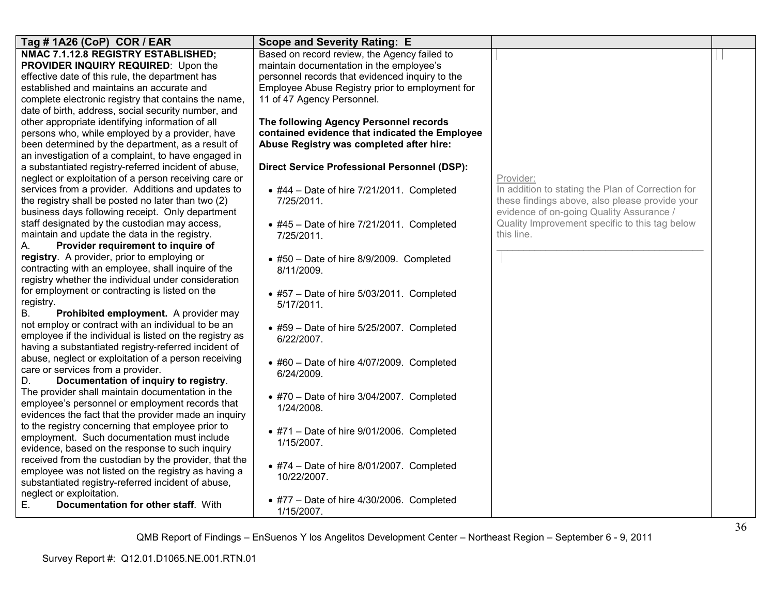| Tag # 1A26 (CoP) COR / EAR                                                                              | <b>Scope and Severity Rating: E</b>                 |                                                   |  |
|---------------------------------------------------------------------------------------------------------|-----------------------------------------------------|---------------------------------------------------|--|
| NMAC 7.1.12.8 REGISTRY ESTABLISHED;                                                                     | Based on record review, the Agency failed to        |                                                   |  |
| PROVIDER INQUIRY REQUIRED: Upon the                                                                     | maintain documentation in the employee's            |                                                   |  |
| effective date of this rule, the department has                                                         | personnel records that evidenced inquiry to the     |                                                   |  |
| established and maintains an accurate and                                                               | Employee Abuse Registry prior to employment for     |                                                   |  |
| complete electronic registry that contains the name,                                                    | 11 of 47 Agency Personnel.                          |                                                   |  |
| date of birth, address, social security number, and                                                     |                                                     |                                                   |  |
| other appropriate identifying information of all                                                        | The following Agency Personnel records              |                                                   |  |
| persons who, while employed by a provider, have                                                         | contained evidence that indicated the Employee      |                                                   |  |
| been determined by the department, as a result of                                                       | Abuse Registry was completed after hire:            |                                                   |  |
| an investigation of a complaint, to have engaged in                                                     |                                                     |                                                   |  |
| a substantiated registry-referred incident of abuse,                                                    | <b>Direct Service Professional Personnel (DSP):</b> |                                                   |  |
| neglect or exploitation of a person receiving care or                                                   |                                                     | Provider:                                         |  |
| services from a provider. Additions and updates to                                                      | $\bullet$ #44 - Date of hire 7/21/2011. Completed   | In addition to stating the Plan of Correction for |  |
| the registry shall be posted no later than two (2)                                                      | 7/25/2011.                                          | these findings above, also please provide your    |  |
| business days following receipt. Only department                                                        |                                                     | evidence of on-going Quality Assurance /          |  |
| staff designated by the custodian may access,                                                           | $\bullet$ #45 - Date of hire 7/21/2011. Completed   | Quality Improvement specific to this tag below    |  |
| maintain and update the data in the registry.                                                           | 7/25/2011.                                          | this line.                                        |  |
| Provider requirement to inquire of<br>А.                                                                |                                                     |                                                   |  |
| registry. A provider, prior to employing or                                                             | • #50 - Date of hire 8/9/2009. Completed            |                                                   |  |
| contracting with an employee, shall inquire of the                                                      | 8/11/2009.                                          |                                                   |  |
| registry whether the individual under consideration                                                     |                                                     |                                                   |  |
| for employment or contracting is listed on the                                                          | $\bullet$ #57 - Date of hire 5/03/2011. Completed   |                                                   |  |
| registry.                                                                                               | 5/17/2011.                                          |                                                   |  |
| Prohibited employment. A provider may<br>В.                                                             |                                                     |                                                   |  |
| not employ or contract with an individual to be an                                                      | $\bullet$ #59 - Date of hire 5/25/2007. Completed   |                                                   |  |
| employee if the individual is listed on the registry as                                                 | 6/22/2007.                                          |                                                   |  |
| having a substantiated registry-referred incident of                                                    |                                                     |                                                   |  |
| abuse, neglect or exploitation of a person receiving                                                    | $\bullet$ #60 - Date of hire 4/07/2009. Completed   |                                                   |  |
| care or services from a provider.                                                                       | 6/24/2009.                                          |                                                   |  |
| D.<br>Documentation of inquiry to registry.<br>The provider shall maintain documentation in the         |                                                     |                                                   |  |
|                                                                                                         | $\bullet$ #70 - Date of hire 3/04/2007. Completed   |                                                   |  |
| employee's personnel or employment records that<br>evidences the fact that the provider made an inquiry | 1/24/2008.                                          |                                                   |  |
| to the registry concerning that employee prior to                                                       |                                                     |                                                   |  |
| employment. Such documentation must include                                                             | $*$ #71 - Date of hire 9/01/2006. Completed         |                                                   |  |
| evidence, based on the response to such inquiry                                                         | 1/15/2007.                                          |                                                   |  |
| received from the custodian by the provider, that the                                                   |                                                     |                                                   |  |
| employee was not listed on the registry as having a                                                     | $\bullet$ #74 - Date of hire 8/01/2007. Completed   |                                                   |  |
| substantiated registry-referred incident of abuse,                                                      | 10/22/2007.                                         |                                                   |  |
| neglect or exploitation.                                                                                |                                                     |                                                   |  |
| Documentation for other staff. With<br>Е.                                                               | $\bullet$ #77 - Date of hire 4/30/2006. Completed   |                                                   |  |
|                                                                                                         | 1/15/2007.                                          |                                                   |  |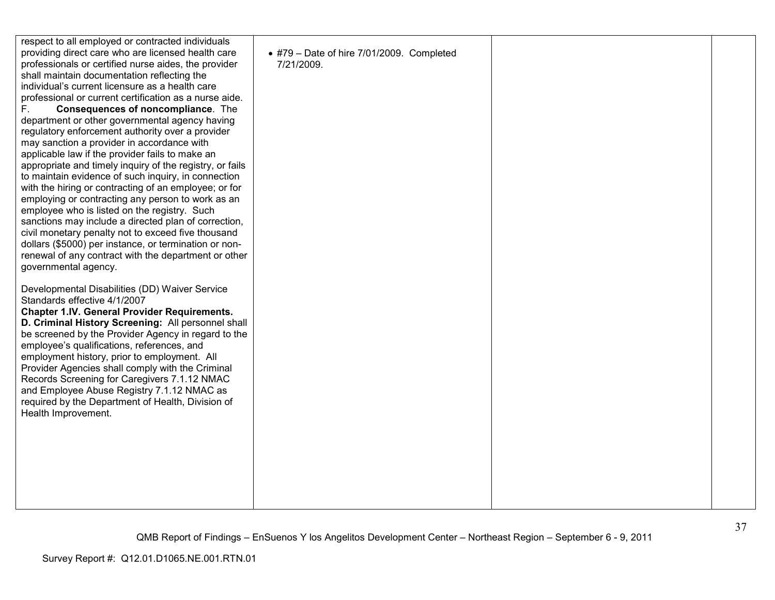| respect to all employed or contracted individuals<br>providing direct care who are licensed health care<br>professionals or certified nurse aides, the provider<br>shall maintain documentation reflecting the<br>individual's current licensure as a health care<br>professional or current certification as a nurse aide.<br>F.<br>Consequences of noncompliance. The<br>department or other governmental agency having<br>regulatory enforcement authority over a provider<br>may sanction a provider in accordance with<br>applicable law if the provider fails to make an<br>appropriate and timely inquiry of the registry, or fails<br>to maintain evidence of such inquiry, in connection<br>with the hiring or contracting of an employee; or for<br>employing or contracting any person to work as an<br>employee who is listed on the registry. Such<br>sanctions may include a directed plan of correction,<br>civil monetary penalty not to exceed five thousand<br>dollars (\$5000) per instance, or termination or non-<br>renewal of any contract with the department or other<br>governmental agency. | $\bullet$ #79 - Date of hire 7/01/2009. Completed<br>7/21/2009. |  |
|------------------------------------------------------------------------------------------------------------------------------------------------------------------------------------------------------------------------------------------------------------------------------------------------------------------------------------------------------------------------------------------------------------------------------------------------------------------------------------------------------------------------------------------------------------------------------------------------------------------------------------------------------------------------------------------------------------------------------------------------------------------------------------------------------------------------------------------------------------------------------------------------------------------------------------------------------------------------------------------------------------------------------------------------------------------------------------------------------------------------|-----------------------------------------------------------------|--|
| Developmental Disabilities (DD) Waiver Service<br>Standards effective 4/1/2007<br><b>Chapter 1.IV. General Provider Requirements.</b><br>D. Criminal History Screening: All personnel shall<br>be screened by the Provider Agency in regard to the<br>employee's qualifications, references, and<br>employment history, prior to employment. All<br>Provider Agencies shall comply with the Criminal<br>Records Screening for Caregivers 7.1.12 NMAC<br>and Employee Abuse Registry 7.1.12 NMAC as<br>required by the Department of Health, Division of<br>Health Improvement.                                                                                                                                                                                                                                                                                                                                                                                                                                                                                                                                         |                                                                 |  |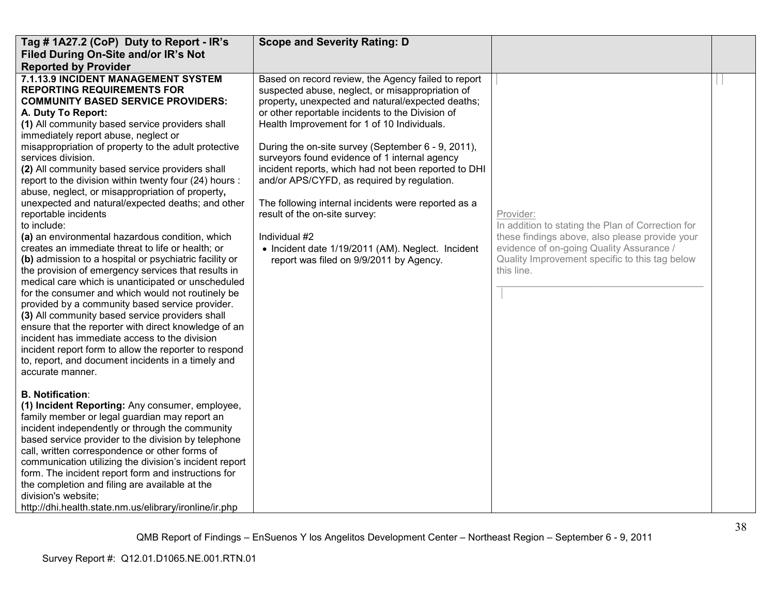| Tag # 1A27.2 (CoP) Duty to Report - IR's                                                                                                                                                                                                                                                                                                                                                                                                                                                                                                                                                                                                                                                                                                                                                                                                                                                                                                                                                                                                                                                                                                                                                                                                                                | <b>Scope and Severity Rating: D</b>                                                                                                                                                                                                                                                                                                                                                                                                                                                                                                                                                                                                                                                    |                                                                                                                                                                                                                              |  |
|-------------------------------------------------------------------------------------------------------------------------------------------------------------------------------------------------------------------------------------------------------------------------------------------------------------------------------------------------------------------------------------------------------------------------------------------------------------------------------------------------------------------------------------------------------------------------------------------------------------------------------------------------------------------------------------------------------------------------------------------------------------------------------------------------------------------------------------------------------------------------------------------------------------------------------------------------------------------------------------------------------------------------------------------------------------------------------------------------------------------------------------------------------------------------------------------------------------------------------------------------------------------------|----------------------------------------------------------------------------------------------------------------------------------------------------------------------------------------------------------------------------------------------------------------------------------------------------------------------------------------------------------------------------------------------------------------------------------------------------------------------------------------------------------------------------------------------------------------------------------------------------------------------------------------------------------------------------------------|------------------------------------------------------------------------------------------------------------------------------------------------------------------------------------------------------------------------------|--|
| Filed During On-Site and/or IR's Not                                                                                                                                                                                                                                                                                                                                                                                                                                                                                                                                                                                                                                                                                                                                                                                                                                                                                                                                                                                                                                                                                                                                                                                                                                    |                                                                                                                                                                                                                                                                                                                                                                                                                                                                                                                                                                                                                                                                                        |                                                                                                                                                                                                                              |  |
| <b>Reported by Provider</b>                                                                                                                                                                                                                                                                                                                                                                                                                                                                                                                                                                                                                                                                                                                                                                                                                                                                                                                                                                                                                                                                                                                                                                                                                                             |                                                                                                                                                                                                                                                                                                                                                                                                                                                                                                                                                                                                                                                                                        |                                                                                                                                                                                                                              |  |
| 7.1.13.9 INCIDENT MANAGEMENT SYSTEM<br><b>REPORTING REQUIREMENTS FOR</b><br><b>COMMUNITY BASED SERVICE PROVIDERS:</b><br>A. Duty To Report:<br>(1) All community based service providers shall<br>immediately report abuse, neglect or<br>misappropriation of property to the adult protective<br>services division.<br>(2) All community based service providers shall<br>report to the division within twenty four (24) hours :<br>abuse, neglect, or misappropriation of property,<br>unexpected and natural/expected deaths; and other<br>reportable incidents<br>to include:<br>(a) an environmental hazardous condition, which<br>creates an immediate threat to life or health; or<br>(b) admission to a hospital or psychiatric facility or<br>the provision of emergency services that results in<br>medical care which is unanticipated or unscheduled<br>for the consumer and which would not routinely be<br>provided by a community based service provider.<br>(3) All community based service providers shall<br>ensure that the reporter with direct knowledge of an<br>incident has immediate access to the division<br>incident report form to allow the reporter to respond<br>to, report, and document incidents in a timely and<br>accurate manner. | Based on record review, the Agency failed to report<br>suspected abuse, neglect, or misappropriation of<br>property, unexpected and natural/expected deaths;<br>or other reportable incidents to the Division of<br>Health Improvement for 1 of 10 Individuals.<br>During the on-site survey (September 6 - 9, 2011),<br>surveyors found evidence of 1 internal agency<br>incident reports, which had not been reported to DHI<br>and/or APS/CYFD, as required by regulation.<br>The following internal incidents were reported as a<br>result of the on-site survey:<br>Individual #2<br>• Incident date 1/19/2011 (AM). Neglect. Incident<br>report was filed on 9/9/2011 by Agency. | Provider:<br>In addition to stating the Plan of Correction for<br>these findings above, also please provide your<br>evidence of on-going Quality Assurance /<br>Quality Improvement specific to this tag below<br>this line. |  |
| <b>B. Notification:</b><br>(1) Incident Reporting: Any consumer, employee,<br>family member or legal guardian may report an<br>incident independently or through the community<br>based service provider to the division by telephone<br>call, written correspondence or other forms of<br>communication utilizing the division's incident report<br>form. The incident report form and instructions for<br>the completion and filing are available at the<br>division's website;<br>http://dhi.health.state.nm.us/elibrary/ironline/ir.php                                                                                                                                                                                                                                                                                                                                                                                                                                                                                                                                                                                                                                                                                                                             |                                                                                                                                                                                                                                                                                                                                                                                                                                                                                                                                                                                                                                                                                        |                                                                                                                                                                                                                              |  |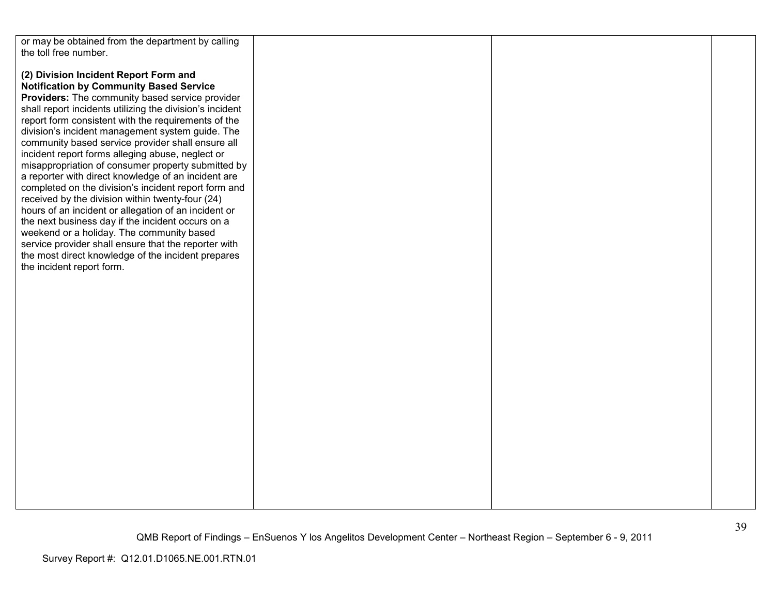| or may be obtained from the department by calling        |  |  |
|----------------------------------------------------------|--|--|
| the toll free number.                                    |  |  |
|                                                          |  |  |
|                                                          |  |  |
| (2) Division Incident Report Form and                    |  |  |
|                                                          |  |  |
| <b>Notification by Community Based Service</b>           |  |  |
| Providers: The community based service provider          |  |  |
|                                                          |  |  |
| shall report incidents utilizing the division's incident |  |  |
| report form consistent with the requirements of the      |  |  |
|                                                          |  |  |
| division's incident management system guide. The         |  |  |
| community based service provider shall ensure all        |  |  |
|                                                          |  |  |
| incident report forms alleging abuse, neglect or         |  |  |
| misappropriation of consumer property submitted by       |  |  |
| a reporter with direct knowledge of an incident are      |  |  |
|                                                          |  |  |
| completed on the division's incident report form and     |  |  |
| received by the division within twenty-four (24)         |  |  |
|                                                          |  |  |
| hours of an incident or allegation of an incident or     |  |  |
| the next business day if the incident occurs on a        |  |  |
|                                                          |  |  |
| weekend or a holiday. The community based                |  |  |
| service provider shall ensure that the reporter with     |  |  |
| the most direct knowledge of the incident prepares       |  |  |
|                                                          |  |  |
| the incident report form.                                |  |  |
|                                                          |  |  |
|                                                          |  |  |
|                                                          |  |  |
|                                                          |  |  |
|                                                          |  |  |
|                                                          |  |  |
|                                                          |  |  |
|                                                          |  |  |
|                                                          |  |  |
|                                                          |  |  |
|                                                          |  |  |
|                                                          |  |  |
|                                                          |  |  |
|                                                          |  |  |
|                                                          |  |  |
|                                                          |  |  |
|                                                          |  |  |
|                                                          |  |  |
|                                                          |  |  |
|                                                          |  |  |
|                                                          |  |  |
|                                                          |  |  |
|                                                          |  |  |
|                                                          |  |  |
|                                                          |  |  |
|                                                          |  |  |
|                                                          |  |  |
|                                                          |  |  |
|                                                          |  |  |
|                                                          |  |  |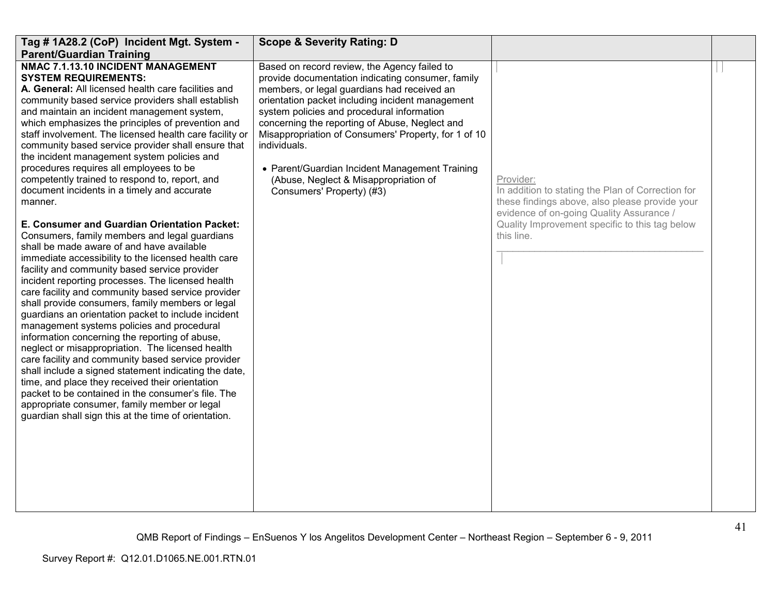| Tag # 1A28.2 (CoP) Incident Mgt. System -                                                                                                                                                                                                                                                                                                                                                                                                                                                                                                                                                                                                                                                                                                                                                                                                                                                                                                                                                                                                                                                                                                                                                                                                                                                                                                                                                                                                                                                                                                                                | <b>Scope &amp; Severity Rating: D</b>                                                                                                                                                                                                                                                                                                                                                                                                                                                                |                                                                                                                                                                                                                              |  |
|--------------------------------------------------------------------------------------------------------------------------------------------------------------------------------------------------------------------------------------------------------------------------------------------------------------------------------------------------------------------------------------------------------------------------------------------------------------------------------------------------------------------------------------------------------------------------------------------------------------------------------------------------------------------------------------------------------------------------------------------------------------------------------------------------------------------------------------------------------------------------------------------------------------------------------------------------------------------------------------------------------------------------------------------------------------------------------------------------------------------------------------------------------------------------------------------------------------------------------------------------------------------------------------------------------------------------------------------------------------------------------------------------------------------------------------------------------------------------------------------------------------------------------------------------------------------------|------------------------------------------------------------------------------------------------------------------------------------------------------------------------------------------------------------------------------------------------------------------------------------------------------------------------------------------------------------------------------------------------------------------------------------------------------------------------------------------------------|------------------------------------------------------------------------------------------------------------------------------------------------------------------------------------------------------------------------------|--|
| <b>Parent/Guardian Training</b>                                                                                                                                                                                                                                                                                                                                                                                                                                                                                                                                                                                                                                                                                                                                                                                                                                                                                                                                                                                                                                                                                                                                                                                                                                                                                                                                                                                                                                                                                                                                          |                                                                                                                                                                                                                                                                                                                                                                                                                                                                                                      |                                                                                                                                                                                                                              |  |
| NMAC 7.1.13.10 INCIDENT MANAGEMENT<br><b>SYSTEM REQUIREMENTS:</b><br>A. General: All licensed health care facilities and<br>community based service providers shall establish<br>and maintain an incident management system,<br>which emphasizes the principles of prevention and<br>staff involvement. The licensed health care facility or<br>community based service provider shall ensure that<br>the incident management system policies and<br>procedures requires all employees to be<br>competently trained to respond to, report, and<br>document incidents in a timely and accurate<br>manner.<br>E. Consumer and Guardian Orientation Packet:<br>Consumers, family members and legal guardians<br>shall be made aware of and have available<br>immediate accessibility to the licensed health care<br>facility and community based service provider<br>incident reporting processes. The licensed health<br>care facility and community based service provider<br>shall provide consumers, family members or legal<br>guardians an orientation packet to include incident<br>management systems policies and procedural<br>information concerning the reporting of abuse,<br>neglect or misappropriation. The licensed health<br>care facility and community based service provider<br>shall include a signed statement indicating the date,<br>time, and place they received their orientation<br>packet to be contained in the consumer's file. The<br>appropriate consumer, family member or legal<br>guardian shall sign this at the time of orientation. | Based on record review, the Agency failed to<br>provide documentation indicating consumer, family<br>members, or legal guardians had received an<br>orientation packet including incident management<br>system policies and procedural information<br>concerning the reporting of Abuse, Neglect and<br>Misappropriation of Consumers' Property, for 1 of 10<br>individuals.<br>• Parent/Guardian Incident Management Training<br>(Abuse, Neglect & Misappropriation of<br>Consumers' Property) (#3) | Provider:<br>In addition to stating the Plan of Correction for<br>these findings above, also please provide your<br>evidence of on-going Quality Assurance /<br>Quality Improvement specific to this tag below<br>this line. |  |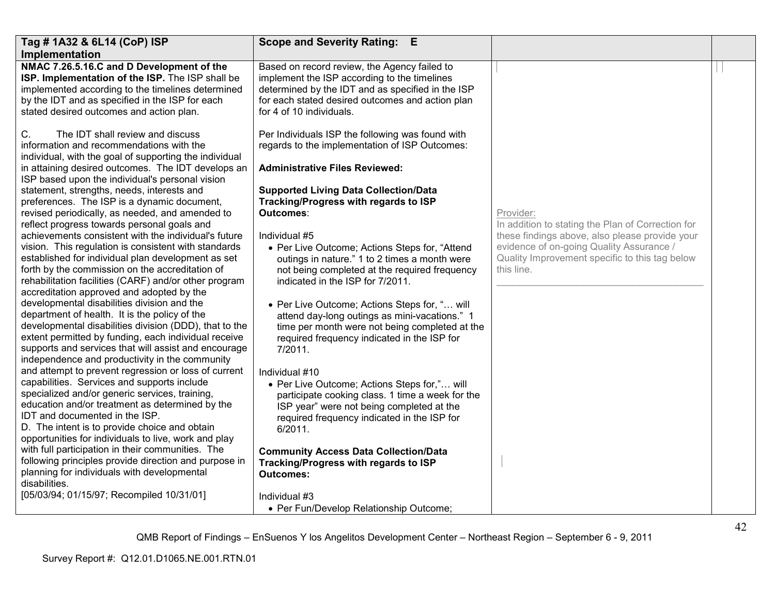| Tag # 1A32 & 6L14 (CoP) ISP                                                                                                                                                                                                                                                                                              | <b>Scope and Severity Rating:</b><br>- E                                                                                                                                                                                          |                                                                                                          |  |
|--------------------------------------------------------------------------------------------------------------------------------------------------------------------------------------------------------------------------------------------------------------------------------------------------------------------------|-----------------------------------------------------------------------------------------------------------------------------------------------------------------------------------------------------------------------------------|----------------------------------------------------------------------------------------------------------|--|
| Implementation                                                                                                                                                                                                                                                                                                           |                                                                                                                                                                                                                                   |                                                                                                          |  |
| NMAC 7.26.5.16.C and D Development of the<br>ISP. Implementation of the ISP. The ISP shall be<br>implemented according to the timelines determined<br>by the IDT and as specified in the ISP for each<br>stated desired outcomes and action plan.                                                                        | Based on record review, the Agency failed to<br>implement the ISP according to the timelines<br>determined by the IDT and as specified in the ISP<br>for each stated desired outcomes and action plan<br>for 4 of 10 individuals. |                                                                                                          |  |
| C.<br>The IDT shall review and discuss<br>information and recommendations with the<br>individual, with the goal of supporting the individual<br>in attaining desired outcomes. The IDT develops an<br>ISP based upon the individual's personal vision<br>statement, strengths, needs, interests and                      | Per Individuals ISP the following was found with<br>regards to the implementation of ISP Outcomes:<br><b>Administrative Files Reviewed:</b><br><b>Supported Living Data Collection/Data</b>                                       |                                                                                                          |  |
| preferences. The ISP is a dynamic document,                                                                                                                                                                                                                                                                              | Tracking/Progress with regards to ISP                                                                                                                                                                                             |                                                                                                          |  |
| revised periodically, as needed, and amended to                                                                                                                                                                                                                                                                          | Outcomes:                                                                                                                                                                                                                         | Provider:                                                                                                |  |
| reflect progress towards personal goals and                                                                                                                                                                                                                                                                              |                                                                                                                                                                                                                                   | In addition to stating the Plan of Correction for                                                        |  |
| achievements consistent with the individual's future                                                                                                                                                                                                                                                                     | Individual #5                                                                                                                                                                                                                     | these findings above, also please provide your                                                           |  |
| vision. This regulation is consistent with standards<br>established for individual plan development as set<br>forth by the commission on the accreditation of<br>rehabilitation facilities (CARF) and/or other program<br>accreditation approved and adopted by the                                                      | • Per Live Outcome; Actions Steps for, "Attend<br>outings in nature." 1 to 2 times a month were<br>not being completed at the required frequency<br>indicated in the ISP for 7/2011.                                              | evidence of on-going Quality Assurance /<br>Quality Improvement specific to this tag below<br>this line. |  |
| developmental disabilities division and the<br>department of health. It is the policy of the<br>developmental disabilities division (DDD), that to the<br>extent permitted by funding, each individual receive<br>supports and services that will assist and encourage<br>independence and productivity in the community | • Per Live Outcome; Actions Steps for, " will<br>attend day-long outings as mini-vacations." 1<br>time per month were not being completed at the<br>required frequency indicated in the ISP for<br>7/2011.                        |                                                                                                          |  |
| and attempt to prevent regression or loss of current                                                                                                                                                                                                                                                                     | Individual #10                                                                                                                                                                                                                    |                                                                                                          |  |
| capabilities. Services and supports include<br>specialized and/or generic services, training,<br>education and/or treatment as determined by the<br>IDT and documented in the ISP.<br>D. The intent is to provide choice and obtain<br>opportunities for individuals to live, work and play                              | • Per Live Outcome; Actions Steps for," will<br>participate cooking class. 1 time a week for the<br>ISP year" were not being completed at the<br>required frequency indicated in the ISP for<br>6/2011.                           |                                                                                                          |  |
| with full participation in their communities. The<br>following principles provide direction and purpose in<br>planning for individuals with developmental<br>disabilities.                                                                                                                                               | <b>Community Access Data Collection/Data</b><br>Tracking/Progress with regards to ISP<br><b>Outcomes:</b>                                                                                                                         |                                                                                                          |  |
| [05/03/94; 01/15/97; Recompiled 10/31/01]                                                                                                                                                                                                                                                                                | Individual #3<br>• Per Fun/Develop Relationship Outcome;                                                                                                                                                                          |                                                                                                          |  |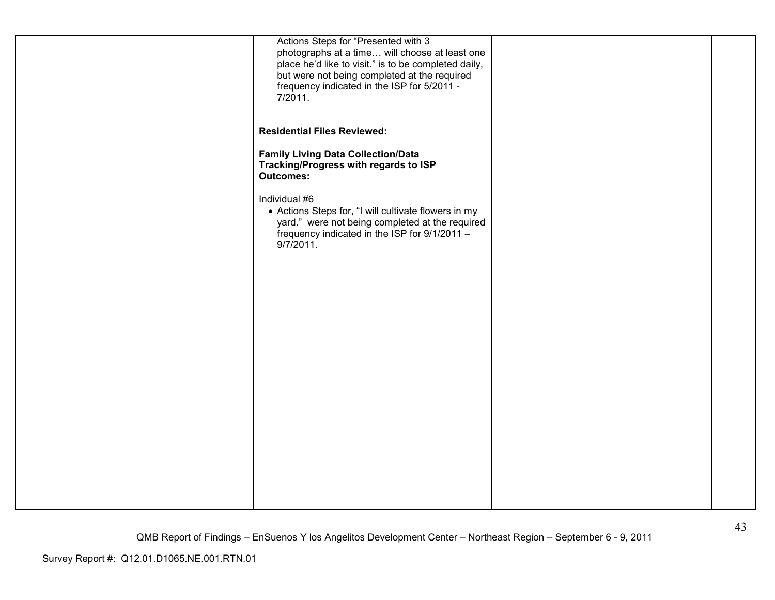| Actions Steps for "Presented with 3<br>photographs at a time will choose at least one<br>place he'd like to visit." is to be completed daily,<br>but were not being completed at the required<br>frequency indicated in the ISP for 5/2011 -<br>7/2011.<br><b>Residential Files Reviewed:</b><br><b>Family Living Data Collection/Data</b><br>Tracking/Progress with regards to ISP<br><b>Outcomes:</b><br>Individual #6<br>• Actions Steps for, "I will cultivate flowers in my |
|----------------------------------------------------------------------------------------------------------------------------------------------------------------------------------------------------------------------------------------------------------------------------------------------------------------------------------------------------------------------------------------------------------------------------------------------------------------------------------|
|                                                                                                                                                                                                                                                                                                                                                                                                                                                                                  |
|                                                                                                                                                                                                                                                                                                                                                                                                                                                                                  |
|                                                                                                                                                                                                                                                                                                                                                                                                                                                                                  |
| yard." were not being completed at the required<br>frequency indicated in the ISP for 9/1/2011 -<br>$9/7/2011$ .                                                                                                                                                                                                                                                                                                                                                                 |
|                                                                                                                                                                                                                                                                                                                                                                                                                                                                                  |
|                                                                                                                                                                                                                                                                                                                                                                                                                                                                                  |
|                                                                                                                                                                                                                                                                                                                                                                                                                                                                                  |
|                                                                                                                                                                                                                                                                                                                                                                                                                                                                                  |
|                                                                                                                                                                                                                                                                                                                                                                                                                                                                                  |
|                                                                                                                                                                                                                                                                                                                                                                                                                                                                                  |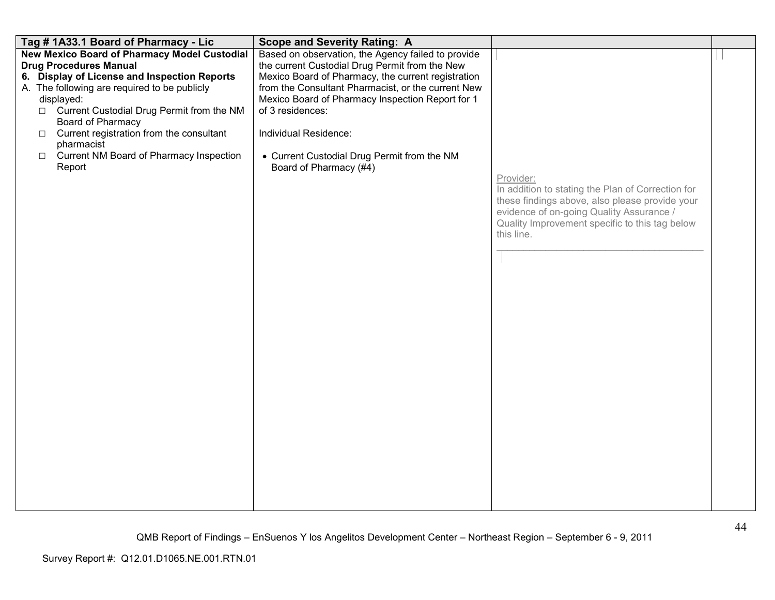| Tag #1A33.1 Board of Pharmacy - Lic                                                                                                                                                                                                                                                                                                                                                                       | <b>Scope and Severity Rating: A</b>                                                                                                                                                                                                                                                                                                                                                        |                                                                                                                                                                                                                              |  |
|-----------------------------------------------------------------------------------------------------------------------------------------------------------------------------------------------------------------------------------------------------------------------------------------------------------------------------------------------------------------------------------------------------------|--------------------------------------------------------------------------------------------------------------------------------------------------------------------------------------------------------------------------------------------------------------------------------------------------------------------------------------------------------------------------------------------|------------------------------------------------------------------------------------------------------------------------------------------------------------------------------------------------------------------------------|--|
| <b>New Mexico Board of Pharmacy Model Custodial</b><br><b>Drug Procedures Manual</b><br>6. Display of License and Inspection Reports<br>A. The following are required to be publicly<br>displayed:<br>□ Current Custodial Drug Permit from the NM<br>Board of Pharmacy<br>Current registration from the consultant<br>$\Box$<br>pharmacist<br>Current NM Board of Pharmacy Inspection<br>$\Box$<br>Report | Based on observation, the Agency failed to provide<br>the current Custodial Drug Permit from the New<br>Mexico Board of Pharmacy, the current registration<br>from the Consultant Pharmacist, or the current New<br>Mexico Board of Pharmacy Inspection Report for 1<br>of 3 residences:<br>Individual Residence:<br>• Current Custodial Drug Permit from the NM<br>Board of Pharmacy (#4) | Provider:<br>In addition to stating the Plan of Correction for<br>these findings above, also please provide your<br>evidence of on-going Quality Assurance /<br>Quality Improvement specific to this tag below<br>this line. |  |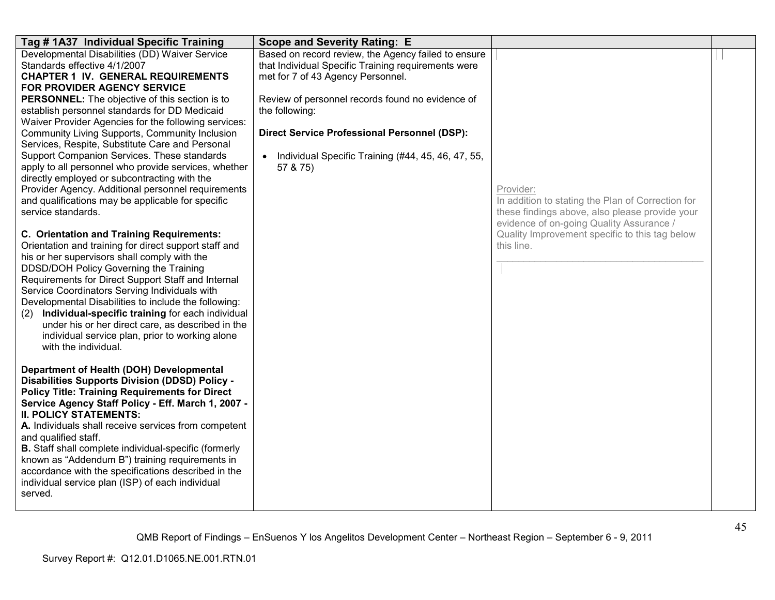| Tag # 1A37 Individual Specific Training                                                                                                                                                                                                                                                                                                                                                                                                                                                                                                                | <b>Scope and Severity Rating: E</b>                                                                                                             |                                                                                                                                                              |  |
|--------------------------------------------------------------------------------------------------------------------------------------------------------------------------------------------------------------------------------------------------------------------------------------------------------------------------------------------------------------------------------------------------------------------------------------------------------------------------------------------------------------------------------------------------------|-------------------------------------------------------------------------------------------------------------------------------------------------|--------------------------------------------------------------------------------------------------------------------------------------------------------------|--|
| Developmental Disabilities (DD) Waiver Service<br>Standards effective 4/1/2007<br><b>CHAPTER 1 IV. GENERAL REQUIREMENTS</b><br>FOR PROVIDER AGENCY SERVICE                                                                                                                                                                                                                                                                                                                                                                                             | Based on record review, the Agency failed to ensure<br>that Individual Specific Training requirements were<br>met for 7 of 43 Agency Personnel. |                                                                                                                                                              |  |
| <b>PERSONNEL:</b> The objective of this section is to<br>establish personnel standards for DD Medicaid<br>Waiver Provider Agencies for the following services:                                                                                                                                                                                                                                                                                                                                                                                         | Review of personnel records found no evidence of<br>the following:                                                                              |                                                                                                                                                              |  |
| Community Living Supports, Community Inclusion<br>Services, Respite, Substitute Care and Personal                                                                                                                                                                                                                                                                                                                                                                                                                                                      | <b>Direct Service Professional Personnel (DSP):</b>                                                                                             |                                                                                                                                                              |  |
| Support Companion Services. These standards<br>apply to all personnel who provide services, whether<br>directly employed or subcontracting with the                                                                                                                                                                                                                                                                                                                                                                                                    | Individual Specific Training (#44, 45, 46, 47, 55,<br>57 & 75)                                                                                  |                                                                                                                                                              |  |
| Provider Agency. Additional personnel requirements<br>and qualifications may be applicable for specific<br>service standards.                                                                                                                                                                                                                                                                                                                                                                                                                          |                                                                                                                                                 | Provider:<br>In addition to stating the Plan of Correction for<br>these findings above, also please provide your<br>evidence of on-going Quality Assurance / |  |
| C. Orientation and Training Requirements:<br>Orientation and training for direct support staff and<br>his or her supervisors shall comply with the<br>DDSD/DOH Policy Governing the Training<br>Requirements for Direct Support Staff and Internal<br>Service Coordinators Serving Individuals with<br>Developmental Disabilities to include the following:<br>Individual-specific training for each individual<br>(2)<br>under his or her direct care, as described in the<br>individual service plan, prior to working alone<br>with the individual. |                                                                                                                                                 | Quality Improvement specific to this tag below<br>this line.                                                                                                 |  |
| Department of Health (DOH) Developmental<br><b>Disabilities Supports Division (DDSD) Policy -</b><br><b>Policy Title: Training Requirements for Direct</b><br>Service Agency Staff Policy - Eff. March 1, 2007 -<br><b>II. POLICY STATEMENTS:</b><br>A. Individuals shall receive services from competent                                                                                                                                                                                                                                              |                                                                                                                                                 |                                                                                                                                                              |  |
| and qualified staff.<br><b>B.</b> Staff shall complete individual-specific (formerly<br>known as "Addendum B") training requirements in<br>accordance with the specifications described in the<br>individual service plan (ISP) of each individual<br>served.                                                                                                                                                                                                                                                                                          |                                                                                                                                                 |                                                                                                                                                              |  |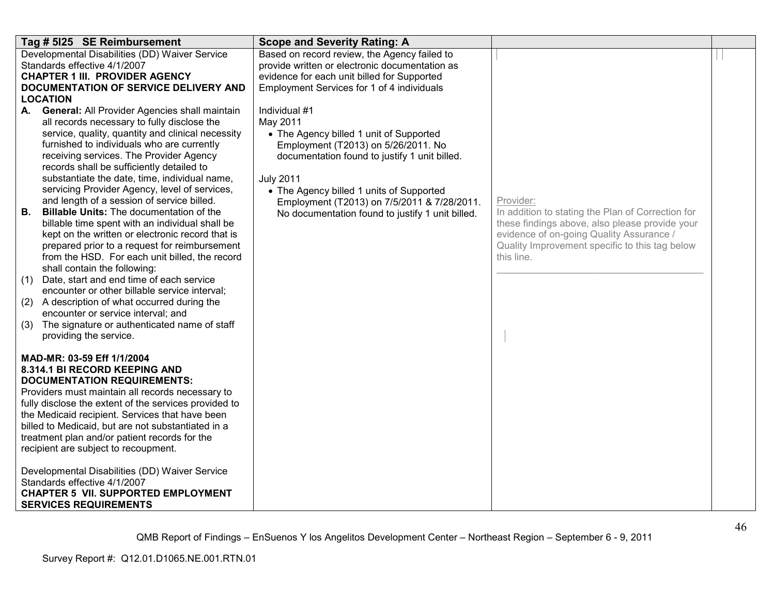|                               | Tag # 5125 SE Reimbursement                                                                                                                                                                                                                                                                                                                                                                                                                                                                                                                                                                                                                                                                                                                                                                                                                                                                                                                                                                                       | <b>Scope and Severity Rating: A</b>                                                                                                                                                                                                                                                                                             |                                                                                                                                                                                                                              |  |
|-------------------------------|-------------------------------------------------------------------------------------------------------------------------------------------------------------------------------------------------------------------------------------------------------------------------------------------------------------------------------------------------------------------------------------------------------------------------------------------------------------------------------------------------------------------------------------------------------------------------------------------------------------------------------------------------------------------------------------------------------------------------------------------------------------------------------------------------------------------------------------------------------------------------------------------------------------------------------------------------------------------------------------------------------------------|---------------------------------------------------------------------------------------------------------------------------------------------------------------------------------------------------------------------------------------------------------------------------------------------------------------------------------|------------------------------------------------------------------------------------------------------------------------------------------------------------------------------------------------------------------------------|--|
|                               | Developmental Disabilities (DD) Waiver Service<br>Standards effective 4/1/2007<br><b>CHAPTER 1 III. PROVIDER AGENCY</b><br>DOCUMENTATION OF SERVICE DELIVERY AND                                                                                                                                                                                                                                                                                                                                                                                                                                                                                                                                                                                                                                                                                                                                                                                                                                                  | Based on record review, the Agency failed to<br>provide written or electronic documentation as<br>evidence for each unit billed for Supported<br>Employment Services for 1 of 4 individuals                                                                                                                                     |                                                                                                                                                                                                                              |  |
| А.<br>В.<br>(1)<br>(2)<br>(3) | <b>LOCATION</b><br>General: All Provider Agencies shall maintain<br>all records necessary to fully disclose the<br>service, quality, quantity and clinical necessity<br>furnished to individuals who are currently<br>receiving services. The Provider Agency<br>records shall be sufficiently detailed to<br>substantiate the date, time, individual name,<br>servicing Provider Agency, level of services,<br>and length of a session of service billed.<br><b>Billable Units: The documentation of the</b><br>billable time spent with an individual shall be<br>kept on the written or electronic record that is<br>prepared prior to a request for reimbursement<br>from the HSD. For each unit billed, the record<br>shall contain the following:<br>Date, start and end time of each service<br>encounter or other billable service interval;<br>A description of what occurred during the<br>encounter or service interval; and<br>The signature or authenticated name of staff<br>providing the service. | Individual #1<br>May 2011<br>• The Agency billed 1 unit of Supported<br>Employment (T2013) on 5/26/2011. No<br>documentation found to justify 1 unit billed.<br><b>July 2011</b><br>• The Agency billed 1 units of Supported<br>Employment (T2013) on 7/5/2011 & 7/28/2011.<br>No documentation found to justify 1 unit billed. | Provider:<br>In addition to stating the Plan of Correction for<br>these findings above, also please provide your<br>evidence of on-going Quality Assurance /<br>Quality Improvement specific to this tag below<br>this line. |  |
|                               | MAD-MR: 03-59 Eff 1/1/2004<br>8.314.1 BI RECORD KEEPING AND<br><b>DOCUMENTATION REQUIREMENTS:</b><br>Providers must maintain all records necessary to<br>fully disclose the extent of the services provided to<br>the Medicaid recipient. Services that have been<br>billed to Medicaid, but are not substantiated in a<br>treatment plan and/or patient records for the<br>recipient are subject to recoupment.<br>Developmental Disabilities (DD) Waiver Service<br>Standards effective 4/1/2007<br><b>CHAPTER 5 VII. SUPPORTED EMPLOYMENT</b><br><b>SERVICES REQUIREMENTS</b>                                                                                                                                                                                                                                                                                                                                                                                                                                  |                                                                                                                                                                                                                                                                                                                                 |                                                                                                                                                                                                                              |  |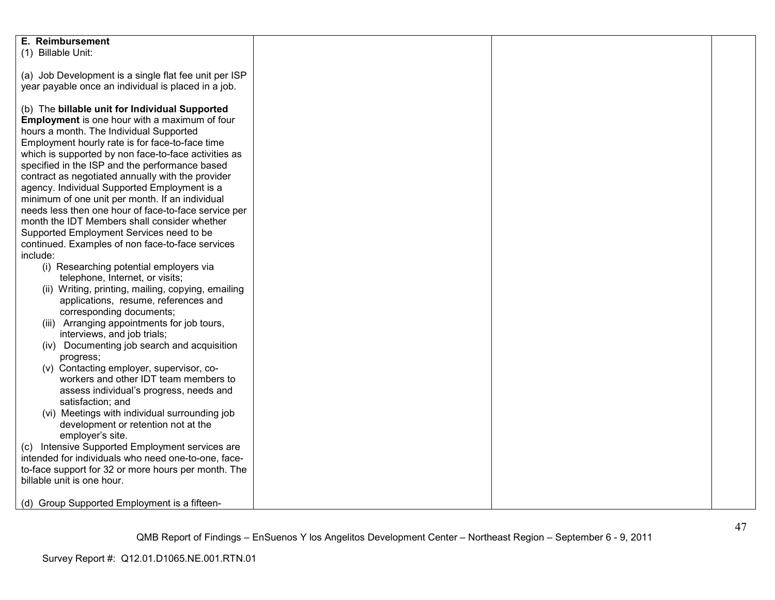| E. Reimbursement<br>(1) Billable Unit:                                                                     |  |  |
|------------------------------------------------------------------------------------------------------------|--|--|
| (a) Job Development is a single flat fee unit per ISP                                                      |  |  |
| year payable once an individual is placed in a job.                                                        |  |  |
| (b) The billable unit for Individual Supported                                                             |  |  |
| Employment is one hour with a maximum of four<br>hours a month. The Individual Supported                   |  |  |
| Employment hourly rate is for face-to-face time                                                            |  |  |
| which is supported by non face-to-face activities as<br>specified in the ISP and the performance based     |  |  |
| contract as negotiated annually with the provider                                                          |  |  |
| agency. Individual Supported Employment is a<br>minimum of one unit per month. If an individual            |  |  |
| needs less then one hour of face-to-face service per                                                       |  |  |
| month the IDT Members shall consider whether                                                               |  |  |
| Supported Employment Services need to be<br>continued. Examples of non face-to-face services               |  |  |
| include:                                                                                                   |  |  |
| (i) Researching potential employers via<br>telephone, Internet, or visits;                                 |  |  |
| (ii) Writing, printing, mailing, copying, emailing                                                         |  |  |
| applications, resume, references and<br>corresponding documents;                                           |  |  |
| (iii) Arranging appointments for job tours,                                                                |  |  |
| interviews, and job trials;<br>(iv) Documenting job search and acquisition                                 |  |  |
| progress;                                                                                                  |  |  |
| (v) Contacting employer, supervisor, co-<br>workers and other IDT team members to                          |  |  |
| assess individual's progress, needs and                                                                    |  |  |
| satisfaction; and<br>(vi) Meetings with individual surrounding job                                         |  |  |
| development or retention not at the<br>employer's site.                                                    |  |  |
| Intensive Supported Employment services are<br>(C)                                                         |  |  |
| intended for individuals who need one-to-one, face-<br>to-face support for 32 or more hours per month. The |  |  |
| billable unit is one hour.                                                                                 |  |  |
| (d) Group Supported Employment is a fifteen-                                                               |  |  |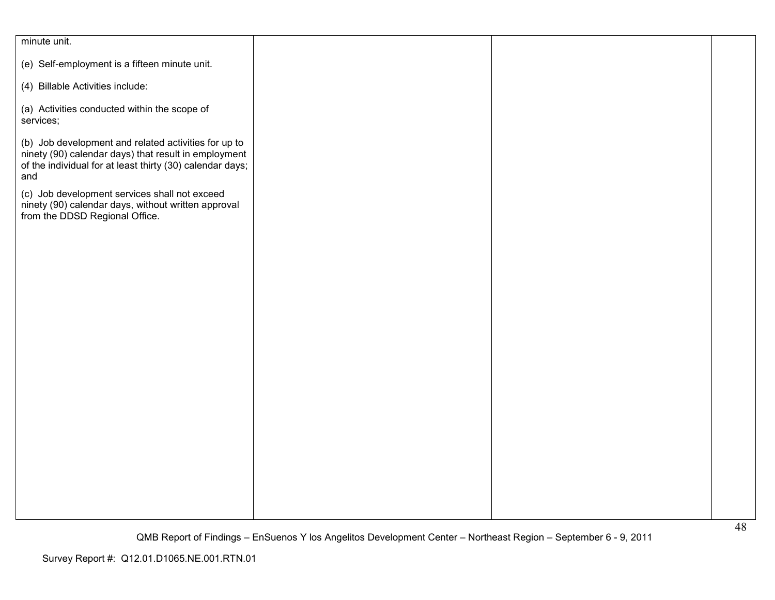| minute unit.                                                                                                                                                                     |  |  |
|----------------------------------------------------------------------------------------------------------------------------------------------------------------------------------|--|--|
| (e) Self-employment is a fifteen minute unit.                                                                                                                                    |  |  |
| (4) Billable Activities include:                                                                                                                                                 |  |  |
| (a) Activities conducted within the scope of<br>services;                                                                                                                        |  |  |
| (b) Job development and related activities for up to<br>ninety (90) calendar days) that result in employment<br>of the individual for at least thirty (30) calendar days;<br>and |  |  |
| (c) Job development services shall not exceed<br>ninety (90) calendar days, without written approval<br>from the DDSD Regional Office.                                           |  |  |
|                                                                                                                                                                                  |  |  |
|                                                                                                                                                                                  |  |  |
|                                                                                                                                                                                  |  |  |
|                                                                                                                                                                                  |  |  |
|                                                                                                                                                                                  |  |  |
|                                                                                                                                                                                  |  |  |
|                                                                                                                                                                                  |  |  |
|                                                                                                                                                                                  |  |  |
|                                                                                                                                                                                  |  |  |
|                                                                                                                                                                                  |  |  |
|                                                                                                                                                                                  |  |  |
|                                                                                                                                                                                  |  |  |
|                                                                                                                                                                                  |  |  |
|                                                                                                                                                                                  |  |  |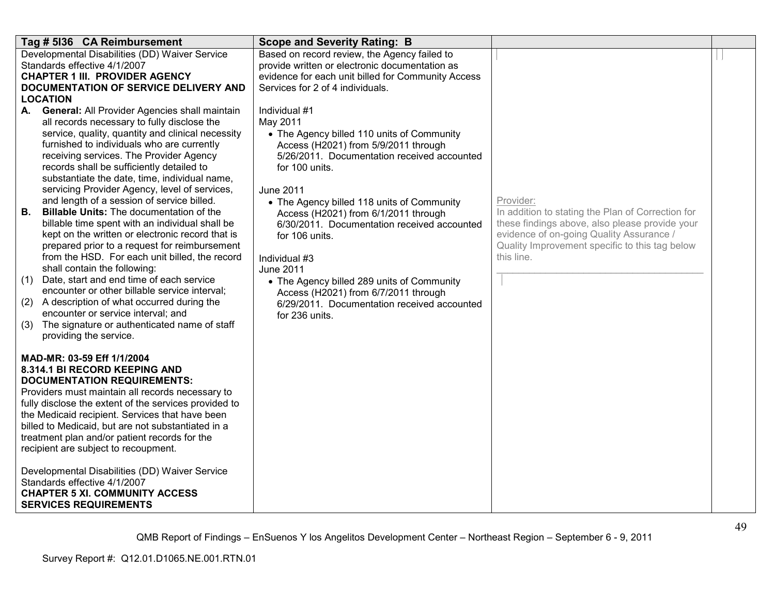| Tag # 5136 CA Reimbursement                                                                      |                                   | <b>Scope and Severity Rating: B</b>                                                            |                                                              |  |
|--------------------------------------------------------------------------------------------------|-----------------------------------|------------------------------------------------------------------------------------------------|--------------------------------------------------------------|--|
| Developmental Disabilities (DD) Waiver Service<br>Standards effective 4/1/2007                   |                                   | Based on record review, the Agency failed to<br>provide written or electronic documentation as |                                                              |  |
| <b>CHAPTER 1 III. PROVIDER AGENCY</b>                                                            |                                   | evidence for each unit billed for Community Access                                             |                                                              |  |
| DOCUMENTATION OF SERVICE DELIVERY AND                                                            |                                   | Services for 2 of 4 individuals.                                                               |                                                              |  |
| <b>LOCATION</b>                                                                                  |                                   |                                                                                                |                                                              |  |
| <b>General: All Provider Agencies shall maintain</b><br>А.                                       | Individual #1                     |                                                                                                |                                                              |  |
| all records necessary to fully disclose the<br>service, quality, quantity and clinical necessity | May 2011                          | • The Agency billed 110 units of Community                                                     |                                                              |  |
| furnished to individuals who are currently                                                       |                                   | Access (H2021) from 5/9/2011 through                                                           |                                                              |  |
| receiving services. The Provider Agency                                                          |                                   | 5/26/2011. Documentation received accounted                                                    |                                                              |  |
| records shall be sufficiently detailed to                                                        | for 100 units.                    |                                                                                                |                                                              |  |
| substantiate the date, time, individual name,                                                    |                                   |                                                                                                |                                                              |  |
| servicing Provider Agency, level of services,<br>and length of a session of service billed.      | <b>June 2011</b>                  | • The Agency billed 118 units of Community                                                     | Provider:                                                    |  |
| <b>Billable Units: The documentation of the</b><br>В.                                            |                                   | Access (H2021) from 6/1/2011 through                                                           | In addition to stating the Plan of Correction for            |  |
| billable time spent with an individual shall be                                                  |                                   | 6/30/2011. Documentation received accounted                                                    | these findings above, also please provide your               |  |
| kept on the written or electronic record that is                                                 | for 106 units.                    |                                                                                                | evidence of on-going Quality Assurance /                     |  |
| prepared prior to a request for reimbursement<br>from the HSD. For each unit billed, the record  |                                   |                                                                                                | Quality Improvement specific to this tag below<br>this line. |  |
| shall contain the following:                                                                     | Individual #3<br><b>June 2011</b> |                                                                                                |                                                              |  |
| Date, start and end time of each service<br>(1)                                                  |                                   | • The Agency billed 289 units of Community                                                     |                                                              |  |
| encounter or other billable service interval;                                                    |                                   | Access (H2021) from 6/7/2011 through                                                           |                                                              |  |
| A description of what occurred during the<br>(2)                                                 |                                   | 6/29/2011. Documentation received accounted                                                    |                                                              |  |
| encounter or service interval; and<br>The signature or authenticated name of staff<br>(3)        | for 236 units.                    |                                                                                                |                                                              |  |
| providing the service.                                                                           |                                   |                                                                                                |                                                              |  |
|                                                                                                  |                                   |                                                                                                |                                                              |  |
| MAD-MR: 03-59 Eff 1/1/2004                                                                       |                                   |                                                                                                |                                                              |  |
| 8.314.1 BI RECORD KEEPING AND                                                                    |                                   |                                                                                                |                                                              |  |
| <b>DOCUMENTATION REQUIREMENTS:</b><br>Providers must maintain all records necessary to           |                                   |                                                                                                |                                                              |  |
| fully disclose the extent of the services provided to                                            |                                   |                                                                                                |                                                              |  |
| the Medicaid recipient. Services that have been                                                  |                                   |                                                                                                |                                                              |  |
| billed to Medicaid, but are not substantiated in a                                               |                                   |                                                                                                |                                                              |  |
| treatment plan and/or patient records for the                                                    |                                   |                                                                                                |                                                              |  |
| recipient are subject to recoupment.                                                             |                                   |                                                                                                |                                                              |  |
| Developmental Disabilities (DD) Waiver Service                                                   |                                   |                                                                                                |                                                              |  |
| Standards effective 4/1/2007                                                                     |                                   |                                                                                                |                                                              |  |
| <b>CHAPTER 5 XI. COMMUNITY ACCESS</b>                                                            |                                   |                                                                                                |                                                              |  |
| <b>SERVICES REQUIREMENTS</b>                                                                     |                                   |                                                                                                |                                                              |  |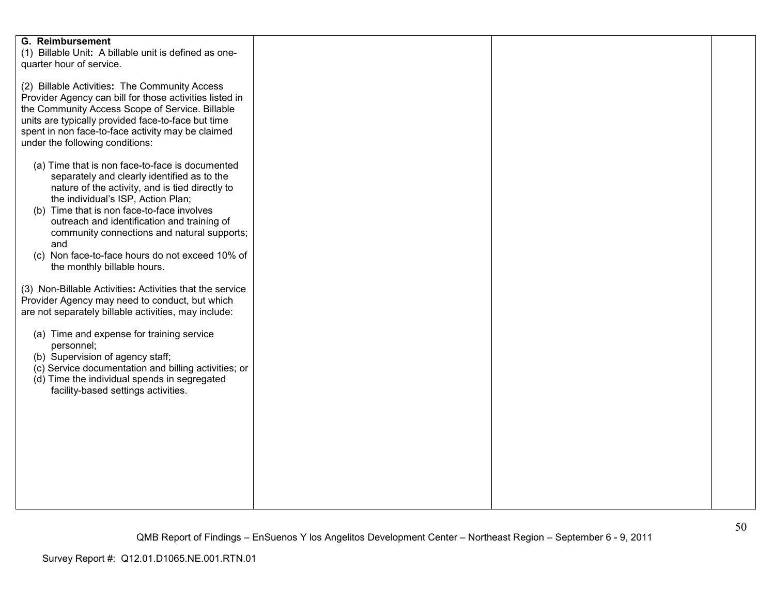| <b>G. Reimbursement</b><br>(1) Billable Unit: A billable unit is defined as one-<br>quarter hour of service.                                                                                                                                                                                                                                                                                                                     |  |  |
|----------------------------------------------------------------------------------------------------------------------------------------------------------------------------------------------------------------------------------------------------------------------------------------------------------------------------------------------------------------------------------------------------------------------------------|--|--|
| (2) Billable Activities: The Community Access<br>Provider Agency can bill for those activities listed in<br>the Community Access Scope of Service. Billable<br>units are typically provided face-to-face but time<br>spent in non face-to-face activity may be claimed                                                                                                                                                           |  |  |
| under the following conditions:<br>(a) Time that is non face-to-face is documented<br>separately and clearly identified as to the<br>nature of the activity, and is tied directly to<br>the individual's ISP, Action Plan;<br>(b) Time that is non face-to-face involves<br>outreach and identification and training of<br>community connections and natural supports;<br>and<br>(c) Non face-to-face hours do not exceed 10% of |  |  |
| the monthly billable hours.<br>(3) Non-Billable Activities: Activities that the service<br>Provider Agency may need to conduct, but which                                                                                                                                                                                                                                                                                        |  |  |
| are not separately billable activities, may include:<br>(a) Time and expense for training service<br>personnel;<br>(b) Supervision of agency staff;<br>(c) Service documentation and billing activities; or<br>(d) Time the individual spends in segregated<br>facility-based settings activities.                                                                                                                               |  |  |
|                                                                                                                                                                                                                                                                                                                                                                                                                                  |  |  |
|                                                                                                                                                                                                                                                                                                                                                                                                                                  |  |  |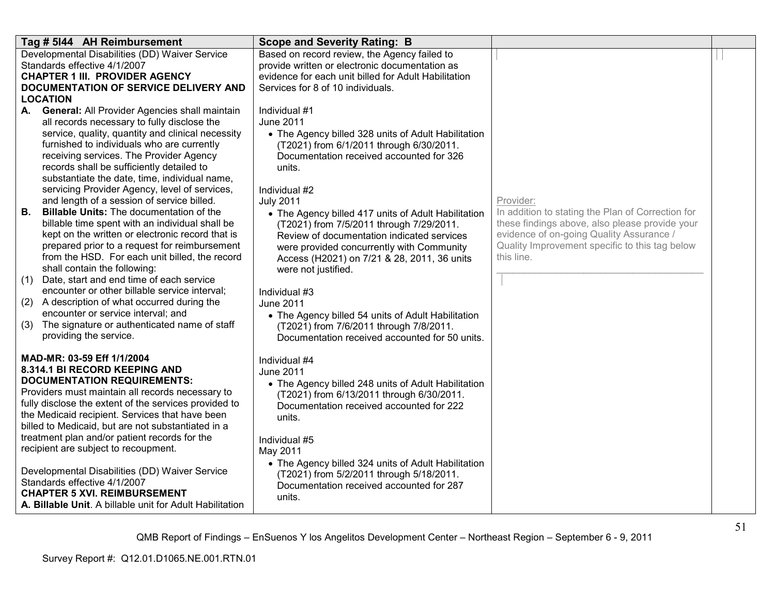| Tag # 5144 AH Reimbursement                                                                      | <b>Scope and Severity Rating: B</b>                                                             |                                                                                            |  |
|--------------------------------------------------------------------------------------------------|-------------------------------------------------------------------------------------------------|--------------------------------------------------------------------------------------------|--|
| Developmental Disabilities (DD) Waiver Service<br>Standards effective 4/1/2007                   | Based on record review, the Agency failed to<br>provide written or electronic documentation as  |                                                                                            |  |
| <b>CHAPTER 1 III. PROVIDER AGENCY</b>                                                            | evidence for each unit billed for Adult Habilitation                                            |                                                                                            |  |
| DOCUMENTATION OF SERVICE DELIVERY AND                                                            | Services for 8 of 10 individuals.                                                               |                                                                                            |  |
| <b>LOCATION</b>                                                                                  |                                                                                                 |                                                                                            |  |
| General: All Provider Agencies shall maintain<br>А.                                              | Individual #1<br><b>June 2011</b>                                                               |                                                                                            |  |
| all records necessary to fully disclose the<br>service, quality, quantity and clinical necessity | • The Agency billed 328 units of Adult Habilitation                                             |                                                                                            |  |
| furnished to individuals who are currently                                                       | (T2021) from 6/1/2011 through 6/30/2011.                                                        |                                                                                            |  |
| receiving services. The Provider Agency                                                          | Documentation received accounted for 326                                                        |                                                                                            |  |
| records shall be sufficiently detailed to                                                        | units.                                                                                          |                                                                                            |  |
| substantiate the date, time, individual name,<br>servicing Provider Agency, level of services,   | Individual #2                                                                                   |                                                                                            |  |
| and length of a session of service billed.                                                       | <b>July 2011</b>                                                                                | Provider:                                                                                  |  |
| <b>Billable Units: The documentation of the</b><br>В.                                            | • The Agency billed 417 units of Adult Habilitation                                             | In addition to stating the Plan of Correction for                                          |  |
| billable time spent with an individual shall be                                                  | (T2021) from 7/5/2011 through 7/29/2011.                                                        | these findings above, also please provide your                                             |  |
| kept on the written or electronic record that is                                                 | Review of documentation indicated services                                                      | evidence of on-going Quality Assurance /<br>Quality Improvement specific to this tag below |  |
| prepared prior to a request for reimbursement<br>from the HSD. For each unit billed, the record  | were provided concurrently with Community<br>Access (H2021) on 7/21 & 28, 2011, 36 units        | this line.                                                                                 |  |
| shall contain the following:                                                                     | were not justified.                                                                             |                                                                                            |  |
| Date, start and end time of each service<br>(1)                                                  |                                                                                                 |                                                                                            |  |
| encounter or other billable service interval;                                                    | Individual #3                                                                                   |                                                                                            |  |
| (2) A description of what occurred during the<br>encounter or service interval; and              | June 2011                                                                                       |                                                                                            |  |
| The signature or authenticated name of staff<br>(3)                                              | • The Agency billed 54 units of Adult Habilitation<br>(T2021) from 7/6/2011 through 7/8/2011.   |                                                                                            |  |
| providing the service.                                                                           | Documentation received accounted for 50 units.                                                  |                                                                                            |  |
| MAD-MR: 03-59 Eff 1/1/2004                                                                       | Individual #4                                                                                   |                                                                                            |  |
| 8.314.1 BI RECORD KEEPING AND                                                                    | <b>June 2011</b>                                                                                |                                                                                            |  |
| <b>DOCUMENTATION REQUIREMENTS:</b><br>Providers must maintain all records necessary to           | • The Agency billed 248 units of Adult Habilitation                                             |                                                                                            |  |
| fully disclose the extent of the services provided to                                            | (T2021) from 6/13/2011 through 6/30/2011.<br>Documentation received accounted for 222           |                                                                                            |  |
| the Medicaid recipient. Services that have been                                                  | units.                                                                                          |                                                                                            |  |
| billed to Medicaid, but are not substantiated in a                                               |                                                                                                 |                                                                                            |  |
| treatment plan and/or patient records for the                                                    | Individual #5                                                                                   |                                                                                            |  |
| recipient are subject to recoupment.                                                             | May 2011                                                                                        |                                                                                            |  |
| Developmental Disabilities (DD) Waiver Service                                                   | • The Agency billed 324 units of Adult Habilitation<br>(T2021) from 5/2/2011 through 5/18/2011. |                                                                                            |  |
| Standards effective 4/1/2007                                                                     | Documentation received accounted for 287                                                        |                                                                                            |  |
| <b>CHAPTER 5 XVI. REIMBURSEMENT</b><br>A. Billable Unit. A billable unit for Adult Habilitation  | units.                                                                                          |                                                                                            |  |
|                                                                                                  |                                                                                                 |                                                                                            |  |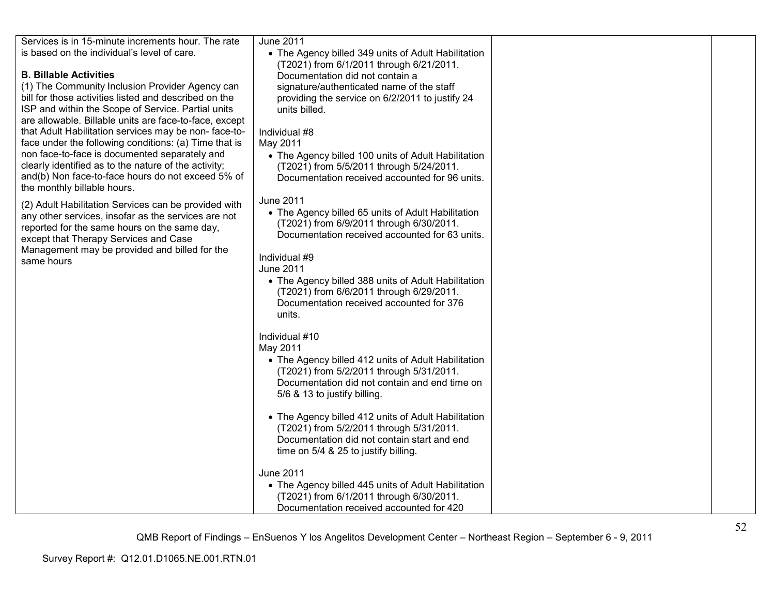| Services is in 15-minute increments hour. The rate<br>is based on the individual's level of care.<br><b>B. Billable Activities</b><br>(1) The Community Inclusion Provider Agency can<br>bill for those activities listed and described on the<br>ISP and within the Scope of Service. Partial units<br>are allowable. Billable units are face-to-face, except<br>that Adult Habilitation services may be non-face-to-<br>face under the following conditions: (a) Time that is<br>non face-to-face is documented separately and<br>clearly identified as to the nature of the activity;<br>and(b) Non face-to-face hours do not exceed 5% of<br>the monthly billable hours.<br>(2) Adult Habilitation Services can be provided with<br>any other services, insofar as the services are not<br>reported for the same hours on the same day,<br>except that Therapy Services and Case<br>Management may be provided and billed for the<br>same hours | June 2011<br>• The Agency billed 349 units of Adult Habilitation<br>(T2021) from 6/1/2011 through 6/21/2011.<br>Documentation did not contain a<br>signature/authenticated name of the staff<br>providing the service on 6/2/2011 to justify 24<br>units billed.<br>Individual #8<br>May 2011<br>• The Agency billed 100 units of Adult Habilitation<br>(T2021) from 5/5/2011 through 5/24/2011.<br>Documentation received accounted for 96 units.<br><b>June 2011</b><br>• The Agency billed 65 units of Adult Habilitation<br>(T2021) from 6/9/2011 through 6/30/2011.<br>Documentation received accounted for 63 units.<br>Individual #9<br><b>June 2011</b><br>• The Agency billed 388 units of Adult Habilitation<br>(T2021) from 6/6/2011 through 6/29/2011.<br>Documentation received accounted for 376<br>units.<br>Individual #10<br>May 2011<br>• The Agency billed 412 units of Adult Habilitation<br>(T2021) from 5/2/2011 through 5/31/2011.<br>Documentation did not contain and end time on<br>5/6 & 13 to justify billing.<br>• The Agency billed 412 units of Adult Habilitation<br>(T2021) from 5/2/2011 through 5/31/2011.<br>Documentation did not contain start and end<br>time on 5/4 & 25 to justify billing. |  |
|-----------------------------------------------------------------------------------------------------------------------------------------------------------------------------------------------------------------------------------------------------------------------------------------------------------------------------------------------------------------------------------------------------------------------------------------------------------------------------------------------------------------------------------------------------------------------------------------------------------------------------------------------------------------------------------------------------------------------------------------------------------------------------------------------------------------------------------------------------------------------------------------------------------------------------------------------------|--------------------------------------------------------------------------------------------------------------------------------------------------------------------------------------------------------------------------------------------------------------------------------------------------------------------------------------------------------------------------------------------------------------------------------------------------------------------------------------------------------------------------------------------------------------------------------------------------------------------------------------------------------------------------------------------------------------------------------------------------------------------------------------------------------------------------------------------------------------------------------------------------------------------------------------------------------------------------------------------------------------------------------------------------------------------------------------------------------------------------------------------------------------------------------------------------------------------------------------|--|
|                                                                                                                                                                                                                                                                                                                                                                                                                                                                                                                                                                                                                                                                                                                                                                                                                                                                                                                                                     | <b>June 2011</b><br>• The Agency billed 445 units of Adult Habilitation<br>(T2021) from 6/1/2011 through 6/30/2011.                                                                                                                                                                                                                                                                                                                                                                                                                                                                                                                                                                                                                                                                                                                                                                                                                                                                                                                                                                                                                                                                                                                  |  |
|                                                                                                                                                                                                                                                                                                                                                                                                                                                                                                                                                                                                                                                                                                                                                                                                                                                                                                                                                     | Documentation received accounted for 420                                                                                                                                                                                                                                                                                                                                                                                                                                                                                                                                                                                                                                                                                                                                                                                                                                                                                                                                                                                                                                                                                                                                                                                             |  |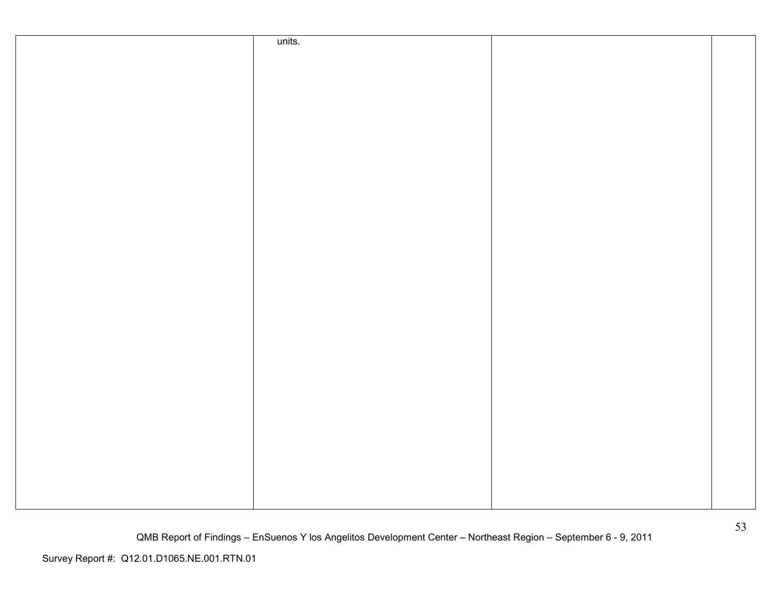| units. |  |
|--------|--|
|        |  |
|        |  |
|        |  |
|        |  |
|        |  |
|        |  |
|        |  |
|        |  |
|        |  |
|        |  |
|        |  |
|        |  |
|        |  |
|        |  |
|        |  |
|        |  |
|        |  |
|        |  |
|        |  |
|        |  |
|        |  |
|        |  |
|        |  |
|        |  |
|        |  |
|        |  |
|        |  |
|        |  |
|        |  |
|        |  |
|        |  |
|        |  |
|        |  |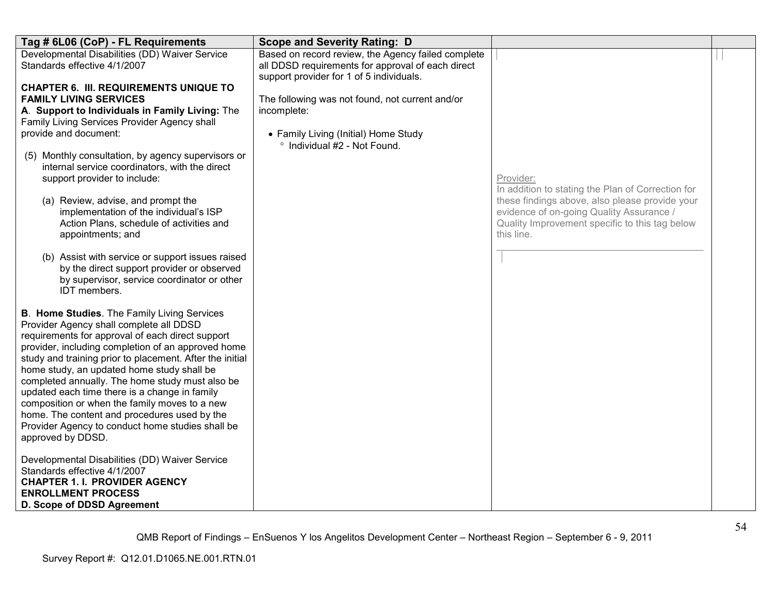| Tag # 6L06 (CoP) - FL Requirements                                                                                                                                                                                                                                                                                                                                                                                                                                                                                                                                                              | <b>Scope and Severity Rating: D</b>                                                                                                                 |                                                                                                                                                                                                                              |  |
|-------------------------------------------------------------------------------------------------------------------------------------------------------------------------------------------------------------------------------------------------------------------------------------------------------------------------------------------------------------------------------------------------------------------------------------------------------------------------------------------------------------------------------------------------------------------------------------------------|-----------------------------------------------------------------------------------------------------------------------------------------------------|------------------------------------------------------------------------------------------------------------------------------------------------------------------------------------------------------------------------------|--|
| Developmental Disabilities (DD) Waiver Service<br>Standards effective 4/1/2007                                                                                                                                                                                                                                                                                                                                                                                                                                                                                                                  | Based on record review, the Agency failed complete<br>all DDSD requirements for approval of each direct<br>support provider for 1 of 5 individuals. |                                                                                                                                                                                                                              |  |
| <b>CHAPTER 6. III. REQUIREMENTS UNIQUE TO</b><br><b>FAMILY LIVING SERVICES</b><br>A. Support to Individuals in Family Living: The<br>Family Living Services Provider Agency shall<br>provide and document:<br>(5) Monthly consultation, by agency supervisors or<br>internal service coordinators, with the direct<br>support provider to include:<br>(a) Review, advise, and prompt the<br>implementation of the individual's ISP<br>Action Plans, schedule of activities and<br>appointments; and                                                                                             | The following was not found, not current and/or<br>incomplete:<br>• Family Living (Initial) Home Study<br>° Individual #2 - Not Found.              | Provider:<br>In addition to stating the Plan of Correction for<br>these findings above, also please provide your<br>evidence of on-going Quality Assurance /<br>Quality Improvement specific to this tag below<br>this line. |  |
| (b) Assist with service or support issues raised<br>by the direct support provider or observed<br>by supervisor, service coordinator or other<br>IDT members.                                                                                                                                                                                                                                                                                                                                                                                                                                   |                                                                                                                                                     |                                                                                                                                                                                                                              |  |
| <b>B. Home Studies.</b> The Family Living Services<br>Provider Agency shall complete all DDSD<br>requirements for approval of each direct support<br>provider, including completion of an approved home<br>study and training prior to placement. After the initial<br>home study, an updated home study shall be<br>completed annually. The home study must also be<br>updated each time there is a change in family<br>composition or when the family moves to a new<br>home. The content and procedures used by the<br>Provider Agency to conduct home studies shall be<br>approved by DDSD. |                                                                                                                                                     |                                                                                                                                                                                                                              |  |
| Developmental Disabilities (DD) Waiver Service<br>Standards effective 4/1/2007<br><b>CHAPTER 1. I. PROVIDER AGENCY</b><br><b>ENROLLMENT PROCESS</b><br>D. Scope of DDSD Agreement                                                                                                                                                                                                                                                                                                                                                                                                               |                                                                                                                                                     |                                                                                                                                                                                                                              |  |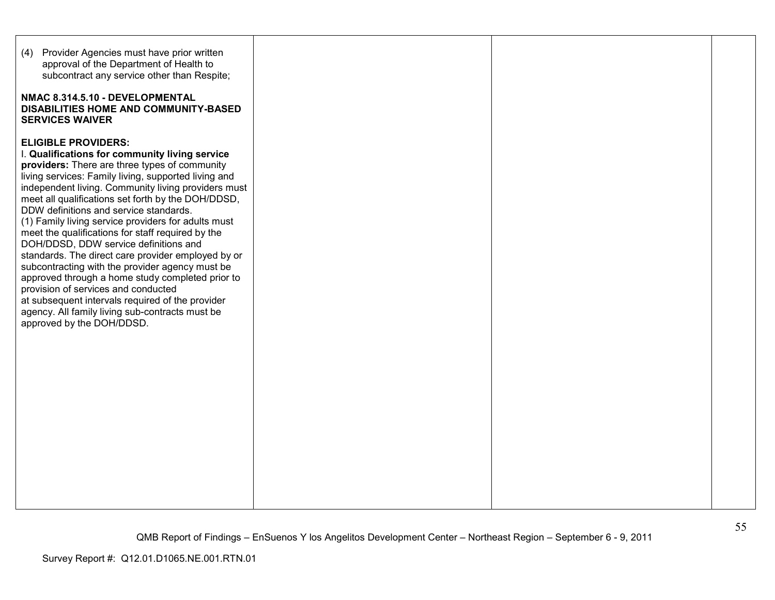| (4) Provider Agencies must have prior written<br>approval of the Department of Health to<br>subcontract any service other than Respite;<br>NMAC 8.314.5.10 - DEVELOPMENTAL<br>DISABILITIES HOME AND COMMUNITY-BASED<br><b>SERVICES WAIVER</b>                                                                                                                                                                                                                                                                                                                                                                                                                                                                                                                                                                                             |  |  |
|-------------------------------------------------------------------------------------------------------------------------------------------------------------------------------------------------------------------------------------------------------------------------------------------------------------------------------------------------------------------------------------------------------------------------------------------------------------------------------------------------------------------------------------------------------------------------------------------------------------------------------------------------------------------------------------------------------------------------------------------------------------------------------------------------------------------------------------------|--|--|
| <b>ELIGIBLE PROVIDERS:</b><br>I. Qualifications for community living service<br>providers: There are three types of community<br>living services: Family living, supported living and<br>independent living. Community living providers must<br>meet all qualifications set forth by the DOH/DDSD,<br>DDW definitions and service standards.<br>(1) Family living service providers for adults must<br>meet the qualifications for staff required by the<br>DOH/DDSD, DDW service definitions and<br>standards. The direct care provider employed by or<br>subcontracting with the provider agency must be<br>approved through a home study completed prior to<br>provision of services and conducted<br>at subsequent intervals required of the provider<br>agency. All family living sub-contracts must be<br>approved by the DOH/DDSD. |  |  |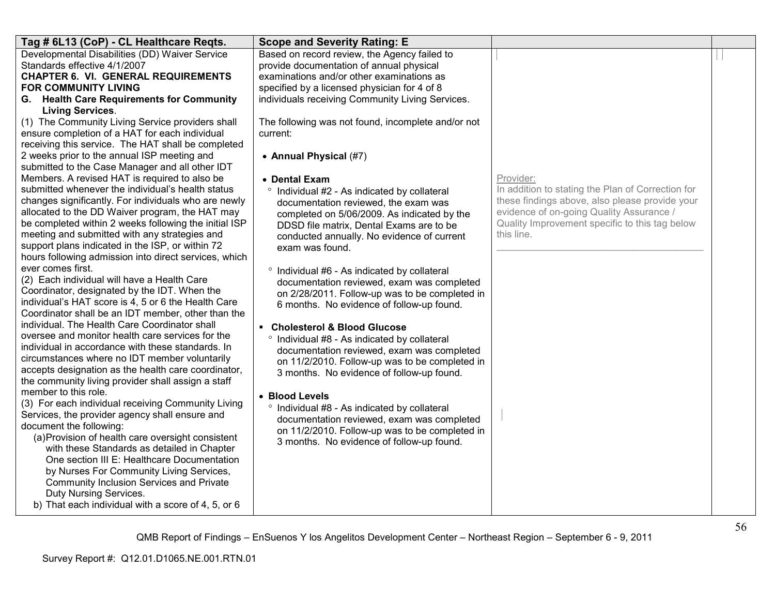| Tag # 6L13 (CoP) - CL Healthcare Reqts.                                                           | <b>Scope and Severity Rating: E</b>                                                         |                                                   |  |
|---------------------------------------------------------------------------------------------------|---------------------------------------------------------------------------------------------|---------------------------------------------------|--|
| Developmental Disabilities (DD) Waiver Service                                                    | Based on record review, the Agency failed to                                                |                                                   |  |
| Standards effective 4/1/2007                                                                      | provide documentation of annual physical                                                    |                                                   |  |
| <b>CHAPTER 6. VI. GENERAL REQUIREMENTS</b>                                                        | examinations and/or other examinations as                                                   |                                                   |  |
| <b>FOR COMMUNITY LIVING</b>                                                                       | specified by a licensed physician for 4 of 8                                                |                                                   |  |
| G. Health Care Requirements for Community                                                         | individuals receiving Community Living Services.                                            |                                                   |  |
| <b>Living Services.</b><br>(1) The Community Living Service providers shall                       | The following was not found, incomplete and/or not                                          |                                                   |  |
| ensure completion of a HAT for each individual                                                    | current:                                                                                    |                                                   |  |
| receiving this service. The HAT shall be completed                                                |                                                                                             |                                                   |  |
| 2 weeks prior to the annual ISP meeting and                                                       | • Annual Physical (#7)                                                                      |                                                   |  |
| submitted to the Case Manager and all other IDT                                                   |                                                                                             |                                                   |  |
| Members. A revised HAT is required to also be                                                     | • Dental Exam                                                                               | Provider:                                         |  |
| submitted whenever the individual's health status                                                 | ° Individual #2 - As indicated by collateral                                                | In addition to stating the Plan of Correction for |  |
| changes significantly. For individuals who are newly                                              | documentation reviewed, the exam was                                                        | these findings above, also please provide your    |  |
| allocated to the DD Waiver program, the HAT may                                                   | completed on 5/06/2009. As indicated by the                                                 | evidence of on-going Quality Assurance /          |  |
| be completed within 2 weeks following the initial ISP                                             | DDSD file matrix, Dental Exams are to be                                                    | Quality Improvement specific to this tag below    |  |
| meeting and submitted with any strategies and<br>support plans indicated in the ISP, or within 72 | conducted annually. No evidence of current                                                  | this line.                                        |  |
| hours following admission into direct services, which                                             | exam was found.                                                                             |                                                   |  |
| ever comes first.                                                                                 |                                                                                             |                                                   |  |
| (2) Each individual will have a Health Care                                                       | ° Individual #6 - As indicated by collateral<br>documentation reviewed, exam was completed  |                                                   |  |
| Coordinator, designated by the IDT. When the                                                      | on 2/28/2011. Follow-up was to be completed in                                              |                                                   |  |
| individual's HAT score is 4, 5 or 6 the Health Care                                               | 6 months. No evidence of follow-up found.                                                   |                                                   |  |
| Coordinator shall be an IDT member, other than the                                                |                                                                                             |                                                   |  |
| individual. The Health Care Coordinator shall                                                     | • Cholesterol & Blood Glucose                                                               |                                                   |  |
| oversee and monitor health care services for the                                                  | ° Individual #8 - As indicated by collateral                                                |                                                   |  |
| individual in accordance with these standards. In                                                 | documentation reviewed, exam was completed                                                  |                                                   |  |
| circumstances where no IDT member voluntarily                                                     | on 11/2/2010. Follow-up was to be completed in                                              |                                                   |  |
| accepts designation as the health care coordinator,                                               | 3 months. No evidence of follow-up found.                                                   |                                                   |  |
| the community living provider shall assign a staff<br>member to this role.                        |                                                                                             |                                                   |  |
| (3) For each individual receiving Community Living                                                | • Blood Levels                                                                              |                                                   |  |
| Services, the provider agency shall ensure and                                                    | ° Individual #8 - As indicated by collateral                                                |                                                   |  |
| document the following:                                                                           | documentation reviewed, exam was completed                                                  |                                                   |  |
| (a) Provision of health care oversight consistent                                                 | on 11/2/2010. Follow-up was to be completed in<br>3 months. No evidence of follow-up found. |                                                   |  |
| with these Standards as detailed in Chapter                                                       |                                                                                             |                                                   |  |
| One section III E: Healthcare Documentation                                                       |                                                                                             |                                                   |  |
| by Nurses For Community Living Services,                                                          |                                                                                             |                                                   |  |
| Community Inclusion Services and Private                                                          |                                                                                             |                                                   |  |
| Duty Nursing Services.                                                                            |                                                                                             |                                                   |  |
| b) That each individual with a score of 4, 5, or 6                                                |                                                                                             |                                                   |  |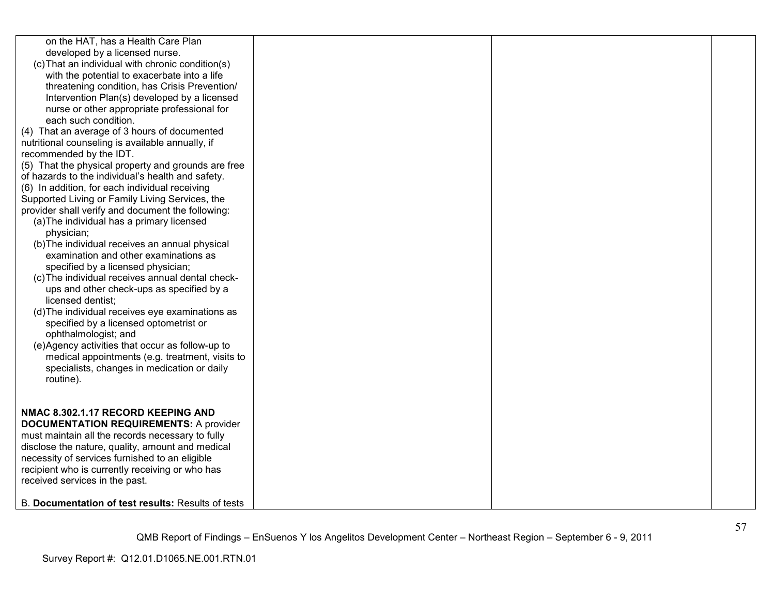| on the HAT, has a Health Care Plan<br>developed by a licensed nurse.<br>(c) That an individual with chronic condition(s)<br>with the potential to exacerbate into a life<br>threatening condition, has Crisis Prevention/<br>Intervention Plan(s) developed by a licensed<br>nurse or other appropriate professional for<br>each such condition.<br>(4) That an average of 3 hours of documented<br>nutritional counseling is available annually, if<br>recommended by the IDT.<br>(5) That the physical property and grounds are free<br>of hazards to the individual's health and safety.<br>(6) In addition, for each individual receiving<br>Supported Living or Family Living Services, the<br>provider shall verify and document the following:<br>(a) The individual has a primary licensed<br>physician;<br>(b) The individual receives an annual physical<br>examination and other examinations as<br>specified by a licensed physician;<br>(c) The individual receives annual dental check-<br>ups and other check-ups as specified by a<br>licensed dentist;<br>(d) The individual receives eye examinations as<br>specified by a licensed optometrist or<br>ophthalmologist; and<br>(e)Agency activities that occur as follow-up to<br>medical appointments (e.g. treatment, visits to |  |  |
|----------------------------------------------------------------------------------------------------------------------------------------------------------------------------------------------------------------------------------------------------------------------------------------------------------------------------------------------------------------------------------------------------------------------------------------------------------------------------------------------------------------------------------------------------------------------------------------------------------------------------------------------------------------------------------------------------------------------------------------------------------------------------------------------------------------------------------------------------------------------------------------------------------------------------------------------------------------------------------------------------------------------------------------------------------------------------------------------------------------------------------------------------------------------------------------------------------------------------------------------------------------------------------------------------|--|--|
| specialists, changes in medication or daily<br>routine).                                                                                                                                                                                                                                                                                                                                                                                                                                                                                                                                                                                                                                                                                                                                                                                                                                                                                                                                                                                                                                                                                                                                                                                                                                           |  |  |
| NMAC 8.302.1.17 RECORD KEEPING AND<br><b>DOCUMENTATION REQUIREMENTS: A provider</b><br>must maintain all the records necessary to fully<br>disclose the nature, quality, amount and medical<br>necessity of services furnished to an eligible<br>recipient who is currently receiving or who has<br>received services in the past.                                                                                                                                                                                                                                                                                                                                                                                                                                                                                                                                                                                                                                                                                                                                                                                                                                                                                                                                                                 |  |  |
| B. Documentation of test results: Results of tests                                                                                                                                                                                                                                                                                                                                                                                                                                                                                                                                                                                                                                                                                                                                                                                                                                                                                                                                                                                                                                                                                                                                                                                                                                                 |  |  |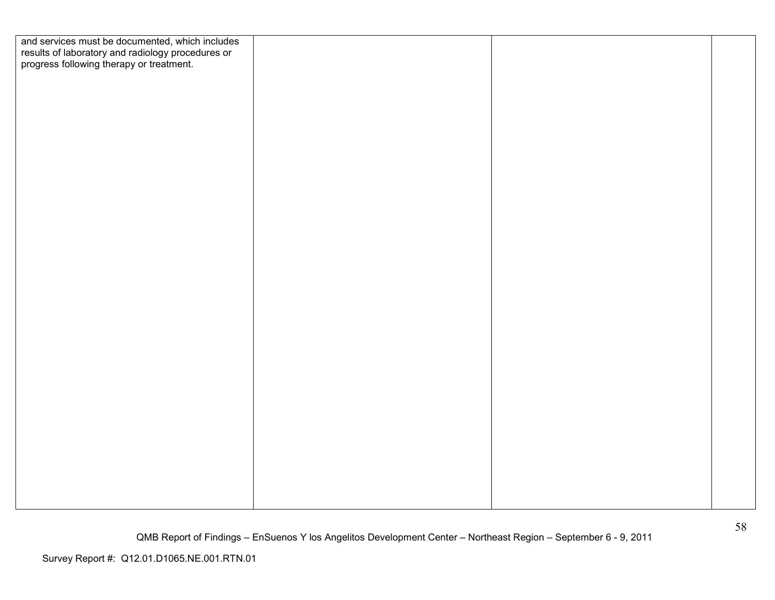| and services must be documented, which includes                                               |  |  |
|-----------------------------------------------------------------------------------------------|--|--|
| results of laboratory and radiology procedures or<br>progress following therapy or treatment. |  |  |
|                                                                                               |  |  |
|                                                                                               |  |  |
|                                                                                               |  |  |
|                                                                                               |  |  |
|                                                                                               |  |  |
|                                                                                               |  |  |
|                                                                                               |  |  |
|                                                                                               |  |  |
|                                                                                               |  |  |
|                                                                                               |  |  |
|                                                                                               |  |  |
|                                                                                               |  |  |
|                                                                                               |  |  |
|                                                                                               |  |  |
|                                                                                               |  |  |
|                                                                                               |  |  |
|                                                                                               |  |  |
|                                                                                               |  |  |
|                                                                                               |  |  |
|                                                                                               |  |  |
|                                                                                               |  |  |
|                                                                                               |  |  |
|                                                                                               |  |  |
|                                                                                               |  |  |
|                                                                                               |  |  |
|                                                                                               |  |  |
|                                                                                               |  |  |
|                                                                                               |  |  |
|                                                                                               |  |  |
|                                                                                               |  |  |
|                                                                                               |  |  |
|                                                                                               |  |  |
|                                                                                               |  |  |
|                                                                                               |  |  |
|                                                                                               |  |  |
|                                                                                               |  |  |
|                                                                                               |  |  |
|                                                                                               |  |  |
|                                                                                               |  |  |
|                                                                                               |  |  |
|                                                                                               |  |  |
|                                                                                               |  |  |
|                                                                                               |  |  |
|                                                                                               |  |  |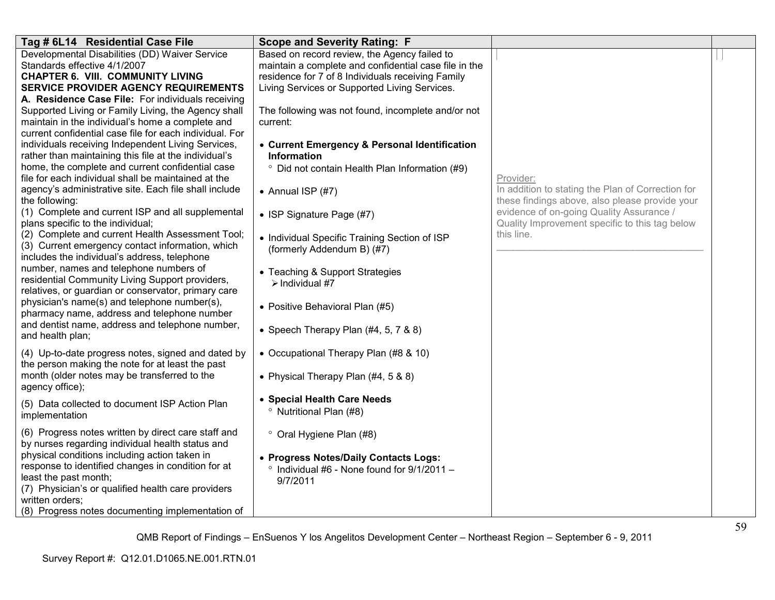| Tag # 6L14 Residential Case File                                                                                                                                                                                                                                                                                                                                                                                                                                                                                                                                                                                                                                                                                                                                                                                                                                                                                                                                                                                                                                                                                                                                                                               | <b>Scope and Severity Rating: F</b>                                                                                                                                                                                                                                                                                                                                                                                                                                                                                                                                                                                                                   |                                                                                                                                                                                                                              |  |
|----------------------------------------------------------------------------------------------------------------------------------------------------------------------------------------------------------------------------------------------------------------------------------------------------------------------------------------------------------------------------------------------------------------------------------------------------------------------------------------------------------------------------------------------------------------------------------------------------------------------------------------------------------------------------------------------------------------------------------------------------------------------------------------------------------------------------------------------------------------------------------------------------------------------------------------------------------------------------------------------------------------------------------------------------------------------------------------------------------------------------------------------------------------------------------------------------------------|-------------------------------------------------------------------------------------------------------------------------------------------------------------------------------------------------------------------------------------------------------------------------------------------------------------------------------------------------------------------------------------------------------------------------------------------------------------------------------------------------------------------------------------------------------------------------------------------------------------------------------------------------------|------------------------------------------------------------------------------------------------------------------------------------------------------------------------------------------------------------------------------|--|
| Developmental Disabilities (DD) Waiver Service<br>Standards effective 4/1/2007<br><b>CHAPTER 6. VIII. COMMUNITY LIVING</b><br><b>SERVICE PROVIDER AGENCY REQUIREMENTS</b><br>A. Residence Case File: For individuals receiving<br>Supported Living or Family Living, the Agency shall<br>maintain in the individual's home a complete and<br>current confidential case file for each individual. For<br>individuals receiving Independent Living Services,<br>rather than maintaining this file at the individual's<br>home, the complete and current confidential case<br>file for each individual shall be maintained at the<br>agency's administrative site. Each file shall include<br>the following:<br>(1) Complete and current ISP and all supplemental<br>plans specific to the individual;<br>(2) Complete and current Health Assessment Tool;<br>(3) Current emergency contact information, which<br>includes the individual's address, telephone<br>number, names and telephone numbers of<br>residential Community Living Support providers,<br>relatives, or guardian or conservator, primary care<br>physician's name(s) and telephone number(s),<br>pharmacy name, address and telephone number | Based on record review, the Agency failed to<br>maintain a complete and confidential case file in the<br>residence for 7 of 8 Individuals receiving Family<br>Living Services or Supported Living Services.<br>The following was not found, incomplete and/or not<br>current:<br>• Current Emergency & Personal Identification<br>Information<br><sup>o</sup> Did not contain Health Plan Information (#9)<br>• Annual ISP $(#7)$<br>• ISP Signature Page (#7)<br>• Individual Specific Training Section of ISP<br>(formerly Addendum B) (#7)<br>• Teaching & Support Strategies<br>$\triangleright$ Individual #7<br>• Positive Behavioral Plan (#5) | Provider:<br>In addition to stating the Plan of Correction for<br>these findings above, also please provide your<br>evidence of on-going Quality Assurance /<br>Quality Improvement specific to this tag below<br>this line. |  |
| and dentist name, address and telephone number,<br>and health plan;                                                                                                                                                                                                                                                                                                                                                                                                                                                                                                                                                                                                                                                                                                                                                                                                                                                                                                                                                                                                                                                                                                                                            | • Speech Therapy Plan $(#4, 5, 7, 8, 8)$                                                                                                                                                                                                                                                                                                                                                                                                                                                                                                                                                                                                              |                                                                                                                                                                                                                              |  |
| (4) Up-to-date progress notes, signed and dated by<br>the person making the note for at least the past                                                                                                                                                                                                                                                                                                                                                                                                                                                                                                                                                                                                                                                                                                                                                                                                                                                                                                                                                                                                                                                                                                         | • Occupational Therapy Plan (#8 & 10)                                                                                                                                                                                                                                                                                                                                                                                                                                                                                                                                                                                                                 |                                                                                                                                                                                                                              |  |
| month (older notes may be transferred to the<br>agency office);                                                                                                                                                                                                                                                                                                                                                                                                                                                                                                                                                                                                                                                                                                                                                                                                                                                                                                                                                                                                                                                                                                                                                | • Physical Therapy Plan (#4, 5 & 8)                                                                                                                                                                                                                                                                                                                                                                                                                                                                                                                                                                                                                   |                                                                                                                                                                                                                              |  |
| (5) Data collected to document ISP Action Plan<br>implementation                                                                                                                                                                                                                                                                                                                                                                                                                                                                                                                                                                                                                                                                                                                                                                                                                                                                                                                                                                                                                                                                                                                                               | • Special Health Care Needs<br><sup>o</sup> Nutritional Plan (#8)                                                                                                                                                                                                                                                                                                                                                                                                                                                                                                                                                                                     |                                                                                                                                                                                                                              |  |
| (6) Progress notes written by direct care staff and<br>by nurses regarding individual health status and<br>physical conditions including action taken in<br>response to identified changes in condition for at<br>least the past month;<br>(7) Physician's or qualified health care providers<br>written orders;<br>(8) Progress notes documenting implementation of                                                                                                                                                                                                                                                                                                                                                                                                                                                                                                                                                                                                                                                                                                                                                                                                                                           | ° Oral Hygiene Plan (#8)<br>• Progress Notes/Daily Contacts Logs:<br>Individual $#6$ - None found for $9/1/2011 -$<br>9/7/2011                                                                                                                                                                                                                                                                                                                                                                                                                                                                                                                        |                                                                                                                                                                                                                              |  |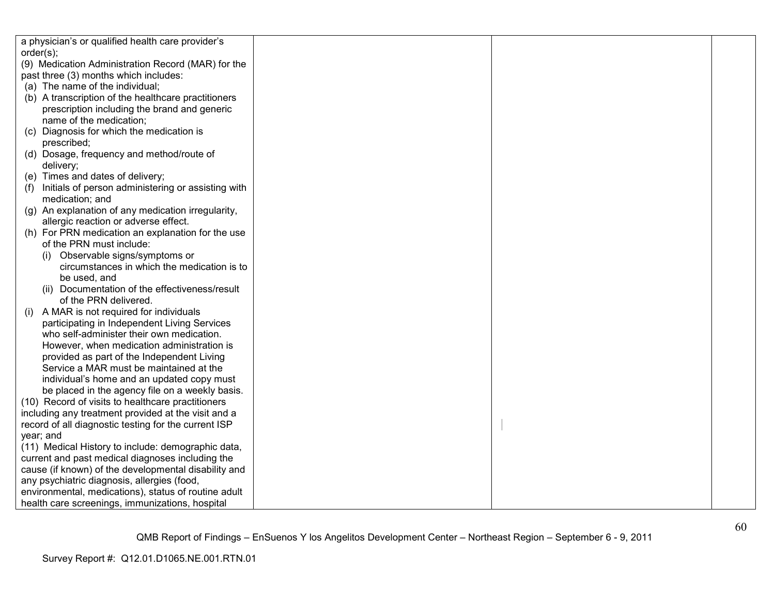|     | a physician's or qualified health care provider's    |  |  |
|-----|------------------------------------------------------|--|--|
|     | order(s);                                            |  |  |
|     | (9) Medication Administration Record (MAR) for the   |  |  |
|     | past three (3) months which includes:                |  |  |
|     | (a) The name of the individual;                      |  |  |
|     | (b) A transcription of the healthcare practitioners  |  |  |
|     | prescription including the brand and generic         |  |  |
|     | name of the medication;                              |  |  |
|     | (c) Diagnosis for which the medication is            |  |  |
|     | prescribed;                                          |  |  |
|     | (d) Dosage, frequency and method/route of            |  |  |
|     | delivery;                                            |  |  |
|     | (e) Times and dates of delivery;                     |  |  |
| (1) | Initials of person administering or assisting with   |  |  |
|     | medication; and                                      |  |  |
|     | (g) An explanation of any medication irregularity,   |  |  |
|     | allergic reaction or adverse effect.                 |  |  |
|     | (h) For PRN medication an explanation for the use    |  |  |
|     | of the PRN must include:                             |  |  |
|     | Observable signs/symptoms or                         |  |  |
|     | circumstances in which the medication is to          |  |  |
|     | be used, and                                         |  |  |
|     | (ii) Documentation of the effectiveness/result       |  |  |
|     | of the PRN delivered.                                |  |  |
| (i) | A MAR is not required for individuals                |  |  |
|     | participating in Independent Living Services         |  |  |
|     | who self-administer their own medication.            |  |  |
|     | However, when medication administration is           |  |  |
|     | provided as part of the Independent Living           |  |  |
|     | Service a MAR must be maintained at the              |  |  |
|     | individual's home and an updated copy must           |  |  |
|     | be placed in the agency file on a weekly basis.      |  |  |
|     | (10) Record of visits to healthcare practitioners    |  |  |
|     | including any treatment provided at the visit and a  |  |  |
|     | record of all diagnostic testing for the current ISP |  |  |
|     | year; and                                            |  |  |
|     | (11) Medical History to include: demographic data,   |  |  |
|     | current and past medical diagnoses including the     |  |  |
|     | cause (if known) of the developmental disability and |  |  |
|     | any psychiatric diagnosis, allergies (food,          |  |  |
|     | environmental, medications), status of routine adult |  |  |
|     | health care screenings, immunizations, hospital      |  |  |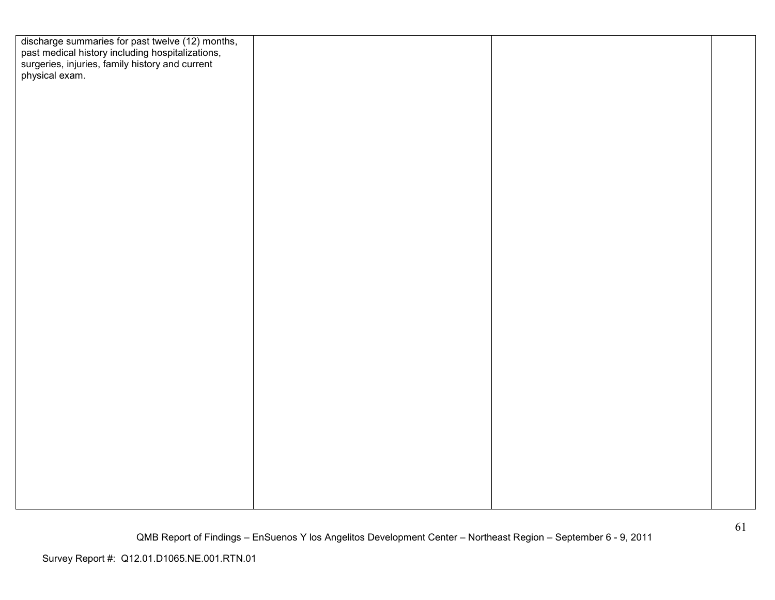| discharge summaries for past twelve (12) months,<br>past medical history including hospitalizations,<br>surgeries, injuries, family history and current<br>physical exam. |  |  |
|---------------------------------------------------------------------------------------------------------------------------------------------------------------------------|--|--|
|                                                                                                                                                                           |  |  |
|                                                                                                                                                                           |  |  |
|                                                                                                                                                                           |  |  |
|                                                                                                                                                                           |  |  |
|                                                                                                                                                                           |  |  |
|                                                                                                                                                                           |  |  |
|                                                                                                                                                                           |  |  |
|                                                                                                                                                                           |  |  |
|                                                                                                                                                                           |  |  |
|                                                                                                                                                                           |  |  |
|                                                                                                                                                                           |  |  |
|                                                                                                                                                                           |  |  |
|                                                                                                                                                                           |  |  |
|                                                                                                                                                                           |  |  |
|                                                                                                                                                                           |  |  |
|                                                                                                                                                                           |  |  |
|                                                                                                                                                                           |  |  |
|                                                                                                                                                                           |  |  |
|                                                                                                                                                                           |  |  |
|                                                                                                                                                                           |  |  |
|                                                                                                                                                                           |  |  |
|                                                                                                                                                                           |  |  |
|                                                                                                                                                                           |  |  |
|                                                                                                                                                                           |  |  |
|                                                                                                                                                                           |  |  |
|                                                                                                                                                                           |  |  |
|                                                                                                                                                                           |  |  |
|                                                                                                                                                                           |  |  |
|                                                                                                                                                                           |  |  |
|                                                                                                                                                                           |  |  |
|                                                                                                                                                                           |  |  |
|                                                                                                                                                                           |  |  |
|                                                                                                                                                                           |  |  |
|                                                                                                                                                                           |  |  |
|                                                                                                                                                                           |  |  |
|                                                                                                                                                                           |  |  |
|                                                                                                                                                                           |  |  |
|                                                                                                                                                                           |  |  |
|                                                                                                                                                                           |  |  |
|                                                                                                                                                                           |  |  |
|                                                                                                                                                                           |  |  |
|                                                                                                                                                                           |  |  |
|                                                                                                                                                                           |  |  |
|                                                                                                                                                                           |  |  |
|                                                                                                                                                                           |  |  |
|                                                                                                                                                                           |  |  |
|                                                                                                                                                                           |  |  |
|                                                                                                                                                                           |  |  |
|                                                                                                                                                                           |  |  |
|                                                                                                                                                                           |  |  |
|                                                                                                                                                                           |  |  |
|                                                                                                                                                                           |  |  |
|                                                                                                                                                                           |  |  |
|                                                                                                                                                                           |  |  |
|                                                                                                                                                                           |  |  |
|                                                                                                                                                                           |  |  |
|                                                                                                                                                                           |  |  |
|                                                                                                                                                                           |  |  |
|                                                                                                                                                                           |  |  |
|                                                                                                                                                                           |  |  |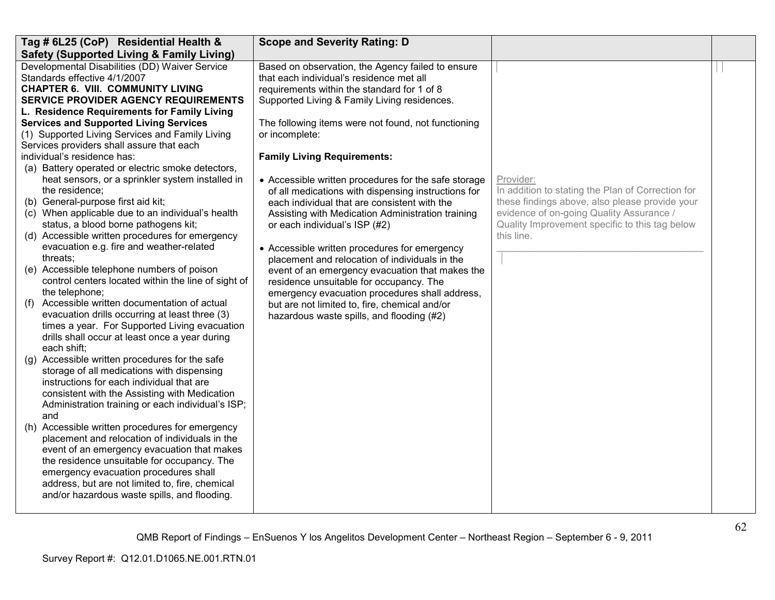| Tag # 6L25 (CoP) Residential Health &                                                        | <b>Scope and Severity Rating: D</b>                                   |                                                   |  |
|----------------------------------------------------------------------------------------------|-----------------------------------------------------------------------|---------------------------------------------------|--|
| <b>Safety (Supported Living &amp; Family Living)</b>                                         |                                                                       |                                                   |  |
| Developmental Disabilities (DD) Waiver Service                                               | Based on observation, the Agency failed to ensure                     |                                                   |  |
| Standards effective 4/1/2007                                                                 | that each individual's residence met all                              |                                                   |  |
| <b>CHAPTER 6. VIII. COMMUNITY LIVING</b>                                                     | requirements within the standard for 1 of 8                           |                                                   |  |
| <b>SERVICE PROVIDER AGENCY REQUIREMENTS</b>                                                  | Supported Living & Family Living residences.                          |                                                   |  |
| L. Residence Requirements for Family Living<br><b>Services and Supported Living Services</b> |                                                                       |                                                   |  |
| (1) Supported Living Services and Family Living                                              | The following items were not found, not functioning<br>or incomplete: |                                                   |  |
| Services providers shall assure that each                                                    |                                                                       |                                                   |  |
| individual's residence has:                                                                  | <b>Family Living Requirements:</b>                                    |                                                   |  |
| (a) Battery operated or electric smoke detectors,                                            |                                                                       |                                                   |  |
| heat sensors, or a sprinkler system installed in                                             | • Accessible written procedures for the safe storage                  | Provider:                                         |  |
| the residence;                                                                               | of all medications with dispensing instructions for                   | In addition to stating the Plan of Correction for |  |
| (b) General-purpose first aid kit;                                                           | each individual that are consistent with the                          | these findings above, also please provide your    |  |
| (c) When applicable due to an individual's health                                            | Assisting with Medication Administration training                     | evidence of on-going Quality Assurance /          |  |
| status, a blood borne pathogens kit;                                                         | or each individual's ISP (#2)                                         | Quality Improvement specific to this tag below    |  |
| (d) Accessible written procedures for emergency                                              |                                                                       | this line.                                        |  |
| evacuation e.g. fire and weather-related                                                     | • Accessible written procedures for emergency                         |                                                   |  |
| threats;                                                                                     | placement and relocation of individuals in the                        |                                                   |  |
| (e) Accessible telephone numbers of poison                                                   | event of an emergency evacuation that makes the                       |                                                   |  |
| control centers located within the line of sight of                                          | residence unsuitable for occupancy. The                               |                                                   |  |
| the telephone;                                                                               | emergency evacuation procedures shall address,                        |                                                   |  |
| Accessible written documentation of actual<br>(f)                                            | but are not limited to, fire, chemical and/or                         |                                                   |  |
| evacuation drills occurring at least three (3)                                               | hazardous waste spills, and flooding (#2)                             |                                                   |  |
| times a year. For Supported Living evacuation                                                |                                                                       |                                                   |  |
| drills shall occur at least once a year during                                               |                                                                       |                                                   |  |
| each shift:                                                                                  |                                                                       |                                                   |  |
| (g) Accessible written procedures for the safe<br>storage of all medications with dispensing |                                                                       |                                                   |  |
| instructions for each individual that are                                                    |                                                                       |                                                   |  |
| consistent with the Assisting with Medication                                                |                                                                       |                                                   |  |
| Administration training or each individual's ISP;                                            |                                                                       |                                                   |  |
| and                                                                                          |                                                                       |                                                   |  |
| (h) Accessible written procedures for emergency                                              |                                                                       |                                                   |  |
| placement and relocation of individuals in the                                               |                                                                       |                                                   |  |
| event of an emergency evacuation that makes                                                  |                                                                       |                                                   |  |
| the residence unsuitable for occupancy. The                                                  |                                                                       |                                                   |  |
| emergency evacuation procedures shall                                                        |                                                                       |                                                   |  |
| address, but are not limited to, fire, chemical                                              |                                                                       |                                                   |  |
| and/or hazardous waste spills, and flooding.                                                 |                                                                       |                                                   |  |
|                                                                                              |                                                                       |                                                   |  |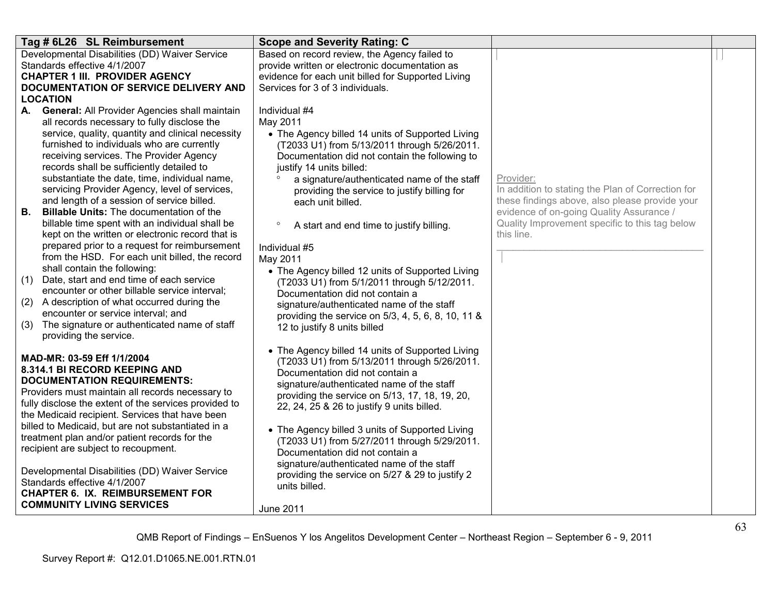| Tag # 6L26 SL Reimbursement                                                                              | <b>Scope and Severity Rating: C</b>                                                                  |                                                                                            |  |
|----------------------------------------------------------------------------------------------------------|------------------------------------------------------------------------------------------------------|--------------------------------------------------------------------------------------------|--|
| Developmental Disabilities (DD) Waiver Service                                                           | Based on record review, the Agency failed to                                                         |                                                                                            |  |
| Standards effective 4/1/2007<br><b>CHAPTER 1 III. PROVIDER AGENCY</b>                                    | provide written or electronic documentation as<br>evidence for each unit billed for Supported Living |                                                                                            |  |
| DOCUMENTATION OF SERVICE DELIVERY AND                                                                    | Services for 3 of 3 individuals.                                                                     |                                                                                            |  |
| <b>LOCATION</b>                                                                                          |                                                                                                      |                                                                                            |  |
| A. General: All Provider Agencies shall maintain                                                         | Individual #4                                                                                        |                                                                                            |  |
| all records necessary to fully disclose the                                                              | May 2011                                                                                             |                                                                                            |  |
| service, quality, quantity and clinical necessity<br>furnished to individuals who are currently          | • The Agency billed 14 units of Supported Living                                                     |                                                                                            |  |
| receiving services. The Provider Agency                                                                  | (T2033 U1) from 5/13/2011 through 5/26/2011.<br>Documentation did not contain the following to       |                                                                                            |  |
| records shall be sufficiently detailed to                                                                | justify 14 units billed:                                                                             |                                                                                            |  |
| substantiate the date, time, individual name,                                                            | a signature/authenticated name of the staff                                                          | Provider:                                                                                  |  |
| servicing Provider Agency, level of services,                                                            | providing the service to justify billing for                                                         | In addition to stating the Plan of Correction for                                          |  |
| and length of a session of service billed.                                                               | each unit billed.                                                                                    | these findings above, also please provide your                                             |  |
| <b>Billable Units: The documentation of the</b><br>В.<br>billable time spent with an individual shall be | $\circ$                                                                                              | evidence of on-going Quality Assurance /<br>Quality Improvement specific to this tag below |  |
| kept on the written or electronic record that is                                                         | A start and end time to justify billing.                                                             | this line.                                                                                 |  |
| prepared prior to a request for reimbursement                                                            | Individual #5                                                                                        |                                                                                            |  |
| from the HSD. For each unit billed, the record                                                           | May 2011                                                                                             |                                                                                            |  |
| shall contain the following:                                                                             | • The Agency billed 12 units of Supported Living                                                     |                                                                                            |  |
| Date, start and end time of each service<br>(1)<br>encounter or other billable service interval;         | (T2033 U1) from 5/1/2011 through 5/12/2011.                                                          |                                                                                            |  |
| A description of what occurred during the<br>(2)                                                         | Documentation did not contain a<br>signature/authenticated name of the staff                         |                                                                                            |  |
| encounter or service interval; and                                                                       | providing the service on 5/3, 4, 5, 6, 8, 10, 11 &                                                   |                                                                                            |  |
| The signature or authenticated name of staff<br>(3)                                                      | 12 to justify 8 units billed                                                                         |                                                                                            |  |
| providing the service.                                                                                   |                                                                                                      |                                                                                            |  |
| MAD-MR: 03-59 Eff 1/1/2004                                                                               | • The Agency billed 14 units of Supported Living                                                     |                                                                                            |  |
| 8.314.1 BI RECORD KEEPING AND                                                                            | (T2033 U1) from 5/13/2011 through 5/26/2011.                                                         |                                                                                            |  |
| <b>DOCUMENTATION REQUIREMENTS:</b>                                                                       | Documentation did not contain a<br>signature/authenticated name of the staff                         |                                                                                            |  |
| Providers must maintain all records necessary to                                                         | providing the service on 5/13, 17, 18, 19, 20,                                                       |                                                                                            |  |
| fully disclose the extent of the services provided to                                                    | 22, 24, 25 & 26 to justify 9 units billed.                                                           |                                                                                            |  |
| the Medicaid recipient. Services that have been<br>billed to Medicaid, but are not substantiated in a    |                                                                                                      |                                                                                            |  |
| treatment plan and/or patient records for the                                                            | • The Agency billed 3 units of Supported Living                                                      |                                                                                            |  |
| recipient are subject to recoupment.                                                                     | (T2033 U1) from 5/27/2011 through 5/29/2011.<br>Documentation did not contain a                      |                                                                                            |  |
|                                                                                                          | signature/authenticated name of the staff                                                            |                                                                                            |  |
| Developmental Disabilities (DD) Waiver Service                                                           | providing the service on 5/27 & 29 to justify 2                                                      |                                                                                            |  |
| Standards effective 4/1/2007<br><b>CHAPTER 6. IX. REIMBURSEMENT FOR</b>                                  | units billed.                                                                                        |                                                                                            |  |
| <b>COMMUNITY LIVING SERVICES</b>                                                                         |                                                                                                      |                                                                                            |  |
|                                                                                                          | <b>June 2011</b>                                                                                     |                                                                                            |  |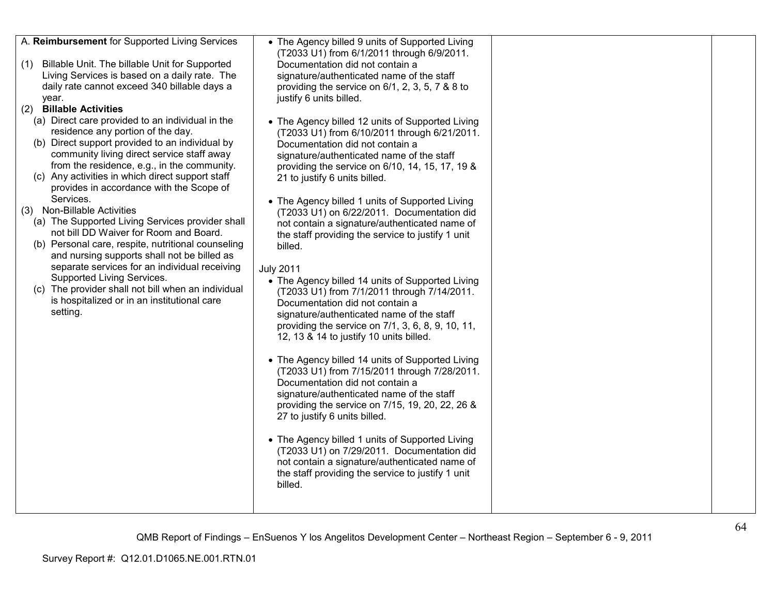| A. Reimbursement for Supported Living Services<br>(1) Billable Unit. The billable Unit for Supported<br>Living Services is based on a daily rate. The<br>daily rate cannot exceed 340 billable days a<br>year.<br><b>Billable Activities</b><br>(2)<br>(a) Direct care provided to an individual in the<br>residence any portion of the day.<br>(b) Direct support provided to an individual by<br>community living direct service staff away<br>from the residence, e.g., in the community.<br>(c) Any activities in which direct support staff<br>provides in accordance with the Scope of<br>Services.<br>(3) Non-Billable Activities<br>(a) The Supported Living Services provider shall<br>not bill DD Waiver for Room and Board.<br>(b) Personal care, respite, nutritional counseling<br>and nursing supports shall not be billed as<br>separate services for an individual receiving<br>Supported Living Services.<br>(c) The provider shall not bill when an individual<br>is hospitalized or in an institutional care<br>setting. | • The Agency billed 9 units of Supported Living<br>(T2033 U1) from 6/1/2011 through 6/9/2011.<br>Documentation did not contain a<br>signature/authenticated name of the staff<br>providing the service on 6/1, 2, 3, 5, 7 & 8 to<br>justify 6 units billed.<br>• The Agency billed 12 units of Supported Living<br>(T2033 U1) from 6/10/2011 through 6/21/2011.<br>Documentation did not contain a<br>signature/authenticated name of the staff<br>providing the service on 6/10, 14, 15, 17, 19 &<br>21 to justify 6 units billed.<br>• The Agency billed 1 units of Supported Living<br>(T2033 U1) on 6/22/2011. Documentation did<br>not contain a signature/authenticated name of<br>the staff providing the service to justify 1 unit<br>billed.<br><b>July 2011</b><br>• The Agency billed 14 units of Supported Living<br>(T2033 U1) from 7/1/2011 through 7/14/2011.<br>Documentation did not contain a<br>signature/authenticated name of the staff<br>providing the service on 7/1, 3, 6, 8, 9, 10, 11,<br>12, 13 & 14 to justify 10 units billed.<br>• The Agency billed 14 units of Supported Living<br>(T2033 U1) from 7/15/2011 through 7/28/2011.<br>Documentation did not contain a<br>signature/authenticated name of the staff<br>providing the service on 7/15, 19, 20, 22, 26 &<br>27 to justify 6 units billed.<br>• The Agency billed 1 units of Supported Living<br>(T2033 U1) on 7/29/2011. Documentation did<br>not contain a signature/authenticated name of<br>the staff providing the service to justify 1 unit<br>billed. |  |
|---------------------------------------------------------------------------------------------------------------------------------------------------------------------------------------------------------------------------------------------------------------------------------------------------------------------------------------------------------------------------------------------------------------------------------------------------------------------------------------------------------------------------------------------------------------------------------------------------------------------------------------------------------------------------------------------------------------------------------------------------------------------------------------------------------------------------------------------------------------------------------------------------------------------------------------------------------------------------------------------------------------------------------------------|--------------------------------------------------------------------------------------------------------------------------------------------------------------------------------------------------------------------------------------------------------------------------------------------------------------------------------------------------------------------------------------------------------------------------------------------------------------------------------------------------------------------------------------------------------------------------------------------------------------------------------------------------------------------------------------------------------------------------------------------------------------------------------------------------------------------------------------------------------------------------------------------------------------------------------------------------------------------------------------------------------------------------------------------------------------------------------------------------------------------------------------------------------------------------------------------------------------------------------------------------------------------------------------------------------------------------------------------------------------------------------------------------------------------------------------------------------------------------------------------------------------------------------------------------------|--|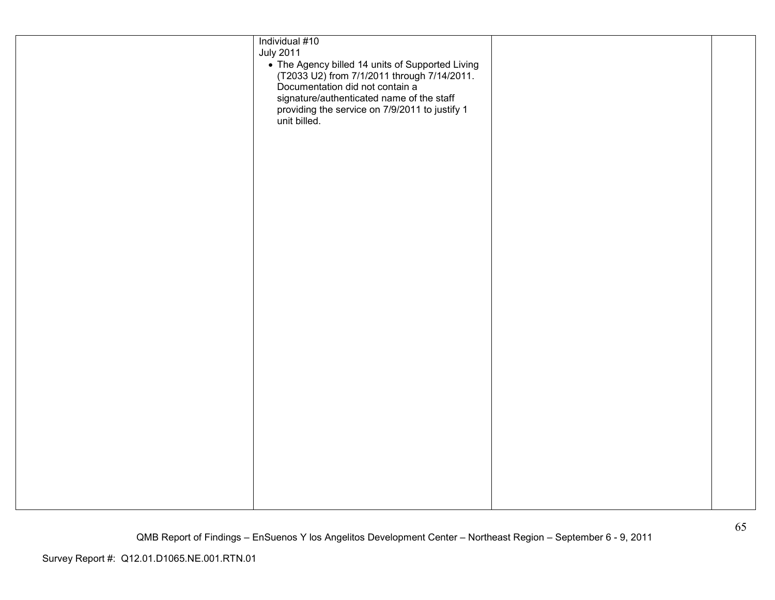| Individual #10<br><b>July 2011</b><br>• The Agency billed 14 units of Supported Living<br>(T2033 U2) from 7/1/2011 through 7/14/2011.<br>Documentation did not contain a<br>signature/authenticated name of the staff<br>providing the service on 7/9/2011 to justify 1<br>unit billed. |  |
|-----------------------------------------------------------------------------------------------------------------------------------------------------------------------------------------------------------------------------------------------------------------------------------------|--|
|                                                                                                                                                                                                                                                                                         |  |
|                                                                                                                                                                                                                                                                                         |  |
|                                                                                                                                                                                                                                                                                         |  |
|                                                                                                                                                                                                                                                                                         |  |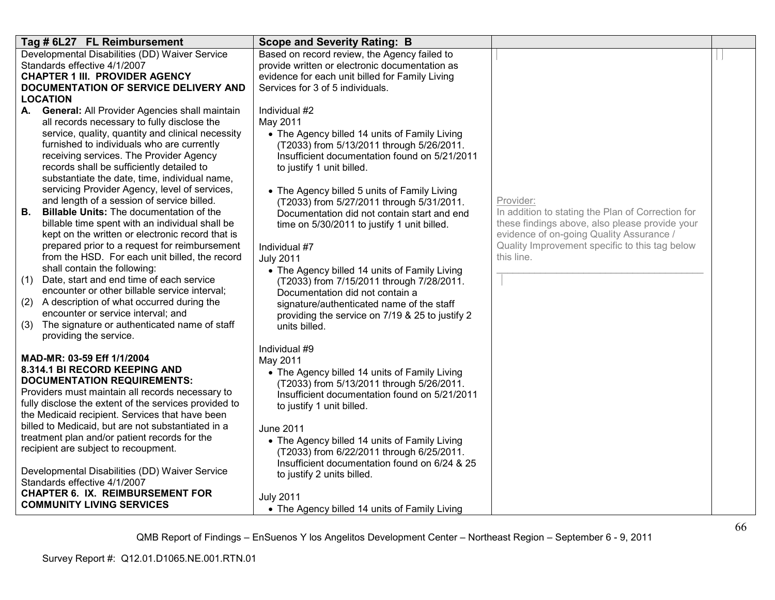| Tag # 6L27 FL Reimbursement                                                                               | <b>Scope and Severity Rating: B</b>                                          |                                                              |  |
|-----------------------------------------------------------------------------------------------------------|------------------------------------------------------------------------------|--------------------------------------------------------------|--|
| Developmental Disabilities (DD) Waiver Service                                                            | Based on record review, the Agency failed to                                 |                                                              |  |
| Standards effective 4/1/2007                                                                              | provide written or electronic documentation as                               |                                                              |  |
| <b>CHAPTER 1 III. PROVIDER AGENCY</b>                                                                     | evidence for each unit billed for Family Living                              |                                                              |  |
| DOCUMENTATION OF SERVICE DELIVERY AND                                                                     | Services for 3 of 5 individuals.                                             |                                                              |  |
| <b>LOCATION</b>                                                                                           | Individual #2                                                                |                                                              |  |
| A. General: All Provider Agencies shall maintain<br>all records necessary to fully disclose the           | May 2011                                                                     |                                                              |  |
| service, quality, quantity and clinical necessity                                                         | • The Agency billed 14 units of Family Living                                |                                                              |  |
| furnished to individuals who are currently                                                                | (T2033) from 5/13/2011 through 5/26/2011.                                    |                                                              |  |
| receiving services. The Provider Agency                                                                   | Insufficient documentation found on 5/21/2011                                |                                                              |  |
| records shall be sufficiently detailed to                                                                 | to justify 1 unit billed.                                                    |                                                              |  |
| substantiate the date, time, individual name,                                                             |                                                                              |                                                              |  |
| servicing Provider Agency, level of services,                                                             | • The Agency billed 5 units of Family Living                                 |                                                              |  |
| and length of a session of service billed.                                                                | (T2033) from 5/27/2011 through 5/31/2011.                                    | Provider:                                                    |  |
| <b>Billable Units: The documentation of the</b><br>В.                                                     | Documentation did not contain start and end                                  | In addition to stating the Plan of Correction for            |  |
| billable time spent with an individual shall be                                                           | time on 5/30/2011 to justify 1 unit billed.                                  | these findings above, also please provide your               |  |
| kept on the written or electronic record that is                                                          |                                                                              | evidence of on-going Quality Assurance /                     |  |
| prepared prior to a request for reimbursement<br>from the HSD. For each unit billed, the record           | Individual #7                                                                | Quality Improvement specific to this tag below<br>this line. |  |
| shall contain the following:                                                                              | <b>July 2011</b>                                                             |                                                              |  |
| (1)<br>Date, start and end time of each service                                                           | • The Agency billed 14 units of Family Living                                |                                                              |  |
| encounter or other billable service interval;                                                             | (T2033) from 7/15/2011 through 7/28/2011.<br>Documentation did not contain a |                                                              |  |
| A description of what occurred during the<br>(2)                                                          | signature/authenticated name of the staff                                    |                                                              |  |
| encounter or service interval; and                                                                        | providing the service on 7/19 & 25 to justify 2                              |                                                              |  |
| (3) The signature or authenticated name of staff                                                          | units billed.                                                                |                                                              |  |
| providing the service.                                                                                    |                                                                              |                                                              |  |
|                                                                                                           | Individual #9                                                                |                                                              |  |
| MAD-MR: 03-59 Eff 1/1/2004                                                                                | May 2011                                                                     |                                                              |  |
| 8.314.1 BI RECORD KEEPING AND                                                                             | • The Agency billed 14 units of Family Living                                |                                                              |  |
| <b>DOCUMENTATION REQUIREMENTS:</b>                                                                        | (T2033) from 5/13/2011 through 5/26/2011.                                    |                                                              |  |
| Providers must maintain all records necessary to<br>fully disclose the extent of the services provided to | Insufficient documentation found on 5/21/2011                                |                                                              |  |
| the Medicaid recipient. Services that have been                                                           | to justify 1 unit billed.                                                    |                                                              |  |
| billed to Medicaid, but are not substantiated in a                                                        | June 2011                                                                    |                                                              |  |
| treatment plan and/or patient records for the                                                             | • The Agency billed 14 units of Family Living                                |                                                              |  |
| recipient are subject to recoupment.                                                                      | (T2033) from 6/22/2011 through 6/25/2011.                                    |                                                              |  |
|                                                                                                           | Insufficient documentation found on 6/24 & 25                                |                                                              |  |
| Developmental Disabilities (DD) Waiver Service                                                            | to justify 2 units billed.                                                   |                                                              |  |
| Standards effective 4/1/2007                                                                              |                                                                              |                                                              |  |
| <b>CHAPTER 6. IX. REIMBURSEMENT FOR</b>                                                                   | <b>July 2011</b>                                                             |                                                              |  |
| <b>COMMUNITY LIVING SERVICES</b>                                                                          | • The Agency billed 14 units of Family Living                                |                                                              |  |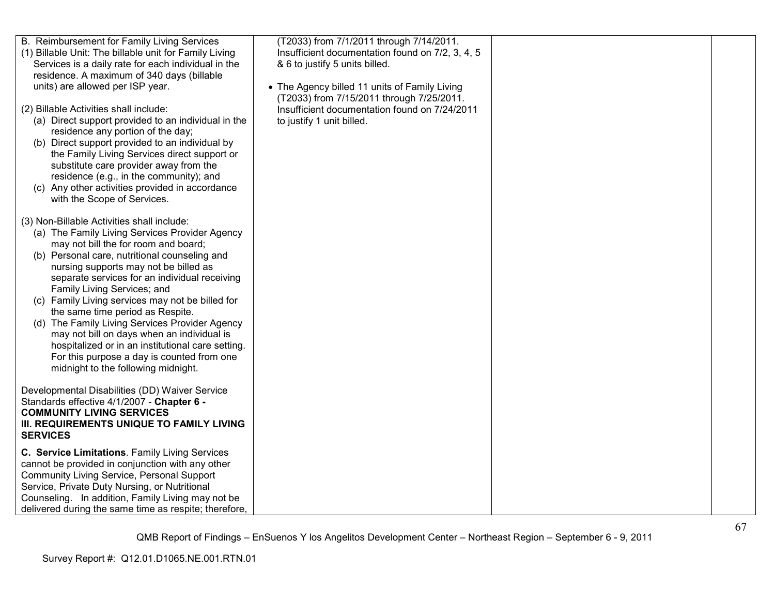| B. Reimbursement for Family Living Services<br>(1) Billable Unit: The billable unit for Family Living<br>Services is a daily rate for each individual in the<br>residence. A maximum of 340 days (billable<br>units) are allowed per ISP year.                                                                                                                                                                                                                                                                                                                                                                                                   | (T2033) from 7/1/2011 through 7/14/2011.<br>Insufficient documentation found on 7/2, 3, 4, 5<br>& 6 to justify 5 units billed.<br>• The Agency billed 11 units of Family Living |  |
|--------------------------------------------------------------------------------------------------------------------------------------------------------------------------------------------------------------------------------------------------------------------------------------------------------------------------------------------------------------------------------------------------------------------------------------------------------------------------------------------------------------------------------------------------------------------------------------------------------------------------------------------------|---------------------------------------------------------------------------------------------------------------------------------------------------------------------------------|--|
| (2) Billable Activities shall include:<br>(a) Direct support provided to an individual in the<br>residence any portion of the day;<br>(b) Direct support provided to an individual by<br>the Family Living Services direct support or<br>substitute care provider away from the<br>residence (e.g., in the community); and<br>(c) Any other activities provided in accordance<br>with the Scope of Services.                                                                                                                                                                                                                                     | (T2033) from 7/15/2011 through 7/25/2011.<br>Insufficient documentation found on 7/24/2011<br>to justify 1 unit billed.                                                         |  |
| (3) Non-Billable Activities shall include:<br>(a) The Family Living Services Provider Agency<br>may not bill the for room and board;<br>(b) Personal care, nutritional counseling and<br>nursing supports may not be billed as<br>separate services for an individual receiving<br>Family Living Services; and<br>(c) Family Living services may not be billed for<br>the same time period as Respite.<br>(d) The Family Living Services Provider Agency<br>may not bill on days when an individual is<br>hospitalized or in an institutional care setting.<br>For this purpose a day is counted from one<br>midnight to the following midnight. |                                                                                                                                                                                 |  |
| Developmental Disabilities (DD) Waiver Service<br>Standards effective 4/1/2007 - Chapter 6 -<br><b>COMMUNITY LIVING SERVICES</b><br>III. REQUIREMENTS UNIQUE TO FAMILY LIVING<br><b>SERVICES</b>                                                                                                                                                                                                                                                                                                                                                                                                                                                 |                                                                                                                                                                                 |  |
| C. Service Limitations. Family Living Services<br>cannot be provided in conjunction with any other<br>Community Living Service, Personal Support<br>Service, Private Duty Nursing, or Nutritional<br>Counseling. In addition, Family Living may not be<br>delivered during the same time as respite; therefore,                                                                                                                                                                                                                                                                                                                                  |                                                                                                                                                                                 |  |
|                                                                                                                                                                                                                                                                                                                                                                                                                                                                                                                                                                                                                                                  |                                                                                                                                                                                 |  |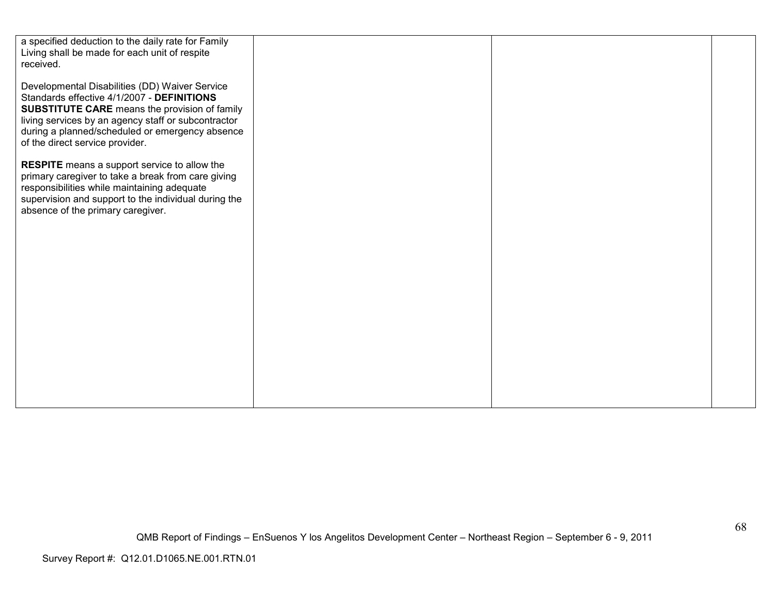| a specified deduction to the daily rate for Family<br>Living shall be made for each unit of respite<br>received.                                                                                                                                                                                  |  |  |
|---------------------------------------------------------------------------------------------------------------------------------------------------------------------------------------------------------------------------------------------------------------------------------------------------|--|--|
| Developmental Disabilities (DD) Waiver Service<br>Standards effective 4/1/2007 - DEFINITIONS<br><b>SUBSTITUTE CARE</b> means the provision of family<br>living services by an agency staff or subcontractor<br>during a planned/scheduled or emergency absence<br>of the direct service provider. |  |  |
| <b>RESPITE</b> means a support service to allow the<br>primary caregiver to take a break from care giving<br>responsibilities while maintaining adequate<br>supervision and support to the individual during the<br>absence of the primary caregiver.                                             |  |  |
|                                                                                                                                                                                                                                                                                                   |  |  |
|                                                                                                                                                                                                                                                                                                   |  |  |
|                                                                                                                                                                                                                                                                                                   |  |  |
|                                                                                                                                                                                                                                                                                                   |  |  |
|                                                                                                                                                                                                                                                                                                   |  |  |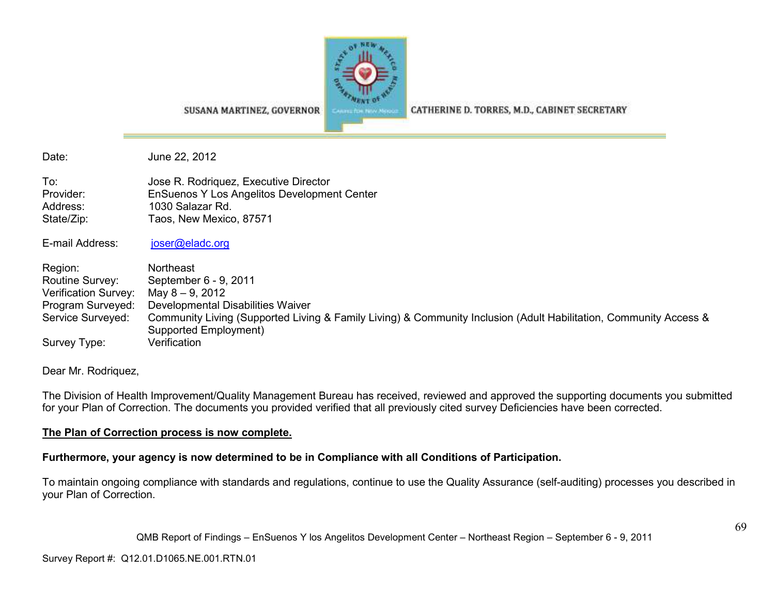

SUSANA MARTINEZ, GOVERNOR

CATHERINE D. TORRES, M.D., CABINET SECRETARY

Date: June 22, 2012

To: Jose R. Rodriquez, Executive Director Provider: EnSuenos Y Los Angelitos Development Center Address: 1030 Salazar Rd. State/Zip: Taos, New Mexico, 87571

E-mail Address: joser@eladc.org

Region: Northeast Routine Survey: September 6 - 9, 2011 Verification Survey: May 8 – 9, 2012 Program Surveyed: Developmental Disabilities WaiverService Surveyed: Community Living (Supported Living & Family Living) & Community Inclusion (Adult Habilitation, Community Access & Supported Employment) Survey Type: Verification

Dear Mr. Rodriquez,

The Division of Health Improvement/Quality Management Bureau has received, reviewed and approved the supporting documents you submitted for your Plan of Correction. The documents you provided verified that all previously cited survey Deficiencies have been corrected.

### **The Plan of Correction process is now complete.**

**Furthermore, your agency is now determined to be in Compliance with all Conditions of Participation.** 

To maintain ongoing compliance with standards and regulations, continue to use the Quality Assurance (self-auditing) processes you described in your Plan of Correction.

QMB Report of Findings – EnSuenos Y los Angelitos Development Center – Northeast Region – September 6 - 9, 2011

Survey Report #: Q12.01.D1065.NE.001.RTN.01